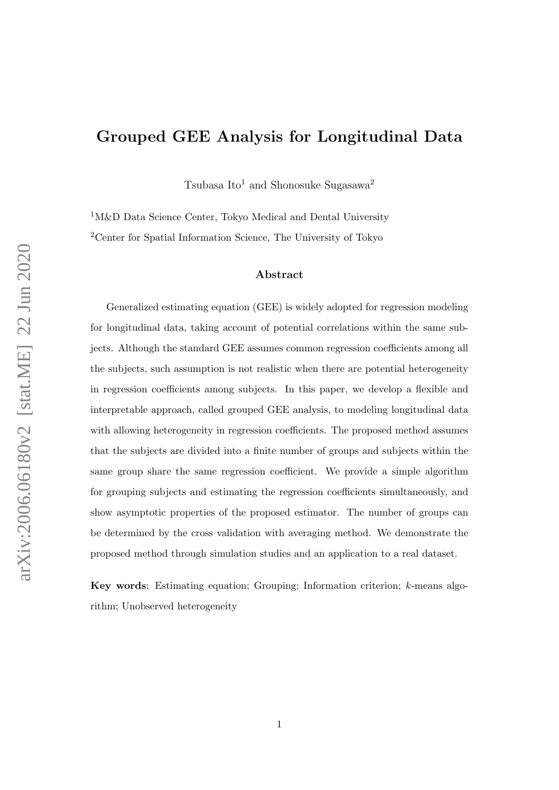## Grouped GEE Analysis for Longitudinal Data

Tsubasa Ito<sup>1</sup> and Shonosuke Sugasawa<sup>2</sup>

<sup>1</sup>M&D Data Science Center, Tokyo Medical and Dental University <sup>2</sup>Center for Spatial Information Science, The University of Tokyo

#### Abstract

Generalized estimating equation (GEE) is widely adopted for regression modeling for longitudinal data, taking account of potential correlations within the same subjects. Although the standard GEE assumes common regression coefficients among all the subjects, such assumption is not realistic when there are potential heterogeneity in regression coefficients among subjects. In this paper, we develop a flexible and interpretable approach, called grouped GEE analysis, to modeling longitudinal data with allowing heterogeneity in regression coefficients. The proposed method assumes that the subjects are divided into a finite number of groups and subjects within the same group share the same regression coefficient. We provide a simple algorithm for grouping subjects and estimating the regression coefficients simultaneously, and show asymptotic properties of the proposed estimator. The number of groups can be determined by the cross validation with averaging method. We demonstrate the proposed method through simulation studies and an application to a real dataset.

Key words: Estimating equation; Grouping; Information criterion; k-means algorithm; Unobserved heterogeneity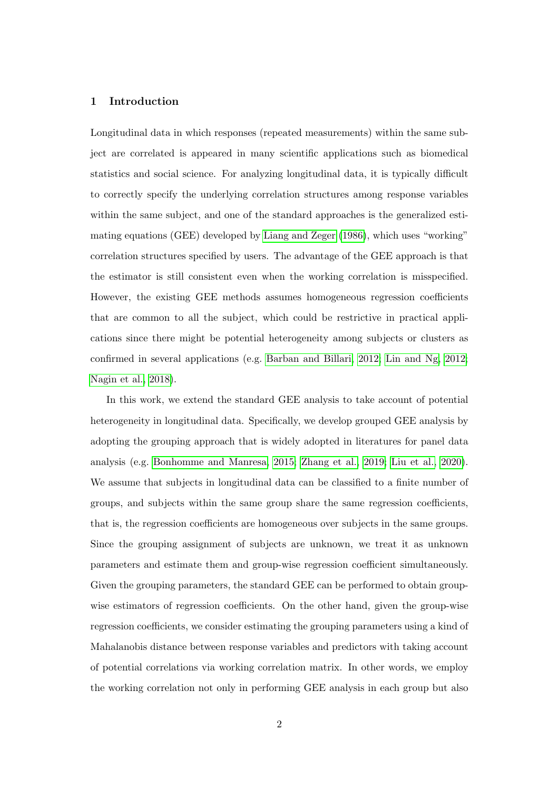#### <span id="page-1-0"></span>1 Introduction

Longitudinal data in which responses (repeated measurements) within the same subject are correlated is appeared in many scientific applications such as biomedical statistics and social science. For analyzing longitudinal data, it is typically difficult to correctly specify the underlying correlation structures among response variables within the same subject, and one of the standard approaches is the generalized estimating equations (GEE) developed by [Liang and Zeger \(1986\)](#page-21-0), which uses "working" correlation structures specified by users. The advantage of the GEE approach is that the estimator is still consistent even when the working correlation is misspecified. However, the existing GEE methods assumes homogeneous regression coefficients that are common to all the subject, which could be restrictive in practical applications since there might be potential heterogeneity among subjects or clusters as confirmed in several applications (e.g. [Barban and Billari, 2012;](#page-21-1) [Lin and Ng, 2012;](#page-22-0) [Nagin et al., 2018\)](#page-22-1).

In this work, we extend the standard GEE analysis to take account of potential heterogeneity in longitudinal data. Specifically, we develop grouped GEE analysis by adopting the grouping approach that is widely adopted in literatures for panel data analysis (e.g. [Bonhomme and Manresa, 2015;](#page-21-2) [Zhang et al., 2019;](#page-23-0) [Liu et al., 2020\)](#page-22-2). We assume that subjects in longitudinal data can be classified to a finite number of groups, and subjects within the same group share the same regression coefficients, that is, the regression coefficients are homogeneous over subjects in the same groups. Since the grouping assignment of subjects are unknown, we treat it as unknown parameters and estimate them and group-wise regression coefficient simultaneously. Given the grouping parameters, the standard GEE can be performed to obtain groupwise estimators of regression coefficients. On the other hand, given the group-wise regression coefficients, we consider estimating the grouping parameters using a kind of Mahalanobis distance between response variables and predictors with taking account of potential correlations via working correlation matrix. In other words, we employ the working correlation not only in performing GEE analysis in each group but also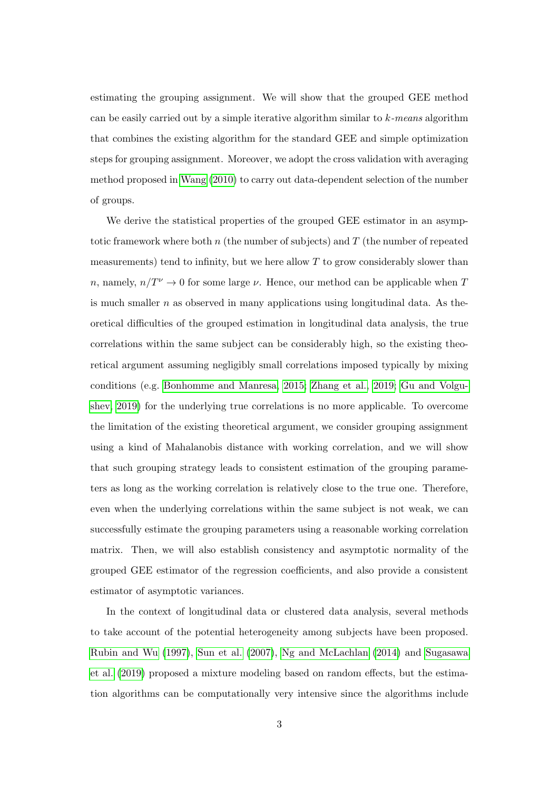estimating the grouping assignment. We will show that the grouped GEE method can be easily carried out by a simple iterative algorithm similar to  $k$ -means algorithm that combines the existing algorithm for the standard GEE and simple optimization steps for grouping assignment. Moreover, we adopt the cross validation with averaging method proposed in [Wang \(2010\)](#page-23-1) to carry out data-dependent selection of the number of groups.

We derive the statistical properties of the grouped GEE estimator in an asymptotic framework where both  $n$  (the number of subjects) and  $T$  (the number of repeated measurements) tend to infinity, but we here allow  $T$  to grow considerably slower than  $n,$  namely,  $n/T^\nu \to 0$  for some large  $\nu.$  Hence, our method can be applicable when  $T$ is much smaller  $n$  as observed in many applications using longitudinal data. As theoretical difficulties of the grouped estimation in longitudinal data analysis, the true correlations within the same subject can be considerably high, so the existing theoretical argument assuming negligibly small correlations imposed typically by mixing conditions (e.g. [Bonhomme and Manresa, 2015;](#page-21-2) [Zhang et al., 2019;](#page-23-0) [Gu and Volgu](#page-21-3)[shev, 2019\)](#page-21-3) for the underlying true correlations is no more applicable. To overcome the limitation of the existing theoretical argument, we consider grouping assignment using a kind of Mahalanobis distance with working correlation, and we will show that such grouping strategy leads to consistent estimation of the grouping parameters as long as the working correlation is relatively close to the true one. Therefore, even when the underlying correlations within the same subject is not weak, we can successfully estimate the grouping parameters using a reasonable working correlation matrix. Then, we will also establish consistency and asymptotic normality of the grouped GEE estimator of the regression coefficients, and also provide a consistent estimator of asymptotic variances.

In the context of longitudinal data or clustered data analysis, several methods to take account of the potential heterogeneity among subjects have been proposed. [Rubin and Wu \(1997\)](#page-22-3), [Sun et al. \(2007\)](#page-22-4), [Ng and McLachlan \(2014\)](#page-22-5) and [Sugasawa](#page-22-6) [et al. \(2019\)](#page-22-6) proposed a mixture modeling based on random effects, but the estimation algorithms can be computationally very intensive since the algorithms include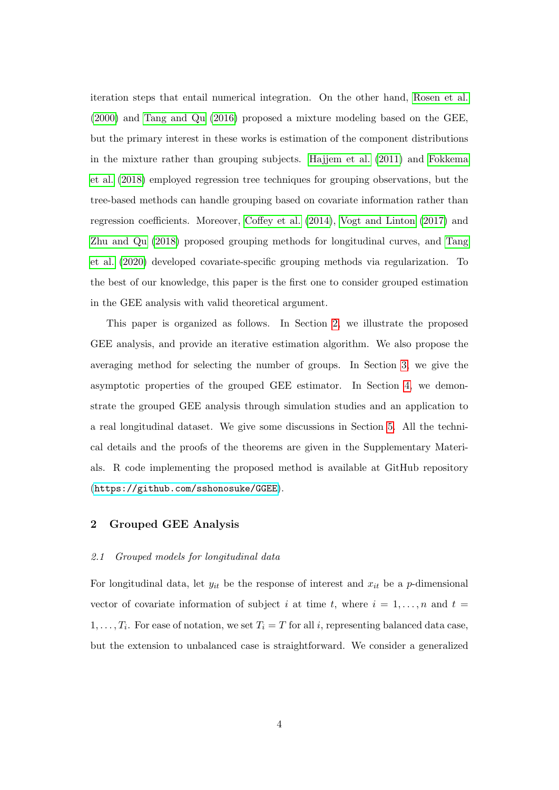iteration steps that entail numerical integration. On the other hand, [Rosen et al.](#page-22-7) [\(2000\)](#page-22-7) and [Tang and Qu \(2016\)](#page-22-8) proposed a mixture modeling based on the GEE, but the primary interest in these works is estimation of the component distributions in the mixture rather than grouping subjects. [Hajjem et al. \(2011\)](#page-21-4) and [Fokkema](#page-21-5) [et al. \(2018\)](#page-21-5) employed regression tree techniques for grouping observations, but the tree-based methods can handle grouping based on covariate information rather than regression coefficients. Moreover, [Coffey et al. \(2014\)](#page-21-6), [Vogt and Linton \(2017\)](#page-23-2) and [Zhu and Qu \(2018\)](#page-23-3) proposed grouping methods for longitudinal curves, and [Tang](#page-23-4) [et al. \(2020\)](#page-23-4) developed covariate-specific grouping methods via regularization. To the best of our knowledge, this paper is the first one to consider grouped estimation in the GEE analysis with valid theoretical argument.

This paper is organized as follows. In Section [2,](#page-3-0) we illustrate the proposed GEE analysis, and provide an iterative estimation algorithm. We also propose the averaging method for selecting the number of groups. In Section [3,](#page-8-0) we give the asymptotic properties of the grouped GEE estimator. In Section [4,](#page-12-0) we demonstrate the grouped GEE analysis through simulation studies and an application to a real longitudinal dataset. We give some discussions in Section [5.](#page-19-0) All the technical details and the proofs of the theorems are given in the Supplementary Materials. R code implementing the proposed method is available at GitHub repository (<https://github.com/sshonosuke/GGEE>).

#### <span id="page-3-0"></span>2 Grouped GEE Analysis

#### 2.1 Grouped models for longitudinal data

For longitudinal data, let  $y_{it}$  be the response of interest and  $x_{it}$  be a p-dimensional vector of covariate information of subject i at time t, where  $i = 1, \ldots, n$  and  $t =$  $1, \ldots, T_i$ . For ease of notation, we set  $T_i = T$  for all i, representing balanced data case, but the extension to unbalanced case is straightforward. We consider a generalized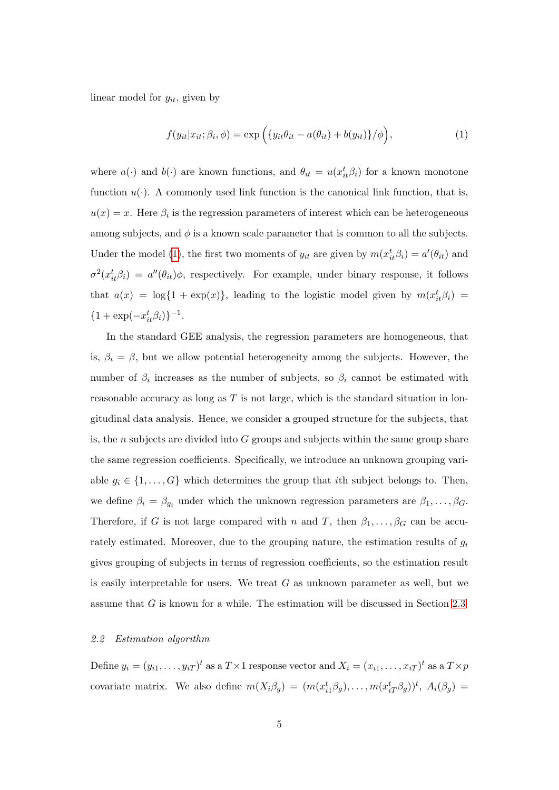linear model for  $y_{it}$ , given by

<span id="page-4-0"></span>
$$
f(y_{it}|x_{it};\beta_i,\phi) = \exp\left(\{y_{it}\theta_{it} - a(\theta_{it}) + b(y_{it})\}/\phi\right),\tag{1}
$$

where  $a(\cdot)$  and  $b(\cdot)$  are known functions, and  $\theta_{it} = u(x_{it}^t \beta_i)$  for a known monotone function  $u(\cdot)$ . A commonly used link function is the canonical link function, that is,  $u(x) = x$ . Here  $\beta_i$  is the regression parameters of interest which can be heterogeneous among subjects, and  $\phi$  is a known scale parameter that is common to all the subjects. Under the model [\(1\)](#page-4-0), the first two moments of  $y_{it}$  are given by  $m(x_{it}^t \beta_i) = a'(\theta_{it})$  and  $\sigma^2(x_{it}^t \beta_i) = a''(\theta_{it})\phi$ , respectively. For example, under binary response, it follows that  $a(x) = \log\{1 + \exp(x)\}\$ , leading to the logistic model given by  $m(x_{it}^t \beta_i) =$  ${1 + \exp(-x_{it}^t \beta_i)}^{-1}.$ 

In the standard GEE analysis, the regression parameters are homogeneous, that is,  $\beta_i = \beta$ , but we allow potential heterogeneity among the subjects. However, the number of  $\beta_i$  increases as the number of subjects, so  $\beta_i$  cannot be estimated with reasonable accuracy as long as  $T$  is not large, which is the standard situation in longitudinal data analysis. Hence, we consider a grouped structure for the subjects, that is, the n subjects are divided into  $G$  groups and subjects within the same group share the same regression coefficients. Specifically, we introduce an unknown grouping variable  $g_i \in \{1, ..., G\}$  which determines the group that *i*th subject belongs to. Then, we define  $\beta_i = \beta_{g_i}$  under which the unknown regression parameters are  $\beta_1, \ldots, \beta_G$ . Therefore, if G is not large compared with n and T, then  $\beta_1, \ldots, \beta_G$  can be accurately estimated. Moreover, due to the grouping nature, the estimation results of  $g_i$ gives grouping of subjects in terms of regression coefficients, so the estimation result is easily interpretable for users. We treat  $G$  as unknown parameter as well, but we assume that G is known for a while. The estimation will be discussed in Section [2.3.](#page-7-0)

#### 2.2 Estimation algorithm

Define  $y_i = (y_{i1}, \ldots, y_{iT})^t$  as a  $T \times 1$  response vector and  $X_i = (x_{i1}, \ldots, x_{iT})^t$  as a  $T \times p$ covariate matrix. We also define  $m(X_i \beta_g) = (m(x_{i1}^t \beta_g), \ldots, m(x_{iT}^t \beta_g))^t$ ,  $A_i(\beta_g) =$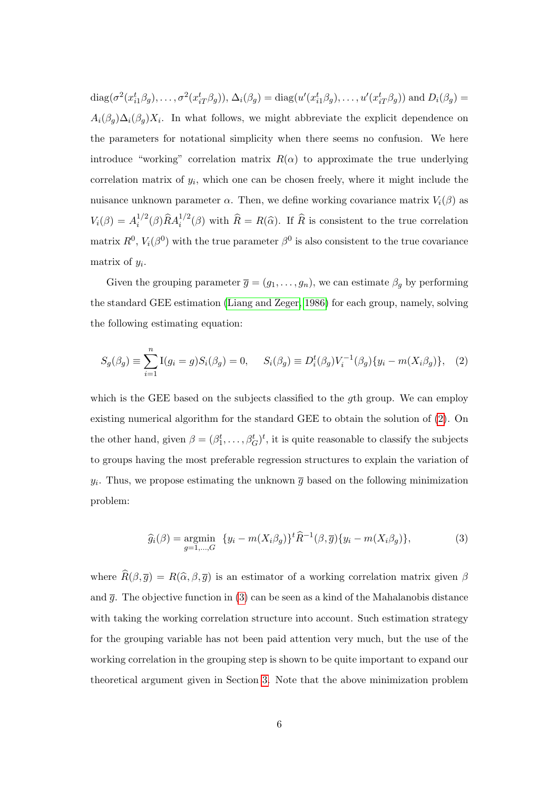$diag(\sigma^2(x_{i1}^t\beta_g),\ldots,\sigma^2(x_{iT}^t\beta_g)), \Delta_i(\beta_g) = diag(u'(x_{i1}^t\beta_g),\ldots,u'(x_{iT}^t\beta_g))$  and  $D_i(\beta_g) =$  $A_i(\beta_g) \Delta_i(\beta_g) X_i$ . In what follows, we might abbreviate the explicit dependence on the parameters for notational simplicity when there seems no confusion. We here introduce "working" correlation matrix  $R(\alpha)$  to approximate the true underlying correlation matrix of  $y_i$ , which one can be chosen freely, where it might include the nuisance unknown parameter  $\alpha$ . Then, we define working covariance matrix  $V_i(\beta)$  as  $V_i(\beta) = A_i^{1/2}$  $i^{1/2}(\beta)\hat{R}A_i^{1/2}(\beta)$  with  $\hat{R}=R(\hat{\alpha})$ . If  $\hat{R}$  is consistent to the true correlation matrix  $R^0$ ,  $V_i(\beta^0)$  with the true parameter  $\beta^0$  is also consistent to the true covariance matrix of  $y_i$ .

Given the grouping parameter  $\overline{g} = (g_1, \ldots, g_n)$ , we can estimate  $\beta_g$  by performing the standard GEE estimation [\(Liang and Zeger, 1986\)](#page-21-0) for each group, namely, solving the following estimating equation:

<span id="page-5-0"></span>
$$
S_g(\beta_g) \equiv \sum_{i=1}^n I(g_i = g) S_i(\beta_g) = 0, \quad S_i(\beta_g) \equiv D_i^t(\beta_g) V_i^{-1}(\beta_g) \{ y_i - m(X_i \beta_g) \}, \tag{2}
$$

which is the GEE based on the subjects classified to the gth group. We can employ existing numerical algorithm for the standard GEE to obtain the solution of [\(2\)](#page-5-0). On the other hand, given  $\beta = (\beta_1^t, \dots, \beta_G^t)^t$ , it is quite reasonable to classify the subjects to groups having the most preferable regression structures to explain the variation of  $y_i$ . Thus, we propose estimating the unknown  $\overline{g}$  based on the following minimization problem:

<span id="page-5-1"></span>
$$
\widehat{g}_i(\beta) = \underset{g=1,\dots,G}{\text{argmin}} \quad \{y_i - m(X_i \beta_g)\}^t \widehat{R}^{-1}(\beta, \overline{g}) \{y_i - m(X_i \beta_g)\},\tag{3}
$$

where  $\widehat{R}(\beta, \overline{g}) = R(\widehat{\alpha}, \beta, \overline{g})$  is an estimator of a working correlation matrix given  $\beta$ and  $\bar{q}$ . The objective function in [\(3\)](#page-5-1) can be seen as a kind of the Mahalanobis distance with taking the working correlation structure into account. Such estimation strategy for the grouping variable has not been paid attention very much, but the use of the working correlation in the grouping step is shown to be quite important to expand our theoretical argument given in Section [3.](#page-8-0) Note that the above minimization problem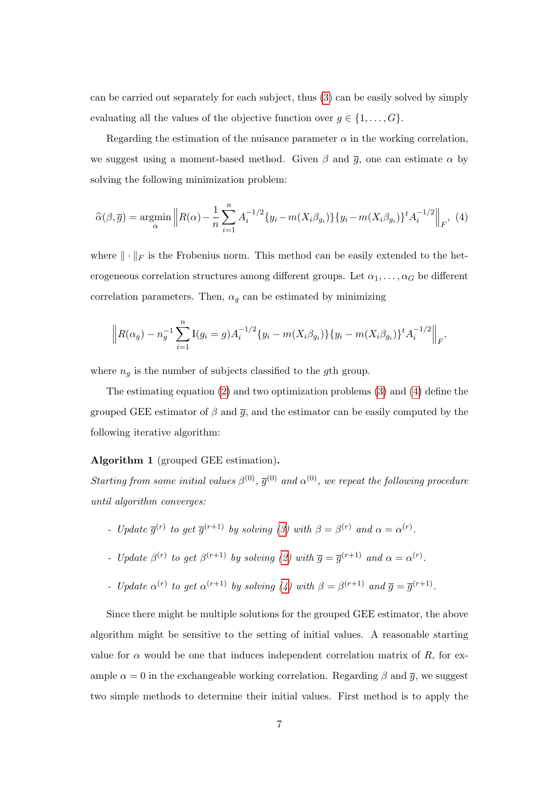can be carried out separately for each subject, thus [\(3\)](#page-5-1) can be easily solved by simply evaluating all the values of the objective function over  $g \in \{1, \ldots, G\}$ .

Regarding the estimation of the nuisance parameter  $\alpha$  in the working correlation, we suggest using a moment-based method. Given  $\beta$  and  $\overline{g}$ , one can estimate  $\alpha$  by solving the following minimization problem:

<span id="page-6-0"></span>
$$
\widehat{\alpha}(\beta, \overline{g}) = \underset{\alpha}{\text{argmin}} \left\| R(\alpha) - \frac{1}{n} \sum_{i=1}^{n} A_i^{-1/2} \{ y_i - m(X_i \beta_{g_i}) \} \{ y_i - m(X_i \beta_{g_i}) \}^t A_i^{-1/2} \right\|_F, \tag{4}
$$

where  $\|\cdot\|_F$  is the Frobenius norm. This method can be easily extended to the heterogeneous correlation structures among different groups. Let  $\alpha_1, \ldots, \alpha_G$  be different correlation parameters. Then,  $\alpha_g$  can be estimated by minimizing

$$
\left\| R(\alpha_g) - n_g^{-1} \sum_{i=1}^n \mathcal{I}(g_i = g) A_i^{-1/2} \{y_i - m(X_i \beta_{g_i})\} \{y_i - m(X_i \beta_{g_i})\}^t A_i^{-1/2} \right\|_F,
$$

where  $n_g$  is the number of subjects classified to the gth group.

The estimating equation [\(2\)](#page-5-0) and two optimization problems [\(3\)](#page-5-1) and [\(4\)](#page-6-0) define the grouped GEE estimator of  $\beta$  and  $\bar{g}$ , and the estimator can be easily computed by the following iterative algorithm:

#### Algorithm 1 (grouped GEE estimation).

Starting from some initial values  $\beta^{(0)}$ ,  $\overline{g}^{(0)}$  and  $\alpha^{(0)}$ , we repeat the following procedure until algorithm converges:

- Update  $\overline{g}^{(r)}$  to get  $\overline{g}^{(r+1)}$  by solving [\(3\)](#page-5-1) with  $\beta = \beta^{(r)}$  and  $\alpha = \alpha^{(r)}$ .
- Update  $\beta^{(r)}$  to get  $\beta^{(r+1)}$  by solving [\(2\)](#page-5-0) with  $\overline{g} = \overline{g}^{(r+1)}$  and  $\alpha = \alpha^{(r)}$ .
- Update  $\alpha^{(r)}$  to get  $\alpha^{(r+1)}$  by solving [\(4\)](#page-6-0) with  $\beta = \beta^{(r+1)}$  and  $\overline{g} = \overline{g}^{(r+1)}$ .

Since there might be multiple solutions for the grouped GEE estimator, the above algorithm might be sensitive to the setting of initial values. A reasonable starting value for  $\alpha$  would be one that induces independent correlation matrix of R, for example  $\alpha = 0$  in the exchangeable working correlation. Regarding  $\beta$  and  $\overline{g}$ , we suggest two simple methods to determine their initial values. First method is to apply the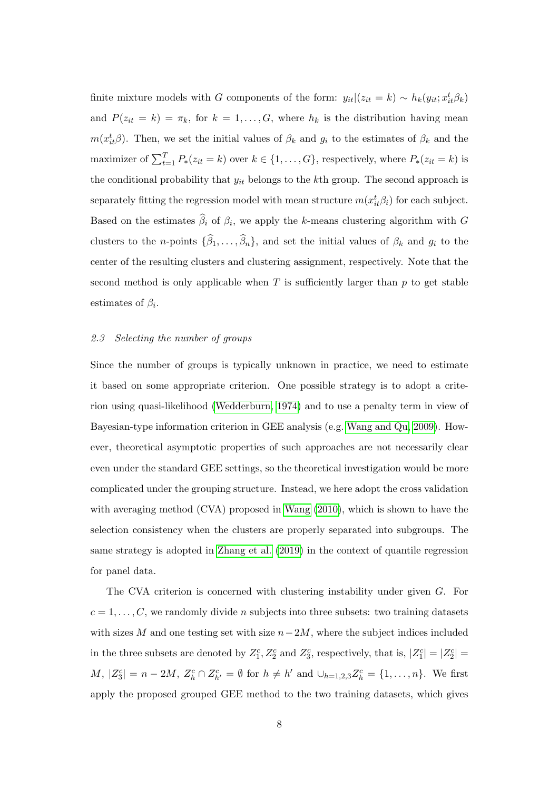finite mixture models with G components of the form:  $y_{it}|(z_{it} = k) \sim h_k(y_{it}; x_{it}^t \beta_k)$ and  $P(z_{it} = k) = \pi_k$ , for  $k = 1, ..., G$ , where  $h_k$  is the distribution having mean  $m(x_{it}^t\beta)$ . Then, we set the initial values of  $\beta_k$  and  $g_i$  to the estimates of  $\beta_k$  and the maximizer of  $\sum_{t=1}^{T} P_*(z_{it} = k)$  over  $k \in \{1, ..., G\}$ , respectively, where  $P_*(z_{it} = k)$  is the conditional probability that  $y_{it}$  belongs to the kth group. The second approach is separately fitting the regression model with mean structure  $m(x_{it}^t \beta_i)$  for each subject. Based on the estimates  $\beta_i$  of  $\beta_i$ , we apply the k-means clustering algorithm with G clusters to the n-points  $\{\widehat{\beta}_1, \ldots, \widehat{\beta}_n\}$ , and set the initial values of  $\beta_k$  and  $g_i$  to the center of the resulting clusters and clustering assignment, respectively. Note that the second method is only applicable when  $T$  is sufficiently larger than  $p$  to get stable estimates of  $\beta_i$ .

#### <span id="page-7-0"></span>2.3 Selecting the number of groups

Since the number of groups is typically unknown in practice, we need to estimate it based on some appropriate criterion. One possible strategy is to adopt a criterion using quasi-likelihood [\(Wedderburn, 1974\)](#page-23-5) and to use a penalty term in view of Bayesian-type information criterion in GEE analysis (e.g. [Wang and Qu, 2009\)](#page-23-6). However, theoretical asymptotic properties of such approaches are not necessarily clear even under the standard GEE settings, so the theoretical investigation would be more complicated under the grouping structure. Instead, we here adopt the cross validation with averaging method (CVA) proposed in [Wang \(2010\)](#page-23-1), which is shown to have the selection consistency when the clusters are properly separated into subgroups. The same strategy is adopted in [Zhang et al. \(2019\)](#page-23-0) in the context of quantile regression for panel data.

The CVA criterion is concerned with clustering instability under given G. For  $c = 1, \ldots, C$ , we randomly divide *n* subjects into three subsets: two training datasets with sizes M and one testing set with size  $n-2M$ , where the subject indices included in the three subsets are denoted by  $Z_1^c, Z_2^c$  and  $Z_3^c$ , respectively, that is,  $|Z_1^c| = |Z_2^c|$  $M, |Z_3^c| = n - 2M, Z_h^c \cap Z_{h'}^c = \emptyset$  for  $h \neq h'$  and  $\cup_{h=1,2,3} Z_h^c = \{1, ..., n\}$ . We first apply the proposed grouped GEE method to the two training datasets, which gives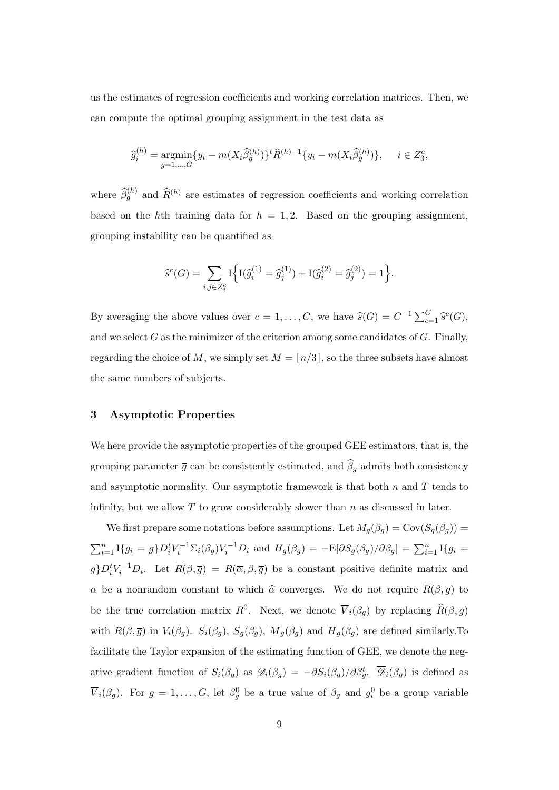us the estimates of regression coefficients and working correlation matrices. Then, we can compute the optimal grouping assignment in the test data as

$$
\widehat{g}_i^{(h)} = \underset{g=1,\dots,G}{\text{argmin}} \{ y_i - m(X_i \widehat{\beta}_g^{(h)}) \}^t \widehat{R}^{(h)-1} \{ y_i - m(X_i \widehat{\beta}_g^{(h)}) \}, \quad i \in Z_3^c,
$$

where  $\hat{\beta}_g^{(h)}$  and  $\hat{R}^{(h)}$  are estimates of regression coefficients and working correlation based on the hth training data for  $h = 1, 2$ . Based on the grouping assignment, grouping instability can be quantified as

$$
\widehat{s}^c(G) = \sum_{i,j \in Z_S^c} \mathcal{I}\Big\{ \mathcal{I}(\widehat{g}_i^{(1)} = \widehat{g}_j^{(1)}) + \mathcal{I}(\widehat{g}_i^{(2)} = \widehat{g}_j^{(2)}) = 1 \Big\}.
$$

By averaging the above values over  $c = 1, ..., C$ , we have  $\widehat{s}(G) = C^{-1} \sum_{c=1}^{C} \widehat{s}^c(G)$ , and we select  $G$  as the minimizer of the criterion among some candidates of  $G$ . Finally, regarding the choice of M, we simply set  $M = \lfloor n/3 \rfloor$ , so the three subsets have almost the same numbers of subjects.

## <span id="page-8-0"></span>3 Asymptotic Properties

We here provide the asymptotic properties of the grouped GEE estimators, that is, the grouping parameter  $\overline{g}$  can be consistently estimated, and  $\widehat{\beta}_g$  admits both consistency and asymptotic normality. Our asymptotic framework is that both  $n$  and  $T$  tends to infinity, but we allow  $T$  to grow considerably slower than  $n$  as discussed in later.

We first prepare some notations before assumptions. Let  $M_g(\beta_g) = \text{Cov}(S_g(\beta_g))$  $\sum_{i=1}^n \text{I}_{\{g_i = g\}} D_i^t V_i^{-1} \Sigma_i(\beta_g) V_i^{-1} D_i$  and  $H_g(\beta_g) = -\text{E}[\partial S_g(\beta_g)/\partial \beta_g] = \sum_{i=1}^n \text{I}_{\{g_i = g\}}$  $g\}D_i^tV_i^{-1}D_i$ . Let  $\overline{R}(\beta,\overline{g}) = R(\overline{\alpha},\beta,\overline{g})$  be a constant positive definite matrix and  $\bar{\alpha}$  be a nonrandom constant to which  $\hat{\alpha}$  converges. We do not require  $\bar{R}(\beta, \bar{g})$  to be the true correlation matrix  $R^0$ . Next, we denote  $\overline{V}_i(\beta_g)$  by replacing  $\widehat{R}(\beta, \overline{g})$ with  $\overline{R}(\beta, \overline{g})$  in  $V_i(\beta_g)$ .  $\overline{S}_i(\beta_g)$ ,  $\overline{N}_g(\beta_g)$ ,  $\overline{M}_g(\beta_g)$  and  $\overline{H}_g(\beta_g)$  are defined similarly. To facilitate the Taylor expansion of the estimating function of GEE, we denote the negative gradient function of  $S_i(\beta_g)$  as  $\mathscr{D}_i(\beta_g) = -\partial S_i(\beta_g)/\partial \beta_g^t$ .  $\overline{\mathscr{D}}_i(\beta_g)$  is defined as  $\overline{V}_i(\beta_g)$ . For  $g = 1, ..., G$ , let  $\beta_g^0$  be a true value of  $\beta_g$  and  $g_i^0$  be a group variable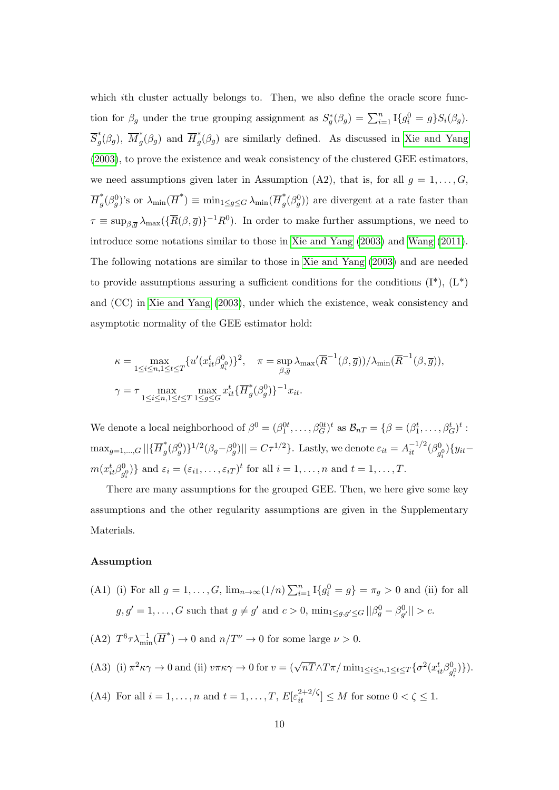which *i*th cluster actually belongs to. Then, we also define the oracle score function for  $\beta_g$  under the true grouping assignment as  $S_g^*(\beta_g) = \sum_{i=1}^n \mathbb{I}\{g_i^0 = g\} S_i(\beta_g)$ .  $\overline{S}_a^*$  $g^*(\beta_g), \; \overline{M}_g^*$  $g^*(\beta_g)$  and  $\overline{H}_g^*$  $\int_{g}^{x}(\beta_g)$  are similarly defined. As discussed in [Xie and Yang](#page-23-7) [\(2003\)](#page-23-7), to prove the existence and weak consistency of the clustered GEE estimators, we need assumptions given later in Assumption (A2), that is, for all  $g = 1, \ldots, G$ ,  $\overline{H}_a^*$  $\mathcal{G}_{g}^{*}(\beta_{g}^{0})$ 's or  $\lambda_{\min}(\overline{H}^{*}) \equiv \min_{1 \leq g \leq G} \lambda_{\min}(\overline{H}^{*}_{g})$  $(g<sup>*</sup>(\beta<sub>g</sub><sup>0</sup>))$  are divergent at a rate faster than  $\tau \equiv \sup_{\beta,\overline{g}} \lambda_{\max}(\{\overline{R}(\beta,\overline{g})\}^{-1}R^0)$ . In order to make further assumptions, we need to introduce some notations similar to those in [Xie and Yang \(2003\)](#page-23-7) and [Wang \(2011\)](#page-23-8). The following notations are similar to those in [Xie and Yang \(2003\)](#page-23-7) and are needed to provide assumptions assuring a sufficient conditions for the conditions  $(I^*), (L^*)$ and (CC) in [Xie and Yang \(2003\)](#page-23-7), under which the existence, weak consistency and asymptotic normality of the GEE estimator hold:

$$
\kappa = \max_{1 \le i \le n, 1 \le t \le T} \{ u'(x_{it}^t \beta_{g_i^0}^0) \}^2, \quad \pi = \sup_{\beta, \overline{g}} \lambda_{\max}(\overline{R}^{-1}(\beta, \overline{g})) / \lambda_{\min}(\overline{R}^{-1}(\beta, \overline{g})),
$$
  

$$
\gamma = \tau \max_{1 \le i \le n, 1 \le t \le T} \max_{1 \le g \le G} x_{it}^t \{ \overline{H}_g^*(\beta_g^0) \}^{-1} x_{it}.
$$

We denote a local neighborhood of  $\beta^0 = (\beta_1^{0t}, \dots, \beta_G^{0t})^t$  as  $\mathcal{B}_{nT} = \{\beta = (\beta_1^t, \dots, \beta_G^t)^t$ :  $\max_{g=1,...,G} ||\{\overline{H}_{g}^{*}$  $\int_g^*(\beta_g^0)\}^{1/2}(\beta_g-\beta_g^0)||=C\tau^{1/2}\}.$  Lastly, we denote  $\varepsilon_{it}=A_{it}^{-1/2}(\beta_g^0)$  $(y_{ij}^{(0)})\{y_{it}$  $m(x_{it}^t \beta_q^0)$  $\{g_i^0\}$  and  $\varepsilon_i = (\varepsilon_{i1}, \ldots, \varepsilon_{iT})^t$  for all  $i = 1, \ldots, n$  and  $t = 1, \ldots, T$ .

There are many assumptions for the grouped GEE. Then, we here give some key assumptions and the other regularity assumptions are given in the Supplementary Materials.

#### Assumption

- (A1) (i) For all  $g = 1, ..., G$ ,  $\lim_{n \to \infty} (1/n) \sum_{i=1}^{n} I\{g_i^0 = g\} = \pi_g > 0$  and (ii) for all  $g, g' = 1, \ldots, G$  such that  $g \neq g'$  and  $c > 0$ ,  $\min_{1 \le g, g' \le G} ||\beta_g^0 - \beta_{g'}^0|| > c$ .
- (A2)  $T^6 \tau \lambda_{\min}^{-1}(\overline{H}^*) \to 0$  and  $n/T^{\nu} \to 0$  for some large  $\nu > 0$ .
- (A3) (i)  $\pi^2 \kappa \gamma \to 0$  and (ii)  $v \pi \kappa \gamma \to 0$  for  $v = (\sqrt{nT} \wedge T \pi / \min_{1 \leq i \leq n, 1 \leq t \leq T} {\sigma^2 (x_{it}^t \beta^0_i)}$  $\{g_i^0\}\$ .
- (A4) For all  $i = 1, ..., n$  and  $t = 1, ..., T$ ,  $E[\varepsilon_{it}^{2+2/\zeta}] \leq M$  for some  $0 < \zeta \leq 1$ .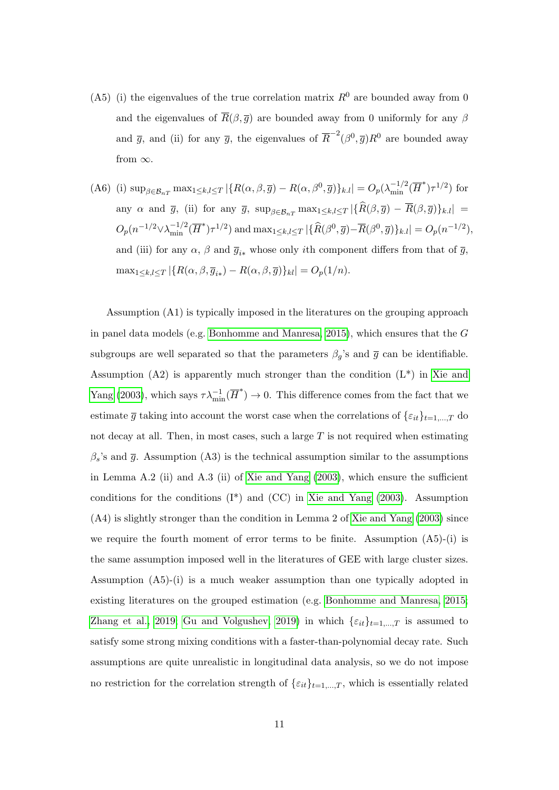- (A5) (i) the eigenvalues of the true correlation matrix  $R^0$  are bounded away from 0 and the eigenvalues of  $\overline{R}(\beta, \overline{g})$  are bounded away from 0 uniformly for any  $\beta$ and  $\bar{g}$ , and (ii) for any  $\bar{g}$ , the eigenvalues of  $\bar{R}^{-2}(\beta^0, \bar{g})R^0$  are bounded away from  $\infty$ .
- (A6) (i)  $\sup_{\beta \in \mathcal{B}_{nT}} \max_{1 \leq k,l \leq T} |\{R(\alpha,\beta,\overline{g}) R(\alpha,\beta^0,\overline{g})\}_{k,l}| = O_p(\lambda_{\min}^{-1/2}(\overline{H}^*) \tau^{1/2})$  for any  $\alpha$  and  $\bar{g}$ , (ii) for any  $\bar{g}$ ,  $\sup_{\beta \in \mathcal{B}_{nT}} \max_{1 \leq k,l \leq T} |\{\widehat{R}(\beta, \bar{g}) - \overline{R}(\beta, \bar{g})\}_{k,l}| =$  $O_p(n^{-1/2}\vee\lambda_{\min}^{-1/2}(\overline{H}^*)\tau^{1/2})$  and  $\max_{1\leq k,l\leq T} |\{\widehat{R}(\beta^0,\overline{g})-\overline{R}(\beta^0,\overline{g})\}_{k.l}| = O_p(n^{-1/2}),$ and (iii) for any  $\alpha$ ,  $\beta$  and  $\overline{g}_{i*}$  whose only *i*th component differs from that of  $\overline{g}$ ,  $\max_{1 \leq k,l \leq T} |\{R(\alpha,\beta,\overline{g}_{i*}) - R(\alpha,\beta,\overline{g})\}_{kl}| = O_p(1/n).$

Assumption (A1) is typically imposed in the literatures on the grouping approach in panel data models (e.g. [Bonhomme and Manresa, 2015\)](#page-21-2), which ensures that the G subgroups are well separated so that the parameters  $\beta_g$ 's and  $\bar{g}$  can be identifiable. Assumption  $(A2)$  is apparently much stronger than the condition  $(L^*)$  in [Xie and](#page-23-7) [Yang \(2003\)](#page-23-7), which says  $\tau \lambda_{\min}^{-1}(\overline{H}^*) \to 0$ . This difference comes from the fact that we estimate  $\overline{g}$  taking into account the worst case when the correlations of  $\{\varepsilon_{it}\}_{t=1,\dots,T}$  do not decay at all. Then, in most cases, such a large  $T$  is not required when estimating  $\beta_s$ 's and  $\bar{q}$ . Assumption (A3) is the technical assumption similar to the assumptions in Lemma A.2 (ii) and A.3 (ii) of [Xie and Yang \(2003\)](#page-23-7), which ensure the sufficient conditions for the conditions  $(I^*)$  and  $(CC)$  in [Xie and Yang \(2003\)](#page-23-7). Assumption (A4) is slightly stronger than the condition in Lemma 2 of [Xie and Yang \(2003\)](#page-23-7) since we require the fourth moment of error terms to be finite. Assumption  $(A5)-(i)$  is the same assumption imposed well in the literatures of GEE with large cluster sizes. Assumption (A5)-(i) is a much weaker assumption than one typically adopted in existing literatures on the grouped estimation (e.g. [Bonhomme and Manresa, 2015;](#page-21-2) [Zhang et al., 2019;](#page-23-0) [Gu and Volgushev, 2019\)](#page-21-3) in which  $\{\varepsilon_{it}\}_{t=1,\dots,T}$  is assumed to satisfy some strong mixing conditions with a faster-than-polynomial decay rate. Such assumptions are quite unrealistic in longitudinal data analysis, so we do not impose no restriction for the correlation strength of  $\{\varepsilon_{it}\}_{t=1,\dots,T}$ , which is essentially related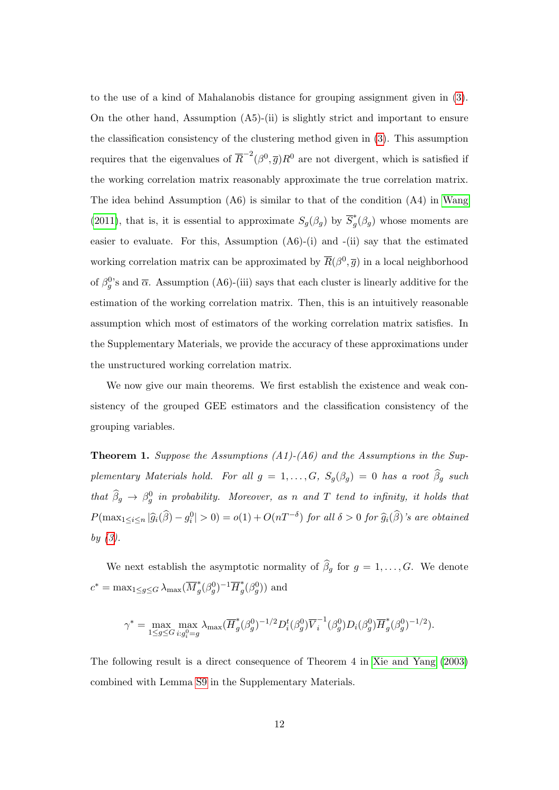to the use of a kind of Mahalanobis distance for grouping assignment given in [\(3\)](#page-5-1). On the other hand, Assumption (A5)-(ii) is slightly strict and important to ensure the classification consistency of the clustering method given in [\(3\)](#page-5-1). This assumption requires that the eigenvalues of  $\overline{R}^{-2}(\beta^0, \overline{g})R^0$  are not divergent, which is satisfied if the working correlation matrix reasonably approximate the true correlation matrix. The idea behind Assumption  $(A6)$  is similar to that of the condition  $(A4)$  in [Wang](#page-23-8) [\(2011\)](#page-23-8), that is, it is essential to approximate  $S_g(\beta_g)$  by  $\overline{S}_g^*$  $g^{\uparrow}(\beta_g)$  whose moments are easier to evaluate. For this, Assumption (A6)-(i) and -(ii) say that the estimated working correlation matrix can be approximated by  $\overline{R}(\beta^0, \overline{g})$  in a local neighborhood of  $\beta_g^0$ 's and  $\overline{\alpha}$ . Assumption (A6)-(iii) says that each cluster is linearly additive for the estimation of the working correlation matrix. Then, this is an intuitively reasonable assumption which most of estimators of the working correlation matrix satisfies. In the Supplementary Materials, we provide the accuracy of these approximations under the unstructured working correlation matrix.

We now give our main theorems. We first establish the existence and weak consistency of the grouped GEE estimators and the classification consistency of the grouping variables.

<span id="page-11-0"></span>**Theorem 1.** Suppose the Assumptions  $(A1)$ - $(A6)$  and the Assumptions in the Supplementary Materials hold. For all  $g = 1, ..., G$ ,  $S_g(\beta_g) = 0$  has a root  $\widehat{\beta}_g$  such that  $\widehat{\beta}_g \to \beta_g^0$  in probability. Moreover, as n and T tend to infinity, it holds that  $P(\max_{1\leq i\leq n}|\widehat{g}_i(\widehat{\beta})-g_i^0|>0)=o(1)+O(nT^{-\delta})$  for all  $\delta>0$  for  $\widehat{g}_i(\widehat{\beta})$ 's are obtained by  $(3)$ .

We next establish the asymptotic normality of  $\widehat{\beta}_g$  for  $g = 1, ..., G$ . We denote  $c^* = \max_{1 \le g \le G} \lambda_{\max}(\overline{M}_q^*)$  $_{g}^{*}(\beta_{g}^{0})^{-1}\overline{H}_{g}^{*}$  $_{g}^{*}(\beta_{g}^{0}))$  and

$$
\gamma^* = \max_{1 \le g \le G} \max_{i:g_i^0 = g} \lambda_{\max} (\overline{H}_g^*(\beta_g^0)^{-1/2} D_i^t(\beta_g^0) \overline{V}_i^{-1}(\beta_g^0) D_i(\beta_g^0) \overline{H}_g^*(\beta_g^0)^{-1/2}).
$$

The following result is a direct consequence of Theorem 4 in [Xie and Yang \(2003\)](#page-23-7) combined with Lemma [S9](#page-53-0) in the Supplementary Materials.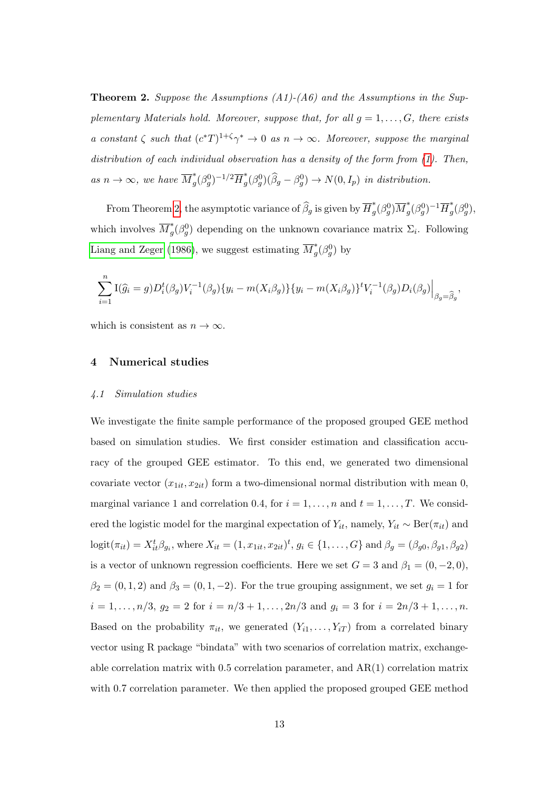<span id="page-12-1"></span>**Theorem 2.** Suppose the Assumptions  $(A1)$ - $(A6)$  and the Assumptions in the Supplementary Materials hold. Moreover, suppose that, for all  $g = 1, \ldots, G$ , there exists a constant  $\zeta$  such that  $(c^*T)^{1+\zeta}\gamma^* \to 0$  as  $n \to \infty$ . Moreover, suppose the marginal distribution of each individual observation has a density of the form from [\(1\)](#page-4-0). Then, as  $n \to \infty$ , we have  $\overline{M}_q^*$  $_{g}^{*}(\beta_{g}^{0})^{-1/2}\overline{H}_{g}^{*}$  $g^*(\beta_g^0)(\widehat{\beta}_g - \beta_g^0) \to N(0, I_p)$  in distribution.

From Theorem [2,](#page-12-1) the asymptotic variance of  $\widehat{\beta}_g$  is given by  $\overline{H}_g^*$  $\frac{1}{g}(\beta_g^0)\overline{M}_g^*$  $\frac{1}{g}(\beta_g^0)^{-1} \overline{H}_g^*$  $^*_g(\beta_g^0),$ which involves  $\overline{M}_a^*$  $_g^*(\beta_g^0)$  depending on the unknown covariance matrix  $\Sigma_i$ . Following [Liang and Zeger \(1986\)](#page-21-0), we suggest estimating  $\overline{M}_a^*$  $j^*(\beta_g^0)$  by

$$
\sum_{i=1}^{n} \mathcal{I}(\hat{g}_i = g) D_i^t(\beta_g) V_i^{-1}(\beta_g) \{y_i - m(X_i \beta_g)\} \{y_i - m(X_i \beta_g)\}^t V_i^{-1}(\beta_g) D_i(\beta_g) \Big|_{\beta_g = \hat{\beta}_g},
$$

which is consistent as  $n \to \infty$ .

#### <span id="page-12-0"></span>4 Numerical studies

#### 4.1 Simulation studies

We investigate the finite sample performance of the proposed grouped GEE method based on simulation studies. We first consider estimation and classification accuracy of the grouped GEE estimator. To this end, we generated two dimensional covariate vector  $(x_{1it}, x_{2it})$  form a two-dimensional normal distribution with mean 0, marginal variance 1 and correlation 0.4, for  $i = 1, \ldots, n$  and  $t = 1, \ldots, T$ . We considered the logistic model for the marginal expectation of  $Y_{it}$ , namely,  $Y_{it} \sim \text{Ber}(\pi_{it})$  and  $logit(\pi_{it}) = X_{it}^t \beta_{g_i}$ , where  $X_{it} = (1, x_{1it}, x_{2it})^t$ ,  $g_i \in \{1, ..., G\}$  and  $\beta_g = (\beta_{g0}, \beta_{g1}, \beta_{g2})$ is a vector of unknown regression coefficients. Here we set  $G = 3$  and  $\beta_1 = (0, -2, 0)$ ,  $\beta_2 = (0, 1, 2)$  and  $\beta_3 = (0, 1, -2)$ . For the true grouping assignment, we set  $g_i = 1$  for  $i = 1, \ldots, n/3, g_2 = 2$  for  $i = n/3 + 1, \ldots, 2n/3$  and  $g_i = 3$  for  $i = 2n/3 + 1, \ldots, n$ . Based on the probability  $\pi_{it}$ , we generated  $(Y_{i1}, \ldots, Y_{iT})$  from a correlated binary vector using R package "bindata" with two scenarios of correlation matrix, exchangeable correlation matrix with 0.5 correlation parameter, and AR(1) correlation matrix with 0.7 correlation parameter. We then applied the proposed grouped GEE method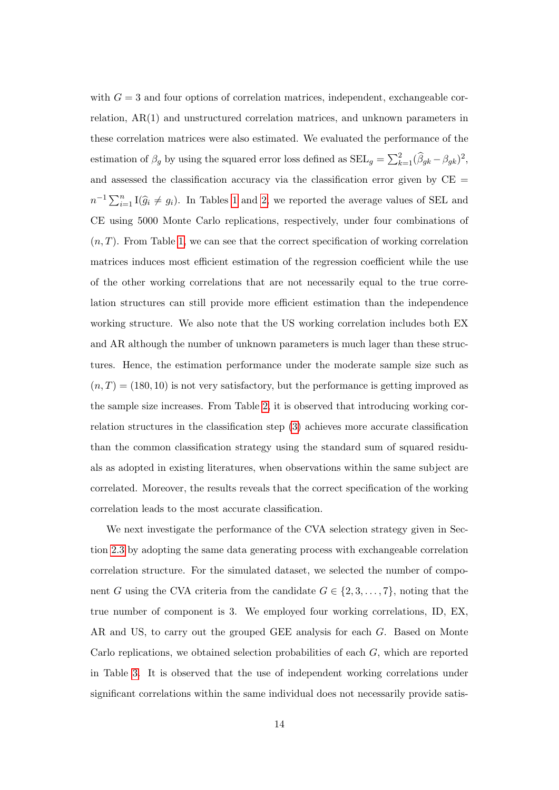with  $G = 3$  and four options of correlation matrices, independent, exchangeable correlation, AR(1) and unstructured correlation matrices, and unknown parameters in these correlation matrices were also estimated. We evaluated the performance of the estimation of  $\beta_g$  by using the squared error loss defined as  $\text{SEL}_g = \sum_{k=1}^2 (\widehat{\beta}_{gk} - \beta_{gk})^2$ , and assessed the classification accuracy via the classification error given by  $\rm CE$  =  $n^{-1} \sum_{i=1}^{n} \mathbb{I}(\hat{g}_i \neq g_i)$ . In Tables [1](#page-16-0) and [2,](#page-16-1) we reported the average values of SEL and CE using 5000 Monte Carlo replications, respectively, under four combinations of  $(n, T)$ . From Table [1,](#page-16-0) we can see that the correct specification of working correlation matrices induces most efficient estimation of the regression coefficient while the use of the other working correlations that are not necessarily equal to the true correlation structures can still provide more efficient estimation than the independence working structure. We also note that the US working correlation includes both EX and AR although the number of unknown parameters is much lager than these structures. Hence, the estimation performance under the moderate sample size such as  $(n, T) = (180, 10)$  is not very satisfactory, but the performance is getting improved as the sample size increases. From Table [2,](#page-16-1) it is observed that introducing working correlation structures in the classification step [\(3\)](#page-5-1) achieves more accurate classification than the common classification strategy using the standard sum of squared residuals as adopted in existing literatures, when observations within the same subject are correlated. Moreover, the results reveals that the correct specification of the working correlation leads to the most accurate classification.

We next investigate the performance of the CVA selection strategy given in Section [2.3](#page-7-0) by adopting the same data generating process with exchangeable correlation correlation structure. For the simulated dataset, we selected the number of component G using the CVA criteria from the candidate  $G \in \{2, 3, \ldots, 7\}$ , noting that the true number of component is 3. We employed four working correlations, ID, EX, AR and US, to carry out the grouped GEE analysis for each G. Based on Monte Carlo replications, we obtained selection probabilities of each G, which are reported in Table [3.](#page-17-0) It is observed that the use of independent working correlations under significant correlations within the same individual does not necessarily provide satis-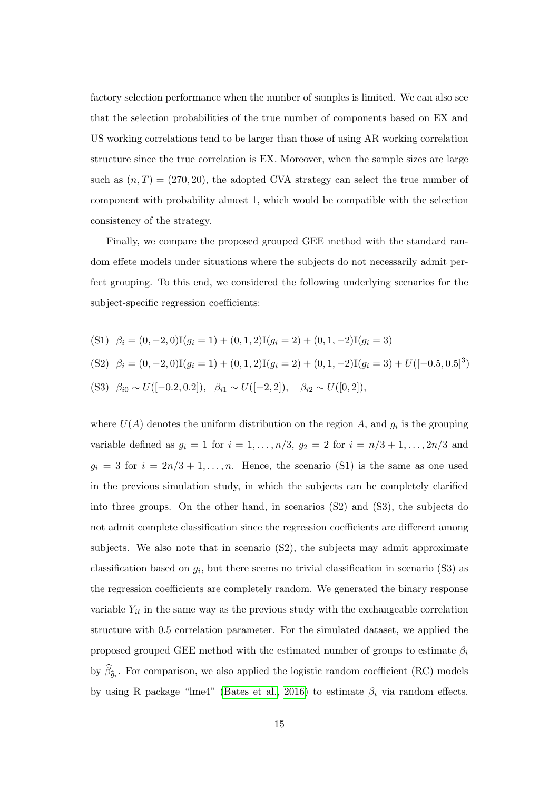factory selection performance when the number of samples is limited. We can also see that the selection probabilities of the true number of components based on EX and US working correlations tend to be larger than those of using AR working correlation structure since the true correlation is EX. Moreover, when the sample sizes are large such as  $(n, T) = (270, 20)$ , the adopted CVA strategy can select the true number of component with probability almost 1, which would be compatible with the selection consistency of the strategy.

Finally, we compare the proposed grouped GEE method with the standard random effete models under situations where the subjects do not necessarily admit perfect grouping. To this end, we considered the following underlying scenarios for the subject-specific regression coefficients:

$$
(S1) \quad \beta_i = (0, -2, 0)I(g_i = 1) + (0, 1, 2)I(g_i = 2) + (0, 1, -2)I(g_i = 3)
$$
\n
$$
(S2) \quad \beta_i = (0, -2, 0)I(g_i = 1) + (0, 1, 2)I(g_i = 2) + (0, 1, -2)I(g_i = 3) + U([-0.5, 0.5]^3)
$$
\n
$$
(S3) \quad \beta_{i0} \sim U([-0.2, 0.2]), \quad \beta_{i1} \sim U([-2, 2]), \quad \beta_{i2} \sim U([0, 2]),
$$

where  $U(A)$  denotes the uniform distribution on the region A, and  $g_i$  is the grouping variable defined as  $g_i = 1$  for  $i = 1, ..., n/3$ ,  $g_2 = 2$  for  $i = n/3 + 1, ..., 2n/3$  and  $g_i = 3$  for  $i = 2n/3 + 1, ..., n$ . Hence, the scenario (S1) is the same as one used in the previous simulation study, in which the subjects can be completely clarified into three groups. On the other hand, in scenarios (S2) and (S3), the subjects do not admit complete classification since the regression coefficients are different among subjects. We also note that in scenario (S2), the subjects may admit approximate classification based on  $g_i$ , but there seems no trivial classification in scenario (S3) as the regression coefficients are completely random. We generated the binary response variable  $Y_{it}$  in the same way as the previous study with the exchangeable correlation structure with 0.5 correlation parameter. For the simulated dataset, we applied the proposed grouped GEE method with the estimated number of groups to estimate  $\beta_i$ by  $\beta_{\hat{g}_i}$ . For comparison, we also applied the logistic random coefficient (RC) models by using R package "lme4" [\(Bates et al., 2016\)](#page-21-7) to estimate  $\beta_i$  via random effects.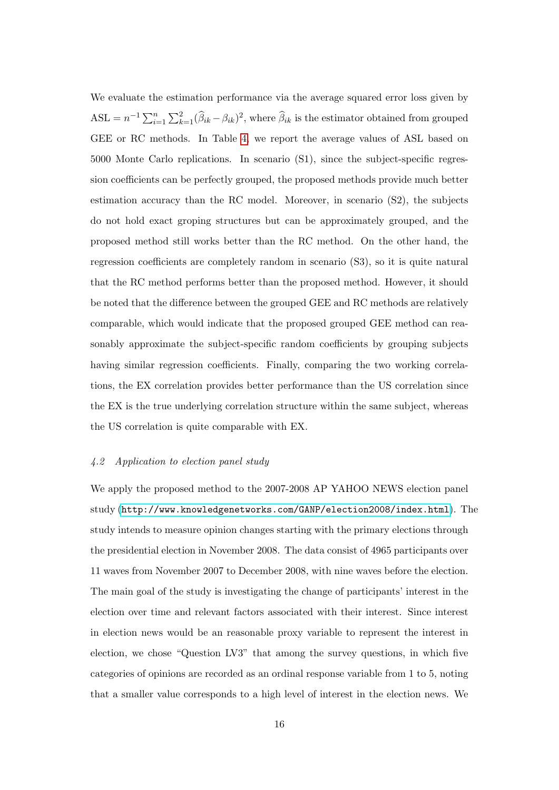We evaluate the estimation performance via the average squared error loss given by  $\text{ASL} = n^{-1} \sum_{i=1}^{n} \sum_{k=1}^{2} (\widehat{\beta}_{ik} - \beta_{ik})^2$ , where  $\widehat{\beta}_{ik}$  is the estimator obtained from grouped GEE or RC methods. In Table [4,](#page-17-1) we report the average values of ASL based on 5000 Monte Carlo replications. In scenario (S1), since the subject-specific regression coefficients can be perfectly grouped, the proposed methods provide much better estimation accuracy than the RC model. Moreover, in scenario (S2), the subjects do not hold exact groping structures but can be approximately grouped, and the proposed method still works better than the RC method. On the other hand, the regression coefficients are completely random in scenario (S3), so it is quite natural that the RC method performs better than the proposed method. However, it should be noted that the difference between the grouped GEE and RC methods are relatively comparable, which would indicate that the proposed grouped GEE method can reasonably approximate the subject-specific random coefficients by grouping subjects having similar regression coefficients. Finally, comparing the two working correlations, the EX correlation provides better performance than the US correlation since the EX is the true underlying correlation structure within the same subject, whereas the US correlation is quite comparable with EX.

#### <span id="page-15-0"></span>4.2 Application to election panel study

We apply the proposed method to the 2007-2008 AP YAHOO NEWS election panel study ([http://www.knowledgenetworks.com/GANP/election2008/index.html](http://www.knowledgenetworks.com/GANP/ election2008/index.html)). The study intends to measure opinion changes starting with the primary elections through the presidential election in November 2008. The data consist of 4965 participants over 11 waves from November 2007 to December 2008, with nine waves before the election. The main goal of the study is investigating the change of participants' interest in the election over time and relevant factors associated with their interest. Since interest in election news would be an reasonable proxy variable to represent the interest in election, we chose "Question LV3" that among the survey questions, in which five categories of opinions are recorded as an ordinal response variable from 1 to 5, noting that a smaller value corresponds to a high level of interest in the election news. We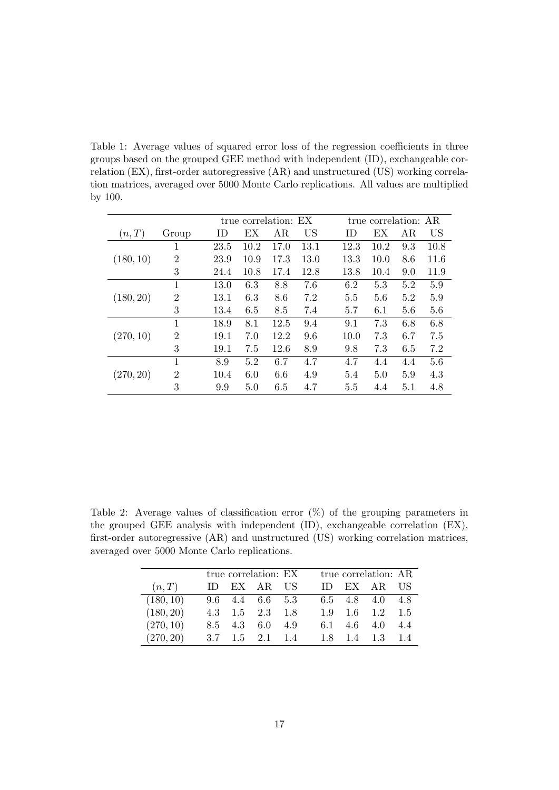<span id="page-16-0"></span>Table 1: Average values of squared error loss of the regression coefficients in three groups based on the grouped GEE method with independent (ID), exchangeable correlation (EX), first-order autoregressive (AR) and unstructured (US) working correlation matrices, averaged over 5000 Monte Carlo replications. All values are multiplied by 100.

|           |                |      |      | true correlation: EX |           |           | true correlation: AR |     |           |
|-----------|----------------|------|------|----------------------|-----------|-----------|----------------------|-----|-----------|
| (n,T)     | Group          | ID   | ЕX   | AR                   | <b>US</b> | <b>ID</b> | ЕX                   | AR  | <b>US</b> |
|           | 1              | 23.5 | 10.2 | 17.0                 | 13.1      | 12.3      | 10.2                 | 9.3 | 10.8      |
| (180, 10) | 2              | 23.9 | 10.9 | 17.3                 | 13.0      | 13.3      | 10.0                 | 8.6 | 11.6      |
|           | 3              | 24.4 | 10.8 | 17.4                 | 12.8      | 13.8      | 10.4                 | 9.0 | 11.9      |
|           | 1              | 13.0 | 6.3  | 8.8                  | 7.6       | 6.2       | 5.3                  | 5.2 | 5.9       |
| (180, 20) | $\overline{2}$ | 13.1 | 6.3  | 8.6                  | 7.2       | 5.5       | 5.6                  | 5.2 | 5.9       |
|           | 3              | 13.4 | 6.5  | 8.5                  | 7.4       | 5.7       | 6.1                  | 5.6 | 5.6       |
|           | 1              | 18.9 | 8.1  | 12.5                 | 9.4       | 9.1       | 7.3                  | 6.8 | 6.8       |
| (270, 10) | $\overline{2}$ | 19.1 | 7.0  | 12.2                 | 9.6       | 10.0      | 7.3                  | 6.7 | 7.5       |
|           | 3              | 19.1 | 7.5  | 12.6                 | 8.9       | 9.8       | 7.3                  | 6.5 | 7.2       |
|           | 1              | 8.9  | 5.2  | 6.7                  | 4.7       | 4.7       | 4.4                  | 4.4 | 5.6       |
| (270, 20) | $\overline{2}$ | 10.4 | 6.0  | 6.6                  | 4.9       | 5.4       | 5.0                  | 5.9 | 4.3       |
|           | 3              | 9.9  | 5.0  | 6.5                  | 4.7       | 5.5       | 4.4                  | 5.1 | 4.8       |

<span id="page-16-1"></span>Table 2: Average values of classification error (%) of the grouping parameters in the grouped GEE analysis with independent (ID), exchangeable correlation (EX), first-order autoregressive (AR) and unstructured (US) working correlation matrices, averaged over 5000 Monte Carlo replications.

|           |        |             | true correlation: EX                |     |        |         | true correlation: AR    |     |
|-----------|--------|-------------|-------------------------------------|-----|--------|---------|-------------------------|-----|
| (n,T)     | $\Box$ |             | EX AR US                            |     | $\Box$ |         | EX AR US                |     |
| (180, 10) |        |             | $9.6 \quad 4.4 \quad 6.6 \quad 5.3$ |     |        |         | 6.5 4.8 4.0 4.8         |     |
| (180, 20) |        |             | 4.3 $1.5$ $2.3$ $1.8$               |     |        |         | $1.9$ $1.6$ $1.2$ $1.5$ |     |
| (270, 10) |        | 8.5 4.3 6.0 |                                     | 4.9 |        | 6.1 4.6 | 4.0                     | 4.4 |
| (270, 20) |        |             | $3.7 \quad 1.5 \quad 2.1 \quad 1.4$ |     |        | 1.8 1.4 | $1.3 \quad 1.4$         |     |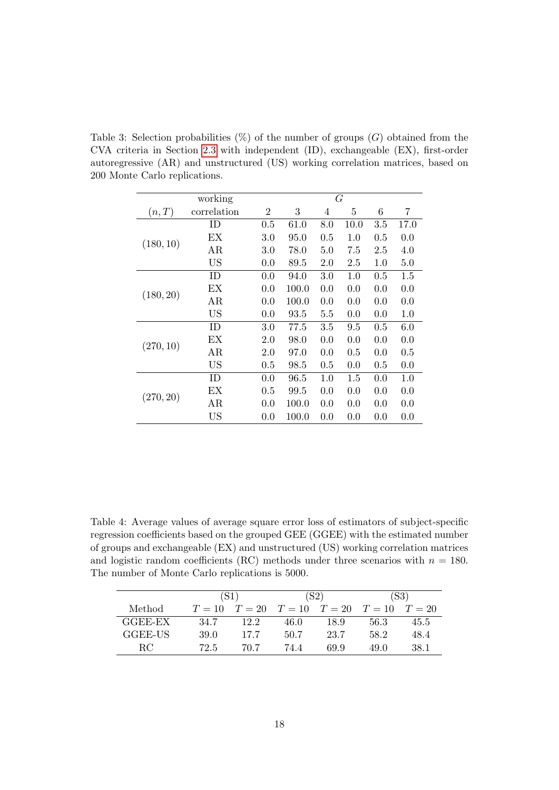<span id="page-17-0"></span>Table 3: Selection probabilities  $(\%)$  of the number of groups  $(G)$  obtained from the CVA criteria in Section [2.3](#page-7-0) with independent (ID), exchangeable (EX), first-order autoregressive (AR) and unstructured (US) working correlation matrices, based on 200 Monte Carlo replications.

|           | working     |     |       |                | G    |         |      |
|-----------|-------------|-----|-------|----------------|------|---------|------|
| (n,T)     | correlation | 2   | 3     | $\overline{4}$ | 5    | $\,6$   | 7    |
|           | ID          | 0.5 | 61.0  | 8.0            | 10.0 | 3.5     | 17.0 |
|           | EX          | 3.0 | 95.0  | 0.5            | 1.0  | 0.5     | 0.0  |
| (180, 10) | AR          | 3.0 | 78.0  | 5.0            | 7.5  | 2.5     | 4.0  |
|           | <b>US</b>   | 0.0 | 89.5  | 2.0            | 2.5  | $1.0\,$ | 5.0  |
|           | ID          | 0.0 | 94.0  | 3.0            | 1.0  | 0.5     | 1.5  |
| (180, 20) | ЕX          | 0.0 | 100.0 | 0.0            | 0.0  | 0.0     | 0.0  |
|           | AR          | 0.0 | 100.0 | 0.0            | 0.0  | 0.0     | 0.0  |
|           | US          | 0.0 | 93.5  | $5.5\,$        | 0.0  | 0.0     | 1.0  |
|           | ID          | 3.0 | 77.5  | 3.5            | 9.5  | 0.5     | 6.0  |
| (270, 10) | EX          | 2.0 | 98.0  | 0.0            | 0.0  | 0.0     | 0.0  |
|           | AR          | 2.0 | 97.0  | 0.0            | 0.5  | 0.0     | 0.5  |
|           | <b>US</b>   | 0.5 | 98.5  | 0.5            | 0.0  | 0.5     | 0.0  |
|           | ID          | 0.0 | 96.5  | 1.0            | 1.5  | 0.0     | 1.0  |
| (270, 20) | EХ          | 0.5 | 99.5  | 0.0            | 0.0  | 0.0     | 0.0  |
|           | AR          | 0.0 | 100.0 | 0.0            | 0.0  | 0.0     | 0.0  |
|           | US          | 0.0 | 100.0 | 0.0            | 0.0  | 0.0     | 0.0  |

<span id="page-17-1"></span>Table 4: Average values of average square error loss of estimators of subject-specific regression coefficients based on the grouped GEE (GGEE) with the estimated number of groups and exchangeable (EX) and unstructured (US) working correlation matrices and logistic random coefficients (RC) methods under three scenarios with  $n = 180$ . The number of Monte Carlo replications is 5000.

|         | (S1)   |      |                                     | (S2) | (S3) |        |  |
|---------|--------|------|-------------------------------------|------|------|--------|--|
| Method  | $T=10$ |      | $T = 20$ $T = 10$ $T = 20$ $T = 10$ |      |      | $T=20$ |  |
| GGEE-EX | 34.7   | 12.2 | 46.0                                | 18.9 | 56.3 | 45.5   |  |
| GGEE-US | 39.0   | 17.7 | 50.7                                | 23.7 | 58.2 | 48.4   |  |
| RC.     | 72.5   | 70.7 | 74.4                                | 699  | 49.0 | 38.1   |  |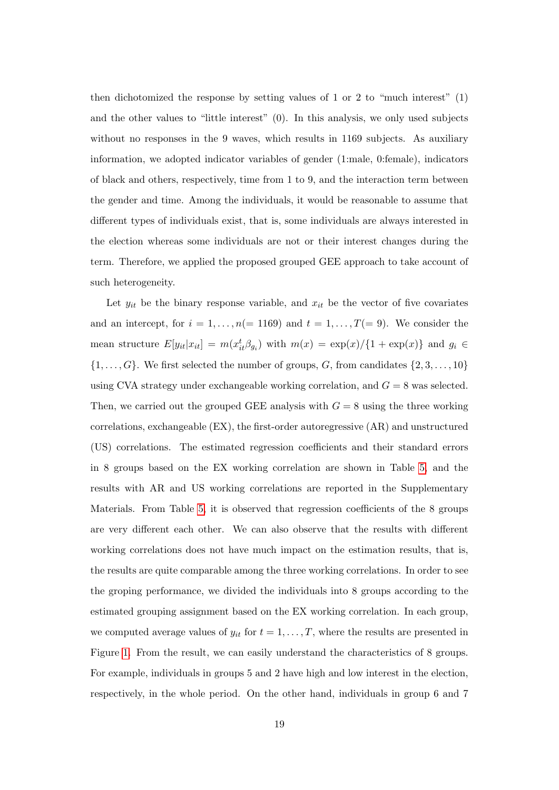then dichotomized the response by setting values of 1 or 2 to "much interest" (1) and the other values to "little interest" (0). In this analysis, we only used subjects without no responses in the 9 waves, which results in 1169 subjects. As auxiliary information, we adopted indicator variables of gender (1:male, 0:female), indicators of black and others, respectively, time from 1 to 9, and the interaction term between the gender and time. Among the individuals, it would be reasonable to assume that different types of individuals exist, that is, some individuals are always interested in the election whereas some individuals are not or their interest changes during the term. Therefore, we applied the proposed grouped GEE approach to take account of such heterogeneity.

Let  $y_{it}$  be the binary response variable, and  $x_{it}$  be the vector of five covariates and an intercept, for  $i = 1, \ldots, n (= 1169)$  and  $t = 1, \ldots, T (= 9)$ . We consider the mean structure  $E[y_{it}|x_{it}] = m(x_{it}^t \beta_{g_i})$  with  $m(x) = \exp(x)/\{1 + \exp(x)\}\$  and  $g_i \in$  $\{1, \ldots, G\}$ . We first selected the number of groups, G, from candidates  $\{2, 3, \ldots, 10\}$ using CVA strategy under exchangeable working correlation, and  $G = 8$  was selected. Then, we carried out the grouped GEE analysis with  $G = 8$  using the three working correlations, exchangeable (EX), the first-order autoregressive (AR) and unstructured (US) correlations. The estimated regression coefficients and their standard errors in 8 groups based on the EX working correlation are shown in Table [5,](#page-20-0) and the results with AR and US working correlations are reported in the Supplementary Materials. From Table [5,](#page-20-0) it is observed that regression coefficients of the 8 groups are very different each other. We can also observe that the results with different working correlations does not have much impact on the estimation results, that is, the results are quite comparable among the three working correlations. In order to see the groping performance, we divided the individuals into 8 groups according to the estimated grouping assignment based on the EX working correlation. In each group, we computed average values of  $y_{it}$  for  $t = 1, \ldots, T$ , where the results are presented in Figure [1.](#page-19-1) From the result, we can easily understand the characteristics of 8 groups. For example, individuals in groups 5 and 2 have high and low interest in the election, respectively, in the whole period. On the other hand, individuals in group 6 and 7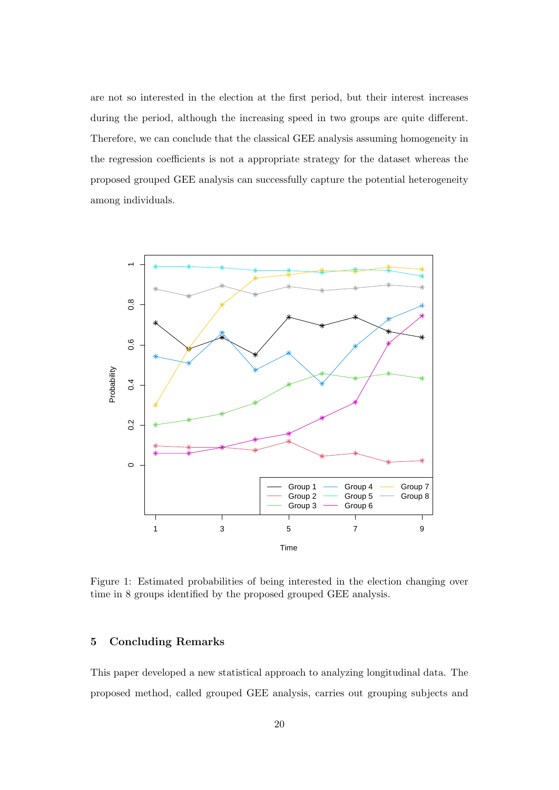are not so interested in the election at the first period, but their interest increases during the period, although the increasing speed in two groups are quite different. Therefore, we can conclude that the classical GEE analysis assuming homogeneity in the regression coefficients is not a appropriate strategy for the dataset whereas the proposed grouped GEE analysis can successfully capture the potential heterogeneity among individuals.



<span id="page-19-1"></span>Figure 1: Estimated probabilities of being interested in the election changing over time in 8 groups identified by the proposed grouped GEE analysis.

## <span id="page-19-0"></span>5 Concluding Remarks

This paper developed a new statistical approach to analyzing longitudinal data. The proposed method, called grouped GEE analysis, carries out grouping subjects and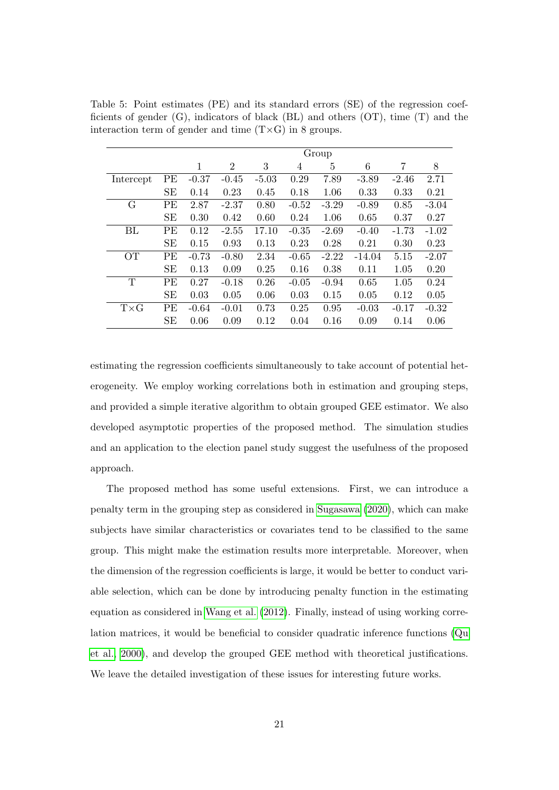|             |           |         |                |         |         | Group   |          |         |         |
|-------------|-----------|---------|----------------|---------|---------|---------|----------|---------|---------|
|             |           | 1       | $\overline{2}$ | 3       | 4       | 5       | 6        | 7       | 8       |
| Intercept   | PE        | $-0.37$ | $-0.45$        | $-5.03$ | 0.29    | 7.89    | $-3.89$  | $-2.46$ | 2.71    |
|             | <b>SE</b> | 0.14    | 0.23           | 0.45    | 0.18    | 1.06    | 0.33     | 0.33    | 0.21    |
| G           | PE        | 2.87    | $-2.37$        | 0.80    | $-0.52$ | $-3.29$ | $-0.89$  | 0.85    | $-3.04$ |
|             | <b>SE</b> | 0.30    | 0.42           | 0.60    | 0.24    | 1.06    | 0.65     | 0.37    | 0.27    |
| BL          | PE        | 0.12    | $-2.55$        | 17.10   | $-0.35$ | $-2.69$ | $-0.40$  | $-1.73$ | $-1.02$ |
|             | <b>SE</b> | 0.15    | 0.93           | 0.13    | 0.23    | 0.28    | 0.21     | 0.30    | 0.23    |
| OТ          | PE        | $-0.73$ | $-0.80$        | 2.34    | $-0.65$ | $-2.22$ | $-14.04$ | 5.15    | $-2.07$ |
|             | <b>SE</b> | 0.13    | 0.09           | 0.25    | 0.16    | 0.38    | 0.11     | 1.05    | 0.20    |
| T           | PE        | 0.27    | $-0.18$        | 0.26    | $-0.05$ | $-0.94$ | 0.65     | 1.05    | 0.24    |
|             | <b>SE</b> | 0.03    | 0.05           | 0.06    | 0.03    | 0.15    | 0.05     | 0.12    | 0.05    |
| $T\times G$ | PE        | $-0.64$ | $-0.01$        | 0.73    | 0.25    | 0.95    | $-0.03$  | $-0.17$ | $-0.32$ |
|             | <b>SE</b> | 0.06    | 0.09           | 0.12    | 0.04    | 0.16    | 0.09     | 0.14    | 0.06    |

<span id="page-20-0"></span>Table 5: Point estimates (PE) and its standard errors (SE) of the regression coefficients of gender (G), indicators of black (BL) and others (OT), time (T) and the interaction term of gender and time  $(T \times G)$  in 8 groups.

estimating the regression coefficients simultaneously to take account of potential heterogeneity. We employ working correlations both in estimation and grouping steps, and provided a simple iterative algorithm to obtain grouped GEE estimator. We also developed asymptotic properties of the proposed method. The simulation studies and an application to the election panel study suggest the usefulness of the proposed approach.

The proposed method has some useful extensions. First, we can introduce a penalty term in the grouping step as considered in [Sugasawa \(2020\)](#page-22-9), which can make subjects have similar characteristics or covariates tend to be classified to the same group. This might make the estimation results more interpretable. Moreover, when the dimension of the regression coefficients is large, it would be better to conduct variable selection, which can be done by introducing penalty function in the estimating equation as considered in [Wang et al. \(2012\)](#page-23-9). Finally, instead of using working correlation matrices, it would be beneficial to consider quadratic inference functions [\(Qu](#page-22-10) [et al., 2000\)](#page-22-10), and develop the grouped GEE method with theoretical justifications. We leave the detailed investigation of these issues for interesting future works.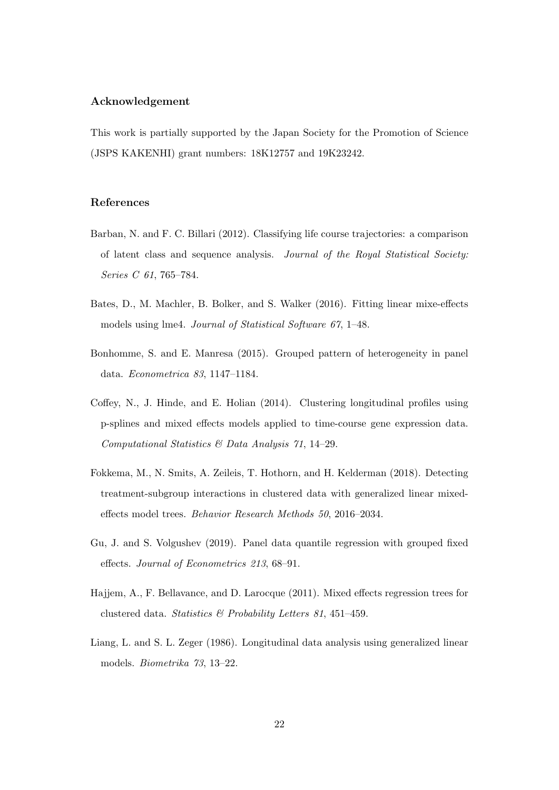#### Acknowledgement

This work is partially supported by the Japan Society for the Promotion of Science (JSPS KAKENHI) grant numbers: 18K12757 and 19K23242.

## References

- <span id="page-21-1"></span>Barban, N. and F. C. Billari (2012). Classifying life course trajectories: a comparison of latent class and sequence analysis. Journal of the Royal Statistical Society: Series C 61, 765–784.
- <span id="page-21-7"></span>Bates, D., M. Machler, B. Bolker, and S. Walker (2016). Fitting linear mixe-effects models using lme4. Journal of Statistical Software 67, 1–48.
- <span id="page-21-2"></span>Bonhomme, S. and E. Manresa (2015). Grouped pattern of heterogeneity in panel data. Econometrica 83, 1147–1184.
- <span id="page-21-6"></span>Coffey, N., J. Hinde, and E. Holian (2014). Clustering longitudinal profiles using p-splines and mixed effects models applied to time-course gene expression data. Computational Statistics & Data Analysis 71, 14–29.
- <span id="page-21-5"></span>Fokkema, M., N. Smits, A. Zeileis, T. Hothorn, and H. Kelderman (2018). Detecting treatment-subgroup interactions in clustered data with generalized linear mixedeffects model trees. Behavior Research Methods 50, 2016–2034.
- <span id="page-21-3"></span>Gu, J. and S. Volgushev (2019). Panel data quantile regression with grouped fixed effects. Journal of Econometrics 213, 68–91.
- <span id="page-21-4"></span>Hajjem, A., F. Bellavance, and D. Larocque (2011). Mixed effects regression trees for clustered data. Statistics & Probability Letters 81, 451–459.
- <span id="page-21-0"></span>Liang, L. and S. L. Zeger (1986). Longitudinal data analysis using generalized linear models. Biometrika 73, 13–22.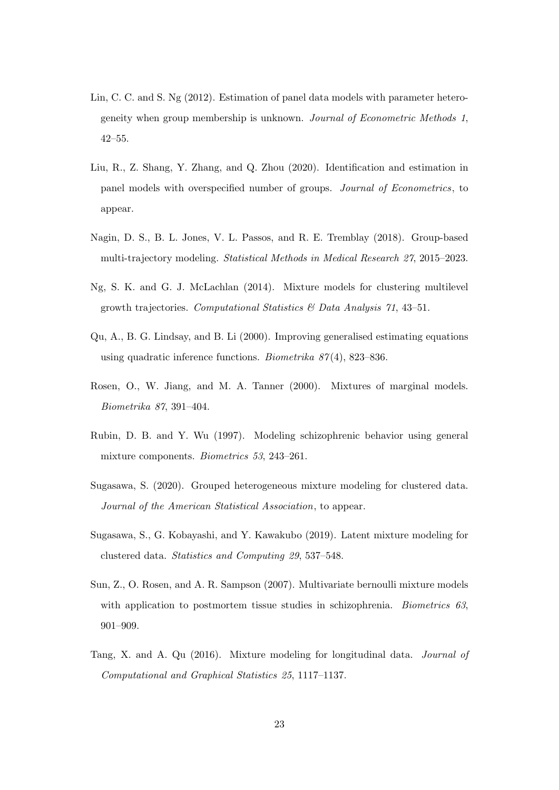- <span id="page-22-0"></span>Lin, C. C. and S. Ng (2012). Estimation of panel data models with parameter heterogeneity when group membership is unknown. Journal of Econometric Methods 1, 42–55.
- <span id="page-22-2"></span>Liu, R., Z. Shang, Y. Zhang, and Q. Zhou (2020). Identification and estimation in panel models with overspecified number of groups. Journal of Econometrics, to appear.
- <span id="page-22-1"></span>Nagin, D. S., B. L. Jones, V. L. Passos, and R. E. Tremblay (2018). Group-based multi-trajectory modeling. Statistical Methods in Medical Research 27, 2015–2023.
- <span id="page-22-5"></span>Ng, S. K. and G. J. McLachlan (2014). Mixture models for clustering multilevel growth trajectories. Computational Statistics  $\mathcal{C}'$  Data Analysis 71, 43–51.
- <span id="page-22-10"></span>Qu, A., B. G. Lindsay, and B. Li (2000). Improving generalised estimating equations using quadratic inference functions. *Biometrika*  $87(4)$ , 823–836.
- <span id="page-22-7"></span>Rosen, O., W. Jiang, and M. A. Tanner (2000). Mixtures of marginal models. Biometrika 87, 391–404.
- <span id="page-22-3"></span>Rubin, D. B. and Y. Wu (1997). Modeling schizophrenic behavior using general mixture components. Biometrics 53, 243–261.
- <span id="page-22-9"></span>Sugasawa, S. (2020). Grouped heterogeneous mixture modeling for clustered data. Journal of the American Statistical Association, to appear.
- <span id="page-22-6"></span>Sugasawa, S., G. Kobayashi, and Y. Kawakubo (2019). Latent mixture modeling for clustered data. Statistics and Computing 29, 537–548.
- <span id="page-22-4"></span>Sun, Z., O. Rosen, and A. R. Sampson (2007). Multivariate bernoulli mixture models with application to postmortem tissue studies in schizophrenia. Biometrics  $63$ , 901–909.
- <span id="page-22-8"></span>Tang, X. and A. Qu (2016). Mixture modeling for longitudinal data. Journal of Computational and Graphical Statistics 25, 1117–1137.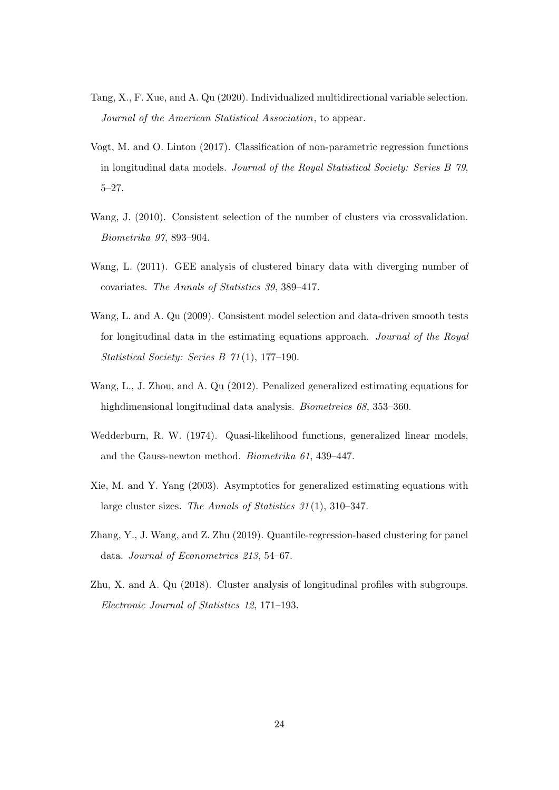- <span id="page-23-4"></span>Tang, X., F. Xue, and A. Qu (2020). Individualized multidirectional variable selection. Journal of the American Statistical Association, to appear.
- <span id="page-23-2"></span>Vogt, M. and O. Linton (2017). Classification of non-parametric regression functions in longitudinal data models. Journal of the Royal Statistical Society: Series B 79, 5–27.
- <span id="page-23-1"></span>Wang, J. (2010). Consistent selection of the number of clusters via crossvalidation. Biometrika 97, 893–904.
- <span id="page-23-8"></span>Wang, L. (2011). GEE analysis of clustered binary data with diverging number of covariates. The Annals of Statistics 39, 389–417.
- <span id="page-23-6"></span>Wang, L. and A. Qu (2009). Consistent model selection and data-driven smooth tests for longitudinal data in the estimating equations approach. *Journal of the Royal* Statistical Society: Series B 71 (1), 177–190.
- <span id="page-23-9"></span>Wang, L., J. Zhou, and A. Qu (2012). Penalized generalized estimating equations for highdimensional longitudinal data analysis. Biometreics 68, 353–360.
- <span id="page-23-5"></span>Wedderburn, R. W. (1974). Quasi-likelihood functions, generalized linear models, and the Gauss-newton method. Biometrika 61, 439–447.
- <span id="page-23-7"></span>Xie, M. and Y. Yang (2003). Asymptotics for generalized estimating equations with large cluster sizes. The Annals of Statistics 31 (1), 310–347.
- <span id="page-23-0"></span>Zhang, Y., J. Wang, and Z. Zhu (2019). Quantile-regression-based clustering for panel data. Journal of Econometrics 213, 54–67.
- <span id="page-23-3"></span>Zhu, X. and A. Qu (2018). Cluster analysis of longitudinal profiles with subgroups. Electronic Journal of Statistics 12, 171–193.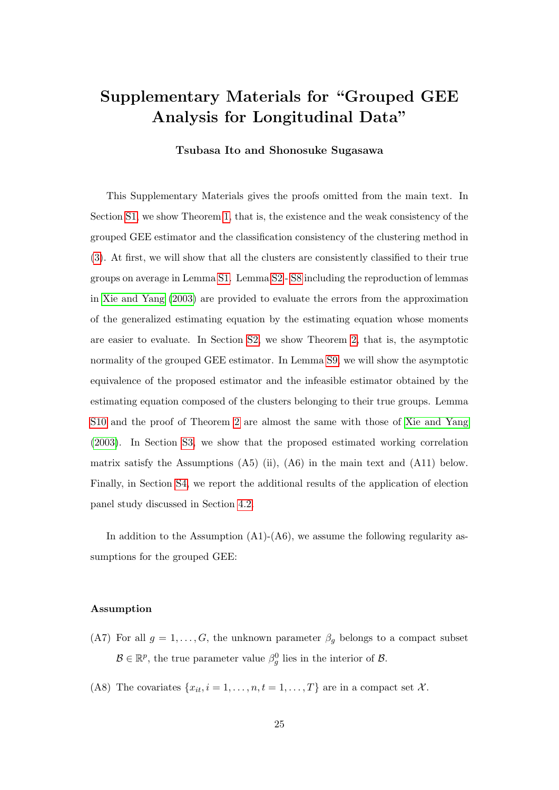# Supplementary Materials for "Grouped GEE Analysis for Longitudinal Data"

## Tsubasa Ito and Shonosuke Sugasawa

This Supplementary Materials gives the proofs omitted from the main text. In Section [S1,](#page-1-0) we show Theorem [1,](#page-11-0) that is, the existence and the weak consistency of the grouped GEE estimator and the classification consistency of the clustering method in [\(3\)](#page-5-1). At first, we will show that all the clusters are consistently classified to their true groups on average in Lemma [S1.](#page-26-0) Lemma [S2](#page-36-0)- [S8](#page-46-0) including the reproduction of lemmas in [Xie and Yang \(2003\)](#page-23-7) are provided to evaluate the errors from the approximation of the generalized estimating equation by the estimating equation whose moments are easier to evaluate. In Section [S2,](#page-3-0) we show Theorem [2,](#page-12-1) that is, the asymptotic normality of the grouped GEE estimator. In Lemma [S9,](#page-53-0) we will show the asymptotic equivalence of the proposed estimator and the infeasible estimator obtained by the estimating equation composed of the clusters belonging to their true groups. Lemma [S10](#page-54-0) and the proof of Theorem [2](#page-12-1) are almost the same with those of [Xie and Yang](#page-23-7) [\(2003\)](#page-23-7). In Section [S3,](#page-8-0) we show that the proposed estimated working correlation matrix satisfy the Assumptions  $(A5)$  (ii),  $(A6)$  in the main text and  $(A11)$  below. Finally, in Section [S4,](#page-12-0) we report the additional results of the application of election panel study discussed in Section [4.2.](#page-15-0)

In addition to the Assumption  $(A1)-(A6)$ , we assume the following regularity assumptions for the grouped GEE:

#### Assumption

- (A7) For all  $g = 1, \ldots, G$ , the unknown parameter  $\beta_g$  belongs to a compact subset  $\mathcal{B} \in \mathbb{R}^p$ , the true parameter value  $\beta_g^0$  lies in the interior of  $\mathcal{B}$ .
- (A8) The covariates  $\{x_{it}, i = 1, \ldots, n, t = 1, \ldots, T\}$  are in a compact set X.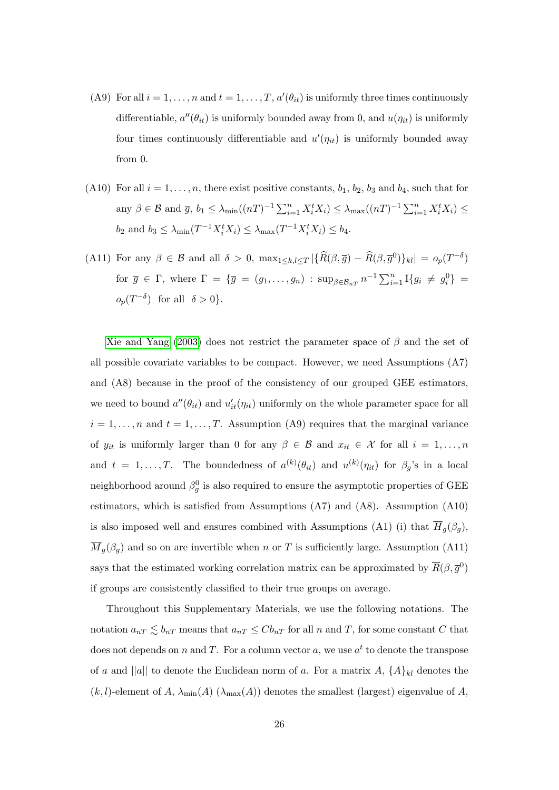- (A9) For all  $i = 1, ..., n$  and  $t = 1, ..., T$ ,  $a'(\theta_{it})$  is uniformly three times continuously differentiable,  $a''(\theta_{it})$  is uniformly bounded away from 0, and  $u(\eta_{it})$  is uniformly four times continuously differentiable and  $u'(\eta_{it})$  is uniformly bounded away from 0.
- (A10) For all  $i = 1, \ldots, n$ , there exist positive constants,  $b_1, b_2, b_3$  and  $b_4$ , such that for any  $\beta \in \mathcal{B}$  and  $\overline{g}$ ,  $b_1 \leq \lambda_{\min} ((nT)^{-1} \sum_{i=1}^n X_i^t X_i) \leq \lambda_{\max} ((nT)^{-1} \sum_{i=1}^n X_i^t X_i) \leq$  $b_2$  and  $b_3 \leq \lambda_{\min}(T^{-1}X_i^t X_i) \leq \lambda_{\max}(T^{-1}X_i^t X_i) \leq b_4$ .
- (A11) For any  $\beta \in \mathcal{B}$  and all  $\delta > 0$ ,  $\max_{1 \leq k,l \leq T} |\{\widehat{R}(\beta,\overline{g}) \widehat{R}(\beta,\overline{g}^{0})\}_{kl}| = o_p(T^{-\delta})$ for  $\bar{g} \in \Gamma$ , where  $\Gamma = {\bar{g}} = (g_1, \ldots, g_n)$  :  $\sup_{\beta \in \mathcal{B}_{nT}} n^{-1} \sum_{i=1}^n \mathbb{I} \{g_i \neq g_i^0\}$  $o_p(T^{-\delta})$  for all  $\delta > 0$ .

[Xie and Yang \(2003\)](#page-23-7) does not restrict the parameter space of  $\beta$  and the set of all possible covariate variables to be compact. However, we need Assumptions (A7) and (A8) because in the proof of the consistency of our grouped GEE estimators, we need to bound  $a''(\theta_{it})$  and  $u'_{it}(\eta_{it})$  uniformly on the whole parameter space for all  $i = 1, \ldots, n$  and  $t = 1, \ldots, T$ . Assumption (A9) requires that the marginal variance of  $y_{it}$  is uniformly larger than 0 for any  $\beta \in \mathcal{B}$  and  $x_{it} \in \mathcal{X}$  for all  $i = 1, ..., n$ and  $t = 1, ..., T$ . The boundedness of  $a^{(k)}(\theta_{it})$  and  $u^{(k)}(\eta_{it})$  for  $\beta_g$ 's in a local neighborhood around  $\beta_g^0$  is also required to ensure the asymptotic properties of GEE estimators, which is satisfied from Assumptions (A7) and (A8). Assumption (A10) is also imposed well and ensures combined with Assumptions (A1) (i) that  $H_g(\beta_g)$ ,  $\overline{M}_g(\beta_g)$  and so on are invertible when n or T is sufficiently large. Assumption (A11) says that the estimated working correlation matrix can be approximated by  $\overline{R}(\beta, \overline{g}^0)$ if groups are consistently classified to their true groups on average.

Throughout this Supplementary Materials, we use the following notations. The notation  $a_{nT} \lesssim b_{nT}$  means that  $a_{nT} \leq Cb_{nT}$  for all n and T, for some constant C that does not depends on n and T. For a column vector a, we use  $a^t$  to denote the transpose of a and ||a|| to denote the Euclidean norm of a. For a matrix  $A, \{A\}_{kl}$  denotes the  $(k, l)$ -element of A,  $\lambda_{\min}(A)$  ( $\lambda_{\max}(A)$ ) denotes the smallest (largest) eigenvalue of A,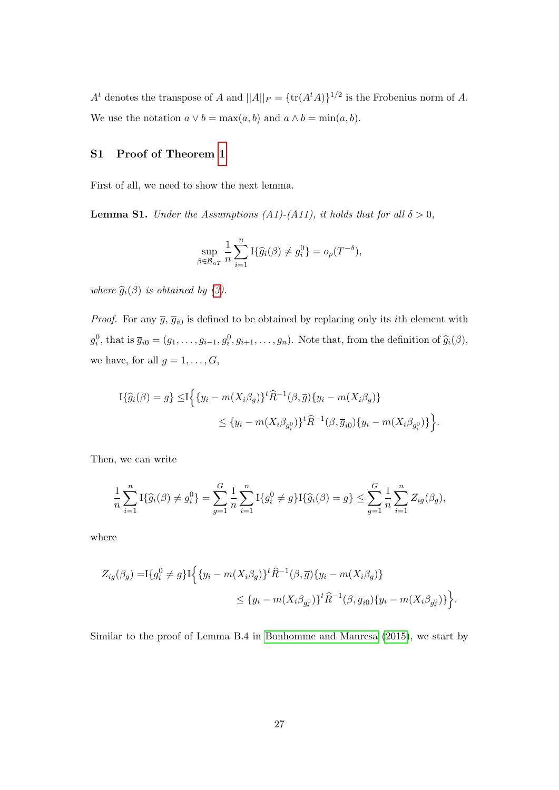$A<sup>t</sup>$  denotes the transpose of A and  $||A||_F = \{\text{tr}(A<sup>t</sup>A)\}^{1/2}$  is the Frobenius norm of A. We use the notation  $a \vee b = \max(a, b)$  and  $a \wedge b = \min(a, b)$ .

#### S1 Proof of Theorem [1](#page-11-0)

First of all, we need to show the next lemma.

<span id="page-26-0"></span>**Lemma S1.** Under the Assumptions (A1)-(A11), it holds that for all  $\delta > 0$ ,

$$
\sup_{\beta \in \mathcal{B}_{nT}} \frac{1}{n} \sum_{i=1}^n \mathrm{I}\{\widehat{g}_i(\beta) \neq g_i^0\} = o_p(T^{-\delta}),
$$

where  $\widehat{g}_i(\beta)$  is obtained by [\(3\)](#page-5-1).

*Proof.* For any  $\bar{g}$ ,  $\bar{g}_{i0}$  is defined to be obtained by replacing only its *i*th element with  $g_i^0$ , that is  $\overline{g}_{i0} = (g_1, \ldots, g_{i-1}, g_i^0, g_{i+1}, \ldots, g_n)$ . Note that, from the definition of  $\widehat{g}_i(\beta)$ , we have, for all  $g = 1, \ldots, G$ ,

$$
\begin{aligned} \mathcal{I}\{\widehat{g}_i(\beta) = g\} \leq & \mathcal{I}\Big\{\{y_i - m(X_i\beta_g)\}^t \widehat{R}^{-1}(\beta, \overline{g}) \{y_i - m(X_i\beta_g)\} \\ &\leq \{y_i - m(X_i\beta_{g_i^0})\}^t \widehat{R}^{-1}(\beta, \overline{g}_{i0}) \{y_i - m(X_i\beta_{g_i^0})\}\Big\}. \end{aligned}
$$

Then, we can write

$$
\frac{1}{n}\sum_{i=1}^n I\{\widehat{g}_i(\beta) \neq g_i^0\} = \sum_{g=1}^G \frac{1}{n}\sum_{i=1}^n I\{g_i^0 \neq g\} I\{\widehat{g}_i(\beta) = g\} \le \sum_{g=1}^G \frac{1}{n}\sum_{i=1}^n Z_{ig}(\beta_g),
$$

where

$$
Z_{ig}(\beta_g) = \mathbb{I}\{g_i^0 \neq g\} \mathbb{I}\Big\{\{y_i - m(X_i\beta_g)\}^t \widehat{R}^{-1}(\beta, \overline{g}) \{y_i - m(X_i\beta_g)\} \Big\}
$$
  

$$
\leq \{y_i - m(X_i\beta_{g_i^0})\}^t \widehat{R}^{-1}(\beta, \overline{g}_{i0}) \{y_i - m(X_i\beta_{g_i^0})\} \Big\}.
$$

Similar to the proof of Lemma B.4 in [Bonhomme and Manresa \(2015\)](#page-21-2), we start by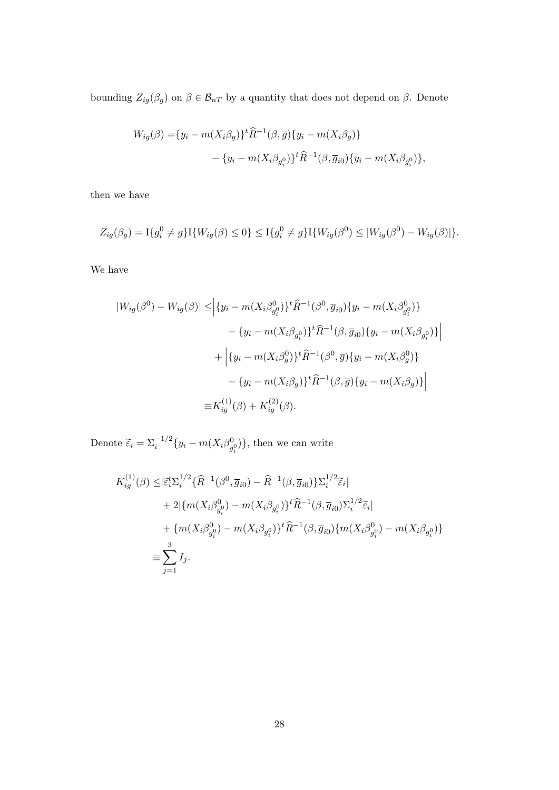bounding  $Z_{ig}(\beta_g)$  on  $\beta \in \mathcal{B}_{nT}$  by a quantity that does not depend on  $\beta$ . Denote

$$
W_{ig}(\beta) = \{y_i - m(X_i \beta_g)\}^t \hat{R}^{-1}(\beta, \overline{g}) \{y_i - m(X_i \beta_g)\} - \{y_i - m(X_i \beta_{g_i^0})\}^t \hat{R}^{-1}(\beta, \overline{g}_{i0}) \{y_i - m(X_i \beta_{g_i^0})\},
$$

then we have

$$
Z_{ig}(\beta_g) = \mathcal{I}\{g_i^0 \neq g\} \mathcal{I}\{W_{ig}(\beta) \leq 0\} \leq \mathcal{I}\{g_i^0 \neq g\} \mathcal{I}\{W_{ig}(\beta^0) \leq |W_{ig}(\beta^0) - W_{ig}(\beta)|\}.
$$

We have

$$
|W_{ig}(\beta^{0}) - W_{ig}(\beta)| \leq |{y_i - m(X_i\beta_{g_i^0}^0)}^t \hat{R}^{-1}(\beta^0, \overline{g}_{i0})\{y_i - m(X_i\beta_{g_i^0}^0)\}\n- \{y_i - m(X_i\beta_{g_i^0})^t \hat{R}^{-1}(\beta, \overline{g}_{i0})\{y_i - m(X_i\beta_{g_i^0})\}\n+ \Big|{y_i - m(X_i\beta_g^0)}^t \hat{R}^{-1}(\beta^0, \overline{g})\{y_i - m(X_i\beta_g^0)\}\n- \{y_i - m(X_i\beta_g)\}^t \hat{R}^{-1}(\beta, \overline{g})\{y_i - m(X_i\beta_g)\}\Big|
$$
\n
$$
= K_{ig}^{(1)}(\beta) + K_{ig}^{(2)}(\beta).
$$

Denote  $\widetilde{\varepsilon}_i = \Sigma_i^{-1/2} \{ y_i - m(X_i \beta_g^0) \}$  $\{g_i^0\}$ , then we can write

$$
K_{ig}^{(1)}(\beta) \leq |\tilde{\varepsilon}_{i}^{t} \Sigma_{i}^{1/2} \{\hat{R}^{-1}(\beta^{0}, \overline{g}_{i0}) - \hat{R}^{-1}(\beta, \overline{g}_{i0})\} \Sigma_{i}^{1/2} \tilde{\varepsilon}_{i}|
$$
  
+ 2|{ $m(X_{i}\beta_{g_{i}}^{0}) - m(X_{i}\beta_{g_{i}}^{0})\}^{t} \hat{R}^{-1}(\beta, \overline{g}_{i0}) \Sigma_{i}^{1/2} \tilde{\varepsilon}_{i}|$   
+ { $m(X_{i}\beta_{g_{i}}^{0}) - m(X_{i}\beta_{g_{i}}^{0})\}^{t} \hat{R}^{-1}(\beta, \overline{g}_{i0}){m(X_{i}\beta_{g_{i}}^{0}) - m(X_{i}\beta_{g_{i}}^{0})}$   
 $\equiv \sum_{j=1}^{3} I_{j}.$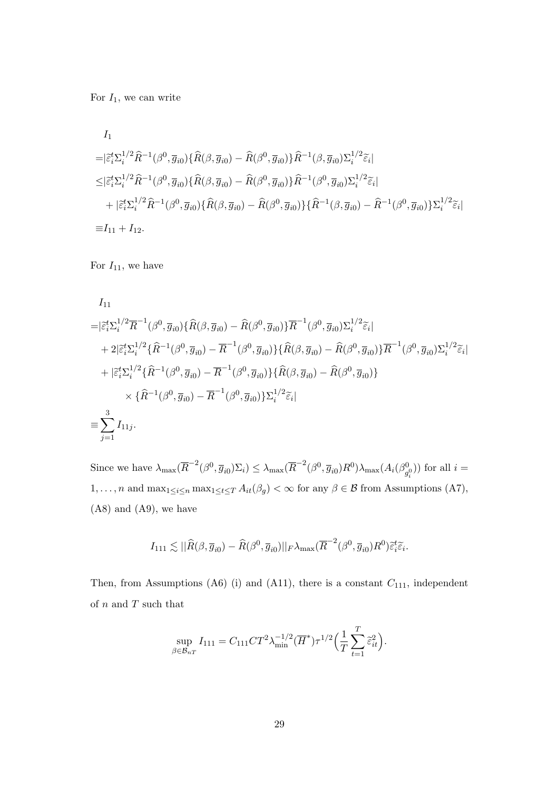For  $I_1$ , we can write

$$
I_{1}
$$
\n
$$
=|\tilde{\varepsilon}_{i}^{t}\Sigma_{i}^{1/2}\hat{R}^{-1}(\beta^{0},\overline{g}_{i0})\{\hat{R}(\beta,\overline{g}_{i0})-\hat{R}(\beta^{0},\overline{g}_{i0})\}\hat{R}^{-1}(\beta,\overline{g}_{i0})\Sigma_{i}^{1/2}\tilde{\varepsilon}_{i}|
$$
\n
$$
\leq|\tilde{\varepsilon}_{i}^{t}\Sigma_{i}^{1/2}\hat{R}^{-1}(\beta^{0},\overline{g}_{i0})\{\hat{R}(\beta,\overline{g}_{i0})-\hat{R}(\beta^{0},\overline{g}_{i0})\}\hat{R}^{-1}(\beta^{0},\overline{g}_{i0})\Sigma_{i}^{1/2}\tilde{\varepsilon}_{i}|
$$
\n
$$
+|\tilde{\varepsilon}_{i}^{t}\Sigma_{i}^{1/2}\hat{R}^{-1}(\beta^{0},\overline{g}_{i0})\{\hat{R}(\beta,\overline{g}_{i0})-\hat{R}(\beta^{0},\overline{g}_{i0})\}\{\hat{R}^{-1}(\beta,\overline{g}_{i0})-\hat{R}^{-1}(\beta^{0},\overline{g}_{i0})\}\Sigma_{i}^{1/2}\tilde{\varepsilon}_{i}|
$$
\n
$$
\equiv I_{11} + I_{12}.
$$

For  $I_{11}$ , we have

$$
I_{11}
$$
\n
$$
=|\tilde{\varepsilon}_{i}^{t}\Sigma_{i}^{1/2}\overline{R}^{-1}(\beta^{0},\overline{g}_{i0})\{\widehat{R}(\beta,\overline{g}_{i0})-\widehat{R}(\beta^{0},\overline{g}_{i0})\}\overline{R}^{-1}(\beta^{0},\overline{g}_{i0})\Sigma_{i}^{1/2}\tilde{\varepsilon}_{i}|
$$
\n
$$
+2|\tilde{\varepsilon}_{i}^{t}\Sigma_{i}^{1/2}\{\widehat{R}^{-1}(\beta^{0},\overline{g}_{i0})-\overline{R}^{-1}(\beta^{0},\overline{g}_{i0})\}\{\widehat{R}(\beta,\overline{g}_{i0})-\widehat{R}(\beta^{0},\overline{g}_{i0})\}\overline{R}^{-1}(\beta^{0},\overline{g}_{i0})\Sigma_{i}^{1/2}\tilde{\varepsilon}_{i}|
$$
\n
$$
+|\tilde{\varepsilon}_{i}^{t}\Sigma_{i}^{1/2}\{\widehat{R}^{-1}(\beta^{0},\overline{g}_{i0})-\overline{R}^{-1}(\beta^{0},\overline{g}_{i0})\}\{\widehat{R}(\beta,\overline{g}_{i0})-\widehat{R}(\beta^{0},\overline{g}_{i0})\}
$$
\n
$$
\times \{\widehat{R}^{-1}(\beta^{0},\overline{g}_{i0})-\overline{R}^{-1}(\beta^{0},\overline{g}_{i0})\}\Sigma_{i}^{1/2}\widetilde{\varepsilon}_{i}|
$$
\n
$$
\equiv \sum_{j=1}^{3} I_{11j}.
$$

Since we have  $\lambda_{\max}(\overline{R}^{-2}(\beta^0, \overline{g}_{i0})\Sigma_i) \leq \lambda_{\max}(\overline{R}^{-2}(\beta^0, \overline{g}_{i0})R^0)\lambda_{\max}(A_i(\beta^0_{g}))$  $(g_i^0)$ ) for all  $i =$ 1, ..., *n* and max<sub>1≤i≤n</sub> max<sub>1≤t≤T</sub>  $A_{it}(\beta_g) < \infty$  for any  $\beta \in \mathcal{B}$  from Assumptions (A7),  $(A8)$  and  $(A9)$ , we have

$$
I_{111} \lesssim ||\widehat{R}(\beta, \overline{g}_{i0}) - \widehat{R}(\beta^0, \overline{g}_{i0})||_F \lambda_{\max} (\overline{R}^{-2}(\beta^0, \overline{g}_{i0})R^0) \widetilde{\varepsilon}_i^t \widetilde{\varepsilon}_i.
$$

Then, from Assumptions (A6) (i) and (A11), there is a constant  $C_{111}$ , independent of  $n$  and  $T$  such that

$$
\sup_{\beta \in \mathcal{B}_{nT}} I_{111} = C_{111} C T^2 \lambda_{\min}^{-1/2} (\overline{H}^*) \tau^{1/2} \Big(\frac{1}{T} \sum_{t=1}^T \tilde{\varepsilon}_{it}^2\Big).
$$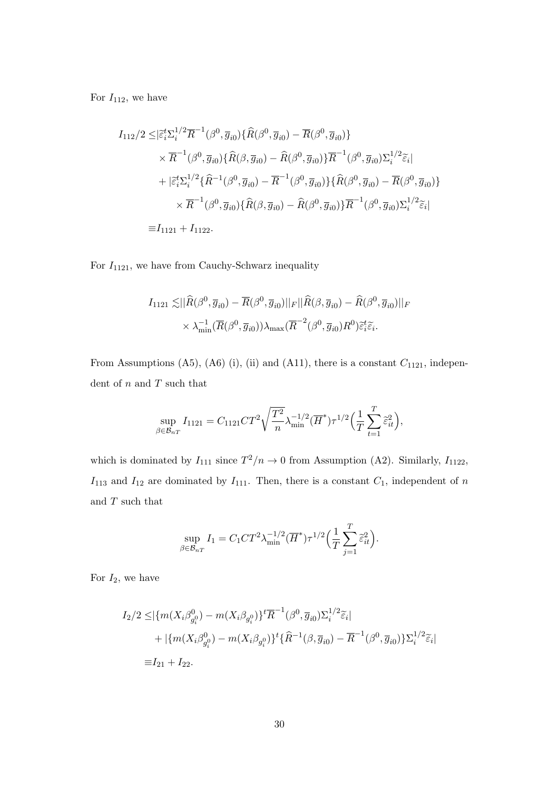For  $I_{112}$ , we have

$$
I_{112}/2 \leq |\tilde{\varepsilon}_{i}^{t}\Sigma_{i}^{1/2}\overline{R}^{-1}(\beta^{0},\overline{g}_{i0})\{\widehat{R}(\beta^{0},\overline{g}_{i0})-\overline{R}(\beta^{0},\overline{g}_{i0})\}\n\times \overline{R}^{-1}(\beta^{0},\overline{g}_{i0})\{\widehat{R}(\beta,\overline{g}_{i0})-\widehat{R}(\beta^{0},\overline{g}_{i0})\}\overline{R}^{-1}(\beta^{0},\overline{g}_{i0})\Sigma_{i}^{1/2}\widetilde{\varepsilon}_{i}\n+|\tilde{\varepsilon}_{i}^{t}\Sigma_{i}^{1/2}\{\widehat{R}^{-1}(\beta^{0},\overline{g}_{i0})-\overline{R}^{-1}(\beta^{0},\overline{g}_{i0})\}\{\widehat{R}(\beta^{0},\overline{g}_{i0})-\overline{R}(\beta^{0},\overline{g}_{i0})\}\n\times \overline{R}^{-1}(\beta^{0},\overline{g}_{i0})\{\widehat{R}(\beta,\overline{g}_{i0})-\widehat{R}(\beta^{0},\overline{g}_{i0})\}\overline{R}^{-1}(\beta^{0},\overline{g}_{i0})\Sigma_{i}^{1/2}\widetilde{\varepsilon}_{i}\n=I_{1121}+I_{1122}.
$$

For  $I_{1121}$ , we have from Cauchy-Schwarz inequality

$$
I_{1121} \lesssim \|\widehat{R}(\beta^0, \overline{g}_{i0}) - \overline{R}(\beta^0, \overline{g}_{i0})\|_F \|\widehat{R}(\beta, \overline{g}_{i0}) - \widehat{R}(\beta^0, \overline{g}_{i0})\|_F
$$

$$
\times \lambda_{\min}^{-1}(\overline{R}(\beta^0, \overline{g}_{i0}))\lambda_{\max}(\overline{R}^{-2}(\beta^0, \overline{g}_{i0})R^0)\widetilde{\varepsilon}_i^t\widetilde{\varepsilon}_i.
$$

From Assumptions (A5), (A6) (i), (ii) and (A11), there is a constant  $C_{1121}$ , independent of  $\boldsymbol{n}$  and  $\boldsymbol{T}$  such that

$$
\sup_{\beta \in \mathcal{B}_{nT}} I_{1121} = C_{1121} C T^2 \sqrt{\frac{T^2}{n}} \lambda_{\min}^{-1/2} (\overline{H}^*) \tau^{1/2} \Big(\frac{1}{T} \sum_{t=1}^T \hat{\varepsilon}_{it}^2 \Big),
$$

which is dominated by  $I_{111}$  since  $T^2/n \to 0$  from Assumption (A2). Similarly,  $I_{1122}$ ,  $I_{113}$  and  $I_{12}$  are dominated by  $I_{111}$ . Then, there is a constant  $C_1$ , independent of n and  $\cal T$  such that

$$
\sup_{\beta \in \mathcal{B}_{nT}} I_1 = C_1 C T^2 \lambda_{\min}^{-1/2} (\overline{H}^*) \tau^{1/2} \Big( \frac{1}{T} \sum_{j=1}^T \widetilde{\varepsilon}_{it}^2 \Big).
$$

For  $I_2$ , we have

$$
I_2/2 \leq |\{m(X_i \beta_{g_i^0}^0) - m(X_i \beta_{g_i^0})\}^t \overline{R}^{-1}(\beta^0, \overline{g}_{i0}) \Sigma_i^{1/2} \widetilde{\varepsilon}_i|
$$
  
+ |\{m(X\_i \beta\_{g\_i^0}^0) - m(X\_i \beta\_{g\_i^0})\}^t \{\widehat{R}^{-1}(\beta, \overline{g}\_{i0}) - \overline{R}^{-1}(\beta^0, \overline{g}\_{i0})\} \Sigma\_i^{1/2} \widetilde{\varepsilon}\_i|  
\equiv I\_{21} + I\_{22}.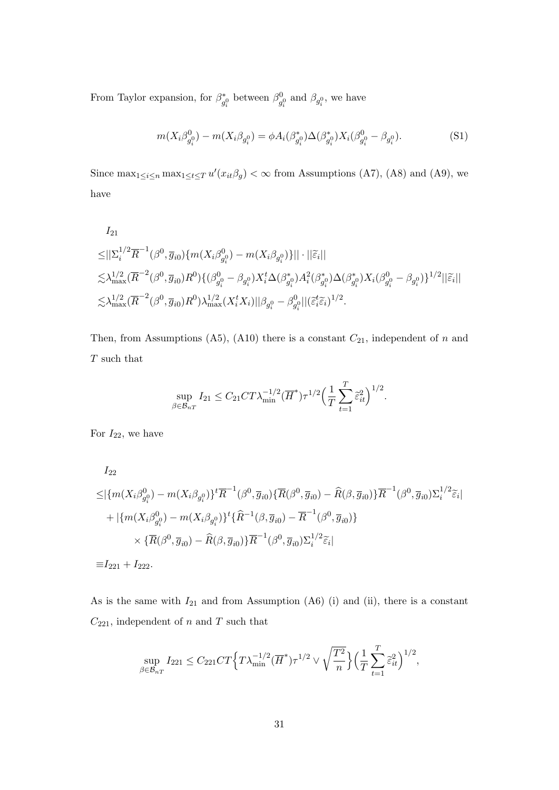From Taylor expansion, for  $\beta^*$ <sup>\*</sup><sub>g<sup>0</sub></sup> between  $\beta_g^0$ </sub>  $\beta_{g_i^0}^{0}$  and  $\beta_{g_i^0}$ , we have

<span id="page-30-0"></span>
$$
m(X_i \beta_{g_i^0}^0) - m(X_i \beta_{g_i^0}) = \phi A_i(\beta_{g_i^0}^*) \Delta(\beta_{g_i^0}^*) X_i(\beta_{g_i^0}^0 - \beta_{g_i^0}).
$$
\n(S1)

Since  $\max_{1 \leq i \leq n} \max_{1 \leq t \leq T} u'(x_{it} \beta_g) < \infty$  from Assumptions (A7), (A8) and (A9), we have

$$
I_{21}
$$
\n
$$
\leq \|\Sigma_i^{1/2}\overline{R}^{-1}(\beta^0, \overline{g}_{i0})\{m(X_i\beta^0_{g_i^0}) - m(X_i\beta_{g_i^0})\}\| \cdot \|\widetilde{\varepsilon}_i\|
$$
\n
$$
\lesssim \lambda_{\max}^{1/2}(\overline{R}^{-2}(\beta^0, \overline{g}_{i0})R^0)\{(\beta^0_{g_i^0} - \beta_{g_i^0})X_i^t\Delta(\beta^*_{g_i^0})A_i^2(\beta^*_{g_i^0})\Delta(\beta^*_{g_i^0})X_i(\beta^0_{g_i^0} - \beta_{g_i^0})\}^{1/2}\|\widetilde{\varepsilon}_i\|
$$
\n
$$
\lesssim \lambda_{\max}^{1/2}(\overline{R}^{-2}(\beta^0, \overline{g}_{i0})R^0)\lambda_{\max}^{1/2}(X_i^tX_i)\|\beta_{g_i^0} - \beta^0_{g_i^0}\|(\widetilde{\varepsilon}_i^t\widetilde{\varepsilon}_i)^{1/2}.
$$

Then, from Assumptions (A5), (A10) there is a constant  $C_{21}$ , independent of n and  ${\cal T}$  such that

$$
\sup_{\beta \in \mathcal{B}_{nT}} I_{21} \leq C_{21} C T \lambda_{\min}^{-1/2} (\overline{H}^*) \tau^{1/2} \Big(\frac{1}{T} \sum_{t=1}^T \tilde{\varepsilon}_{it}^2\Big)^{1/2}.
$$

For  $I_{22}$ , we have

$$
I_{22}
$$
\n
$$
\leq |\{m(X_i\beta_{g_i^0}^0) - m(X_i\beta_{g_i^0})\}^t \overline{R}^{-1}(\beta^0, \overline{g}_{i0}) \{\overline{R}(\beta^0, \overline{g}_{i0}) - \widehat{R}(\beta, \overline{g}_{i0})\} \overline{R}^{-1}(\beta^0, \overline{g}_{i0}) \Sigma_i^{1/2} \widetilde{\varepsilon}_i|
$$
\n
$$
+ |\{m(X_i\beta_{g_i^0}^0) - m(X_i\beta_{g_i^0})\}^t \{\widehat{R}^{-1}(\beta, \overline{g}_{i0}) - \overline{R}^{-1}(\beta^0, \overline{g}_{i0})\}
$$
\n
$$
\times \{\overline{R}(\beta^0, \overline{g}_{i0}) - \widehat{R}(\beta, \overline{g}_{i0})\} \overline{R}^{-1}(\beta^0, \overline{g}_{i0}) \Sigma_i^{1/2} \widetilde{\varepsilon}_i|
$$
\n
$$
\equiv I_{221} + I_{222}.
$$

As is the same with  $I_{21}$  and from Assumption (A6) (i) and (ii), there is a constant  $C_{221}$ , independent of n and T such that

$$
\sup_{\beta \in \mathcal{B}_{nT}} I_{221} \leq C_{221} C T \Big\{ T \lambda_{\min}^{-1/2} (\overline{H}^*) \tau^{1/2} \vee \sqrt{\frac{T^2}{n}} \Big\} \Big(\frac{1}{T} \sum_{t=1}^T \tilde{\varepsilon}_{it}^2 \Big)^{1/2},
$$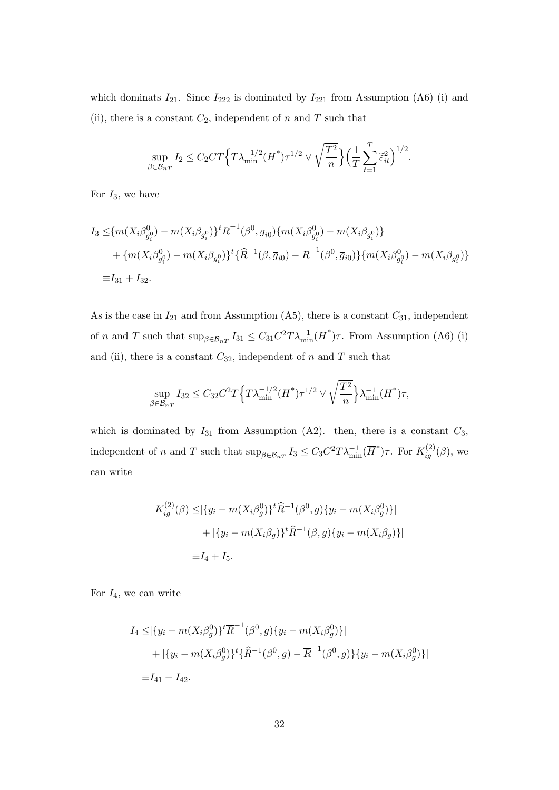which dominats  $I_{21}$ . Since  $I_{222}$  is dominated by  $I_{221}$  from Assumption (A6) (i) and (ii), there is a constant  $C_2$ , independent of n and T such that

$$
\sup_{\beta \in \mathcal{B}_{nT}} I_2 \leq C_2CT \Big\{ T \lambda_{\min}^{-1/2} (\overline{H}^*) \tau^{1/2} \vee \sqrt{\frac{T^2}{n}} \Big\} \Big( \frac{1}{T} \sum_{t=1}^T \widetilde{\varepsilon}_{it}^2 \Big)^{1/2}.
$$

For  $I_3$ , we have

$$
I_3 \leq \{m(X_i \beta_{g_i^0}^0) - m(X_i \beta_{g_i^0})\}^t \overline{R}^{-1}(\beta^0, \overline{g}_{i0}) \{m(X_i \beta_{g_i^0}^0) - m(X_i \beta_{g_i^0})\}
$$
  
+ 
$$
\{m(X_i \beta_{g_i^0}^0) - m(X_i \beta_{g_i^0})\}^t \{\widehat{R}^{-1}(\beta, \overline{g}_{i0}) - \overline{R}^{-1}(\beta^0, \overline{g}_{i0})\} \{m(X_i \beta_{g_i^0}^0) - m(X_i \beta_{g_i^0})\}
$$
  

$$
\equiv I_{31} + I_{32}.
$$

As is the case in  $I_{21}$  and from Assumption (A5), there is a constant  $C_{31}$ , independent of *n* and *T* such that  $\sup_{\beta \in \mathcal{B}_{nT}} I_{31} \leq C_{31} C^2 T \lambda_{\min}^{-1} (\overline{H}^*) \tau$ . From Assumption (A6) (i) and (ii), there is a constant  $C_{32}$ , independent of n and T such that

$$
\sup_{\beta \in \mathcal{B}_{nT}} I_{32} \leq C_{32} C^2 T \Big\{ T \lambda_{\min}^{-1/2} (\overline{H}^*) \tau^{1/2} \vee \sqrt{\frac{T^2}{n}} \Big\} \lambda_{\min}^{-1} (\overline{H}^*) \tau,
$$

which is dominated by  $I_{31}$  from Assumption (A2). then, there is a constant  $C_3$ , independent of n and T such that  $\sup_{\beta \in \mathcal{B}_{nT}} I_3 \leq C_3 C^2 T \lambda_{\min}^{-1}(\overline{H}^*) \tau$ . For  $K_{ig}^{(2)}(\beta)$ , we can write

$$
K_{ig}^{(2)}(\beta) \leq |\{y_i - m(X_i \beta_g^0)\}^t \hat{R}^{-1}(\beta^0, \overline{g}) \{y_i - m(X_i \beta_g^0)\}|
$$
  
+ 
$$
|\{y_i - m(X_i \beta_g)\}^t \hat{R}^{-1}(\beta, \overline{g}) \{y_i - m(X_i \beta_g)\}|
$$
  
=  $I_4 + I_5$ .

For  $I_4$ , we can write

$$
I_4 \leq |\{y_i - m(X_i \beta_g^0)\}^t \overline{R}^{-1}(\beta^0, \overline{g}) \{y_i - m(X_i \beta_g^0)\}|
$$
  
+ 
$$
|\{y_i - m(X_i \beta_g^0)\}^t \{\widehat{R}^{-1}(\beta^0, \overline{g}) - \overline{R}^{-1}(\beta^0, \overline{g})\} \{y_i - m(X_i \beta_g^0)\}|
$$
  

$$
\equiv I_{41} + I_{42}.
$$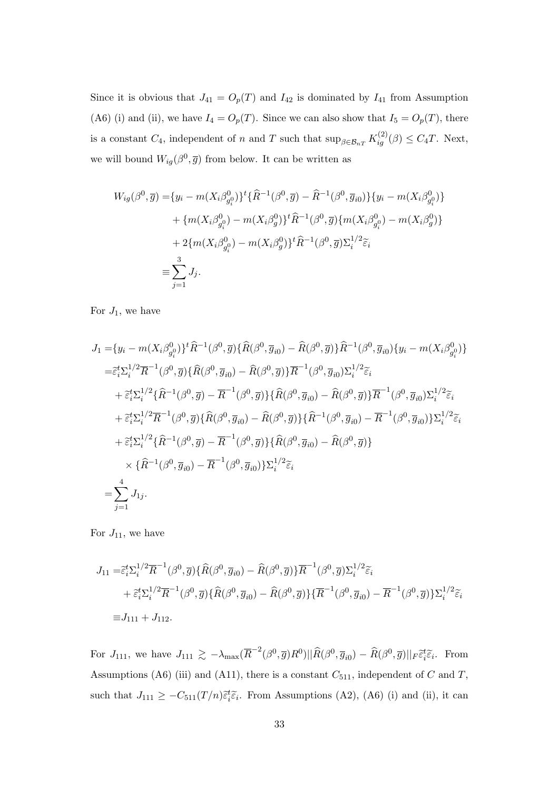Since it is obvious that  $J_{41} = O_p(T)$  and  $I_{42}$  is dominated by  $I_{41}$  from Assumption (A6) (i) and (ii), we have  $I_4 = O_p(T)$ . Since we can also show that  $I_5 = O_p(T)$ , there is a constant  $C_4$ , independent of n and T such that  $\sup_{\beta \in \mathcal{B}_{nT}} K_{ig}^{(2)}(\beta) \leq C_4 T$ . Next, we will bound  $W_{ig}(\beta^0, \overline{g})$  from below. It can be written as

$$
W_{ig}(\beta^0, \overline{g}) = \{y_i - m(X_i \beta_{g_i^0}^0)\}^t \{\widehat{R}^{-1}(\beta^0, \overline{g}) - \widehat{R}^{-1}(\beta^0, \overline{g}_{i0})\} \{y_i - m(X_i \beta_{g_i^0}^0)\} + \{m(X_i \beta_{g_i^0}^0) - m(X_i \beta_g^0)\}^t \widehat{R}^{-1}(\beta^0, \overline{g}) \{m(X_i \beta_{g_i^0}^0) - m(X_i \beta_g^0)\} + 2\{m(X_i \beta_{g_i^0}^0) - m(X_i \beta_g^0)\}^t \widehat{R}^{-1}(\beta^0, \overline{g}) \Sigma_i^{1/2} \widetilde{\epsilon}_i = \sum_{j=1}^3 J_j.
$$

For  $J_1$ , we have

$$
J_{1} = \{y_{i} - m(X_{i}\beta_{g_{i}}^{0})\}^{t}\hat{R}^{-1}(\beta^{0},\overline{g})\{\hat{R}(\beta^{0},\overline{g}_{i0}) - \hat{R}(\beta^{0},\overline{g})\}\hat{R}^{-1}(\beta^{0},\overline{g}_{i0})\{y_{i} - m(X_{i}\beta_{g_{i}}^{0})\}
$$
  
\n
$$
= \tilde{\epsilon}_{i}^{t}\sum_{i}^{1/2}\overline{R}^{-1}(\beta^{0},\overline{g})\{\hat{R}(\beta^{0},\overline{g}_{i0}) - \hat{R}(\beta^{0},\overline{g})\}\overline{R}^{-1}(\beta^{0},\overline{g}_{i0})\sum_{i}^{1/2}\tilde{\epsilon}_{i}
$$
  
\n
$$
+ \tilde{\epsilon}_{i}^{t}\sum_{i}^{1/2}\{\hat{R}^{-1}(\beta^{0},\overline{g}) - \overline{R}^{-1}(\beta^{0},\overline{g})\}\{\hat{R}(\beta^{0},\overline{g}_{i0}) - \hat{R}(\beta^{0},\overline{g})\}\overline{R}^{-1}(\beta^{0},\overline{g}_{i0})\sum_{i}^{1/2}\tilde{\epsilon}_{i}
$$
  
\n
$$
+ \tilde{\epsilon}_{i}^{t}\sum_{i}^{1/2}\overline{R}^{-1}(\beta^{0},\overline{g})\{\hat{R}(\beta^{0},\overline{g}_{i0}) - \hat{R}(\beta^{0},\overline{g})\}\{\hat{R}^{-1}(\beta^{0},\overline{g}_{i0}) - \overline{R}^{-1}(\beta^{0},\overline{g}_{i0})\}\sum_{i}^{1/2}\tilde{\epsilon}_{i}
$$
  
\n
$$
+ \tilde{\epsilon}_{i}^{t}\sum_{i}^{1/2}\{\hat{R}^{-1}(\beta^{0},\overline{g}) - \overline{R}^{-1}(\beta^{0},\overline{g})\}\{\hat{R}(\beta^{0},\overline{g}_{i0}) - \hat{R}(\beta^{0},\overline{g})\}
$$
  
\n
$$
\times \{\hat{R}^{-1}(\beta^{0},\overline{g}_{i0}) - \overline{R}^{-1}(\beta^{0},\overline{g}_{i0})\}\sum_{i}^{1/2}\tilde{\epsilon}_{i}
$$
  
\

For  $J_{11}$ , we have

$$
J_{11} = \tilde{\varepsilon}_{i}^{t} \Sigma_{i}^{1/2} \overline{R}^{-1} (\beta^{0}, \overline{g}) \{ \hat{R}(\beta^{0}, \overline{g}_{i0}) - \hat{R}(\beta^{0}, \overline{g}) \} \overline{R}^{-1} (\beta^{0}, \overline{g}) \Sigma_{i}^{1/2} \widetilde{\varepsilon}_{i}
$$
  
+  $\tilde{\varepsilon}_{i}^{t} \Sigma_{i}^{1/2} \overline{R}^{-1} (\beta^{0}, \overline{g}) \{ \hat{R}(\beta^{0}, \overline{g}_{i0}) - \hat{R}(\beta^{0}, \overline{g}) \} \{ \overline{R}^{-1}(\beta^{0}, \overline{g}_{i0}) - \overline{R}^{-1}(\beta^{0}, \overline{g}) \} \Sigma_{i}^{1/2} \widetilde{\varepsilon}_{i}$   

$$
\equiv J_{111} + J_{112}.
$$

For  $J_{111}$ , we have  $J_{111} \gtrsim -\lambda_{\text{max}}(\overline{R}^{-2}(\beta^0, \overline{g})R^0)||\widehat{R}(\beta^0, \overline{g}_{i0}) - \widehat{R}(\beta^0, \overline{g})||_F \tilde{\varepsilon}_i^t \tilde{\varepsilon}_i$ . From Assumptions (A6) (iii) and (A11), there is a constant  $C_{511}$ , independent of C and T, such that  $J_{111} \geq -C_{511}(T/n)\tilde{\epsilon}_{i}^{t}\tilde{\epsilon}_{i}$ . From Assumptions (A2), (A6) (i) and (ii), it can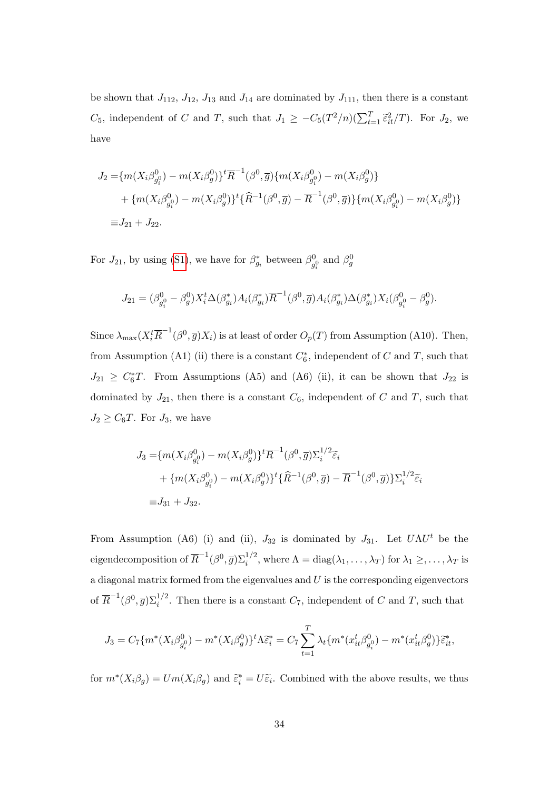be shown that  $J_{112}$ ,  $J_{12}$ ,  $J_{13}$  and  $J_{14}$  are dominated by  $J_{111}$ , then there is a constant C<sub>5</sub>, independent of C and T, such that  $J_1 \geq -C_5(T^2/n)(\sum_{t=1}^T \tilde{\epsilon}_{it}^2/T)$ . For  $J_2$ , we have

$$
J_2 = \{m(X_i \beta_{g_i^0}^0) - m(X_i \beta_g^0)\}^t \overline{R}^{-1}(\beta^0, \overline{g}) \{m(X_i \beta_{g_i^0}^0) - m(X_i \beta_g^0)\} + \{m(X_i \beta_{g_i^0}^0) - m(X_i \beta_g^0)\}^t \{\widehat{R}^{-1}(\beta^0, \overline{g}) - \overline{R}^{-1}(\beta^0, \overline{g})\} \{m(X_i \beta_{g_i^0}^0) - m(X_i \beta_g^0)\} = J_{21} + J_{22}.
$$

For  $J_{21}$ , by using [\(S1\)](#page-30-0), we have for  $\beta_{g_i}^*$  between  $\beta_g^0$  $\frac{\partial}{\partial g}^0$  and  $\beta_g^0$ 

$$
J_{21} = (\beta_{g_i^0}^0 - \beta_g^0) X_i^t \Delta(\beta_{g_i}^*) A_i(\beta_{g_i}^*) \overline{R}^{-1} (\beta^0, \overline{g}) A_i(\beta_{g_i}^*) \Delta(\beta_{g_i}^*) X_i(\beta_{g_i^0}^0 - \beta_g^0).
$$

Since  $\lambda_{\max}(X_i^t \overline{R}^{-1}(\beta^0, \overline{g})X_i)$  is at least of order  $O_p(T)$  from Assumption (A10). Then, from Assumption (A1) (ii) there is a constant  $C_6^*$ , independent of C and T, such that  $J_{21} \geq C_6^*$ . From Assumptions (A5) and (A6) (ii), it can be shown that  $J_{22}$  is dominated by  $J_{21}$ , then there is a constant  $C_6$ , independent of C and T, such that  $J_2 \geq C_6T$ . For  $J_3$ , we have

$$
J_3 = \{ m(X_i \beta_{g_i^0}^0) - m(X_i \beta_g^0) \}^t \overline{R}^{-1} (\beta^0, \overline{g}) \Sigma_i^{1/2} \widetilde{\varepsilon}_i
$$
  
+ 
$$
\{ m(X_i \beta_{g_i^0}^0) - m(X_i \beta_g^0) \}^t \{\widehat{R}^{-1} (\beta^0, \overline{g}) - \overline{R}^{-1} (\beta^0, \overline{g}) \} \Sigma_i^{1/2} \widetilde{\varepsilon}_i
$$
  

$$
\equiv J_{31} + J_{32}.
$$

From Assumption (A6) (i) and (ii),  $J_{32}$  is dominated by  $J_{31}$ . Let  $U\Lambda U^t$  be the eigendecomposition of  $\overline{R}^{-1}(\beta^0, \overline{g})\Sigma_i^{1/2}$ , where  $\Lambda = \text{diag}(\lambda_1, \ldots, \lambda_T)$  for  $\lambda_1 \geq, \ldots, \lambda_T$  is a diagonal matrix formed from the eigenvalues and  $U$  is the corresponding eigenvectors of  $\overline{R}^{-1}(\beta^0, \overline{g})\Sigma_i^{1/2}$ . Then there is a constant  $C_7$ , independent of C and T, such that

$$
J_3 = C_7 \{ m^*(X_i \beta_{g_i^0}^0) - m^*(X_i \beta_g^0) \}^t \Lambda \tilde{\varepsilon}_i^* = C_7 \sum_{t=1}^T \lambda_t \{ m^*(x_{it}^t \beta_{g_i^0}^0) - m^*(x_{it}^t \beta_g^0) \} \tilde{\varepsilon}_{it}^*,
$$

for  $m^*(X_i\beta_g) = Um(X_i\beta_g)$  and  $\tilde{\varepsilon}_i^* = U\tilde{\varepsilon}_i$ . Combined with the above results, we thus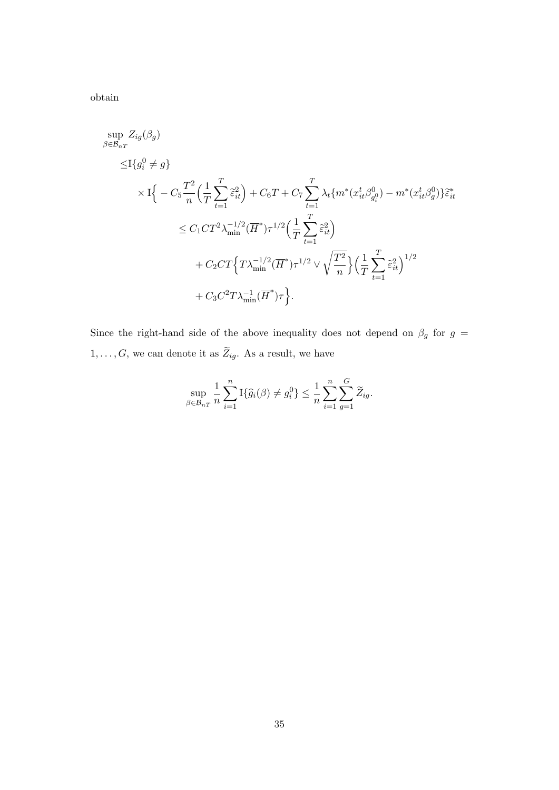obtain

$$
\sup_{\beta \in \mathcal{B}_{nT}} Z_{ig}(\beta_g) \n\leq I\{g_i^0 \neq g\} \n\times I\{-C_5 \frac{T^2}{n} \Big(\frac{1}{T} \sum_{t=1}^T \tilde{\varepsilon}_{it}^2\Big) + C_6T + C_7 \sum_{t=1}^T \lambda_t \{m^*(x_{it}^t \beta_{g_i^0}^0) - m^*(x_{it}^t \beta_g^0)\}\tilde{\varepsilon}_{it}^* \} \n\times C_1 C T^2 \lambda_{\min}^{-1/2} (\overline{H}^*) \tau^{1/2} \Big(\frac{1}{T} \sum_{t=1}^T \tilde{\varepsilon}_{it}^2\Big) \n\t + C_2 C T \Big\{ T \lambda_{\min}^{-1/2} (\overline{H}^*) \tau^{1/2} \vee \sqrt{\frac{T^2}{n}} \Big\} \Big(\frac{1}{T} \sum_{t=1}^T \tilde{\varepsilon}_{it}^2\Big)^{1/2} \n\t + C_3 C^2 T \lambda_{\min}^{-1} (\overline{H}^*) \tau \Big\}.
$$

Since the right-hand side of the above inequality does not depend on  $\beta_g$  for  $g$  =  $1, \ldots, G$ , we can denote it as  $\widetilde{Z}_{ig}$ . As a result, we have

$$
\sup_{\beta \in \mathcal{B}_{nT}} \frac{1}{n} \sum_{i=1}^n \mathcal{I}\{\widehat{g}_i(\beta) \neq g_i^0\} \le \frac{1}{n} \sum_{i=1}^n \sum_{g=1}^G \widetilde{Z}_{ig}.
$$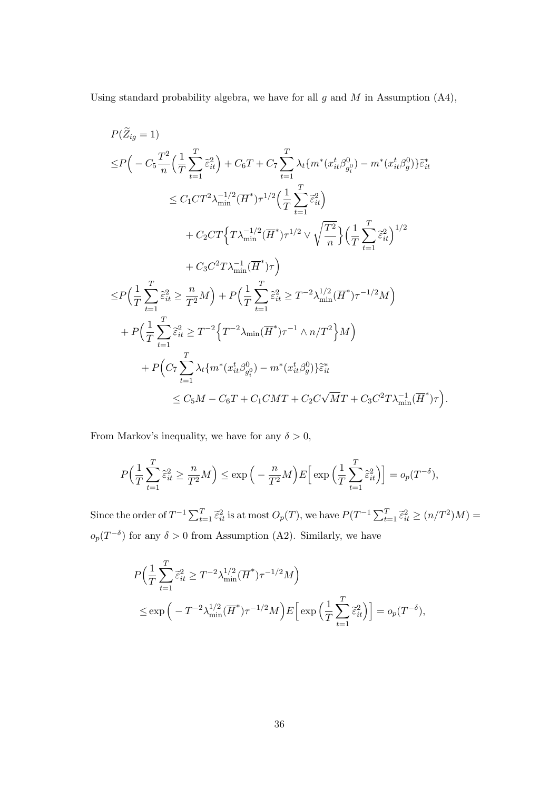Using standard probability algebra, we have for all  $g$  and  $M$  in Assumption (A4),

$$
P(Z_{ig} = 1)
$$
  
\n
$$
\leq P\Big(-C_{5}\frac{T^{2}}{n}\Big(\frac{1}{T}\sum_{t=1}^{T}\tilde{\varepsilon}_{it}^{2}\Big)+C_{6}T+C_{7}\sum_{t=1}^{T}\lambda_{t}\{m^{*}(x_{it}^{t}\beta_{g_{i}}^{0})-m^{*}(x_{it}^{t}\beta_{g}^{0})\}\tilde{\varepsilon}_{it}^{*}
$$
  
\n
$$
\leq C_{1}CT^{2}\lambda_{\min}^{-1/2}(\overline{H}^{*})\tau^{1/2}\Big(\frac{1}{T}\sum_{t=1}^{T}\tilde{\varepsilon}_{it}^{2}\Big)
$$
  
\n
$$
+C_{2}CT\Big\{T\lambda_{\min}^{-1/2}(\overline{H}^{*})\tau^{1/2}\vee\sqrt{\frac{T^{2}}{n}}\Big\}\Big(\frac{1}{T}\sum_{t=1}^{T}\tilde{\varepsilon}_{it}^{2}\Big)^{1/2}
$$
  
\n
$$
+C_{3}C^{2}T\lambda_{\min}^{-1}(\overline{H}^{*})\tau\Big)
$$
  
\n
$$
\leq P\Big(\frac{1}{T}\sum_{t=1}^{T}\tilde{\varepsilon}_{it}^{2}\geq \frac{n}{T^{2}}M\Big)+P\Big(\frac{1}{T}\sum_{t=1}^{T}\tilde{\varepsilon}_{it}^{2}\geq T^{-2}\lambda_{\min}^{1/2}(\overline{H}^{*})\tau^{-1/2}M\Big)
$$
  
\n
$$
+P\Big(\frac{1}{T}\sum_{t=1}^{T}\tilde{\varepsilon}_{it}^{2}\geq T^{-2}\Big\{T^{-2}\lambda_{\min}(\overline{H}^{*})\tau^{-1}\wedge n/T^{2}\Big\}M\Big)
$$
  
\n
$$
+P\Big(C_{7}\sum_{t=1}^{T}\lambda_{t}\{m^{*}(x_{it}^{t}\beta_{g_{i}}^{0})-m^{*}(x_{it}^{t}\beta_{g_{i}}^{0})\}\tilde{\varepsilon}_{it}^{*}
$$
  
\n
$$
\leq C_{5}M-C_{6}T+C_{1}CMT+C_{2}C\sqrt{M}T+C_{3}C^{2}T\lambda_{\min}^{-1}(\overline{H}^{*})\tau\Big).
$$

From Markov's inequality, we have for any  $\delta > 0$ ,

$$
P\Big(\frac{1}{T}\sum_{t=1}^T\widetilde{\varepsilon}_{it}^2 \ge \frac{n}{T^2}M\Big) \le \exp\Big(-\frac{n}{T^2}M\Big)E\Big[\exp\Big(\frac{1}{T}\sum_{t=1}^T\widetilde{\varepsilon}_{it}^2\Big)\Big] = o_p(T^{-\delta}),
$$

Since the order of  $T^{-1}\sum_{t=1}^T \tilde{\varepsilon}_{it}^2$  is at most  $O_p(T)$ , we have  $P(T^{-1}\sum_{t=1}^T \tilde{\varepsilon}_{it}^2 \ge (n/T^2)M)$  =  $o_p(T^{-\delta})$  for any  $\delta > 0$  from Assumption (A2). Similarly, we have

$$
P\left(\frac{1}{T}\sum_{t=1}^T \tilde{\varepsilon}_{it}^2 \ge T^{-2}\lambda_{\min}^{1/2}(\overline{H}^*)\tau^{-1/2}M\right)
$$
  

$$
\le \exp\left(-T^{-2}\lambda_{\min}^{1/2}(\overline{H}^*)\tau^{-1/2}M\right)E\left[\exp\left(\frac{1}{T}\sum_{t=1}^T \tilde{\varepsilon}_{it}^2\right)\right] = o_p(T^{-\delta}),
$$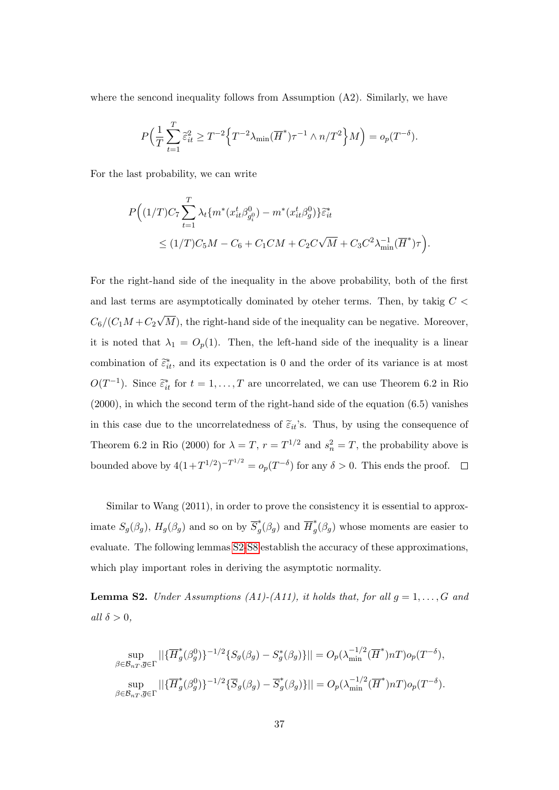where the sencond inequality follows from Assumption  $(A2)$ . Similarly, we have

$$
P\Big(\frac{1}{T}\sum_{t=1}^T\widetilde{\varepsilon}_{it}^2\geq T^{-2}\Big\{T^{-2}\lambda_{\min}(\overline{H}^*)\tau^{-1}\wedge n/T^2\Big\}M\Big)=o_p(T^{-\delta}).
$$

For the last probability, we can write

$$
P\Big((1/T)C_7\sum_{t=1}^T \lambda_t \{m^*(x_{it}^t \beta_{g_i^0}^0) - m^*(x_{it}^t \beta_g^0)\}\tilde{\varepsilon}_{it}^*
$$
  
 
$$
\leq (1/T)C_5M - C_6 + C_1CM + C_2C\sqrt{M} + C_3C^2\lambda_{\min}^{-1}(\overline{H}^*)\tau\Big).
$$

For the right-hand side of the inequality in the above probability, both of the first and last terms are asymptotically dominated by oteher terms. Then, by takig  $C <$  $C_6/(C_1M+C_2)$ √ M), the right-hand side of the inequality can be negative. Moreover, it is noted that  $\lambda_1 = O_p(1)$ . Then, the left-hand side of the inequality is a linear combination of  $\tilde{\epsilon}_{it}^*$ , and its expectation is 0 and the order of its variance is at most  $O(T^{-1})$ . Since  $\tilde{\epsilon}_{it}^*$  for  $t = 1, ..., T$  are uncorrelated, we can use Theorem 6.2 in Rio (2000), in which the second term of the right-hand side of the equation (6.5) vanishes in this case due to the uncorrelatedness of  $\tilde{\varepsilon}_{it}$ 's. Thus, by using the consequence of Theorem 6.2 in Rio (2000) for  $\lambda = T$ ,  $r = T^{1/2}$  and  $s_n^2 = T$ , the probability above is bounded above by  $4(1+T^{1/2})^{-T^{1/2}} = o_p(T^{-\delta})$  for any  $\delta > 0$ . This ends the proof.

Similar to Wang (2011), in order to prove the consistency it is essential to approximate  $S_g(\beta_g)$ ,  $H_g(\beta_g)$  and so on by  $\overline{S}_g^*$  $g^*(\beta_g)$  and  $\overline{H}_g^*$  $g^{\uparrow}(\beta_g)$  whose moments are easier to evaluate. The following lemmas [S2-](#page-36-0)[S8](#page-46-0) establish the accuracy of these approximations, which play important roles in deriving the asymptotic normality.

<span id="page-36-0"></span>**Lemma S2.** Under Assumptions (A1)-(A11), it holds that, for all  $g = 1, \ldots, G$  and all  $\delta > 0$ ,

$$
\sup_{\beta \in \mathcal{B}_{nT}, \overline{g} \in \Gamma} ||{\{\overline{H}_g^*(\beta_g^0)\}}^{-1/2} \{S_g(\beta_g) - S_g^*(\beta_g)\}|| = O_p(\lambda_{\min}^{-1/2}(\overline{H}^*)nT) o_p(T^{-\delta}),
$$
  

$$
\sup_{\beta \in \mathcal{B}_{nT}, \overline{g} \in \Gamma} ||{\{\overline{H}_g^*(\beta_g^0)\}}^{-1/2} {\{\overline{S}_g(\beta_g) - \overline{S}_g^*(\beta_g)\} }|| = O_p(\lambda_{\min}^{-1/2}(\overline{H}^*)nT) o_p(T^{-\delta}).
$$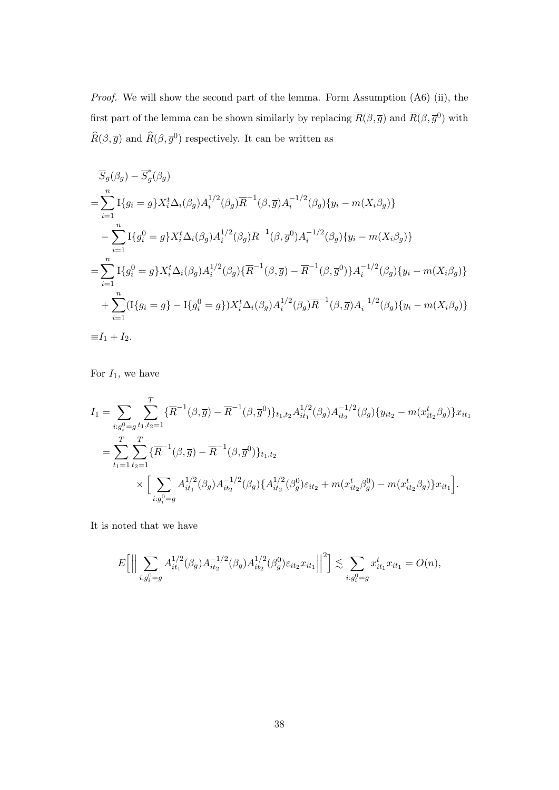Proof. We will show the second part of the lemma. Form Assumption (A6) (ii), the first part of the lemma can be shown similarly by replacing  $\overline{R}(\beta, \overline{g})$  and  $\overline{R}(\beta, \overline{g}^0)$  with  $\widehat{R}(\beta, \overline{g})$  and  $\widehat{R}(\beta, \overline{g}^0)$  respectively. It can be written as

$$
\overline{S}_{g}(\beta_{g}) - \overline{S}_{g}^{*}(\beta_{g})
$$
\n
$$
= \sum_{i=1}^{n} \mathbb{I}\{g_{i} = g\} X_{i}^{t} \Delta_{i}(\beta_{g}) A_{i}^{1/2}(\beta_{g}) \overline{R}^{-1}(\beta, \overline{g}) A_{i}^{-1/2}(\beta_{g}) \{y_{i} - m(X_{i}\beta_{g})\}
$$
\n
$$
- \sum_{i=1}^{n} \mathbb{I}\{g_{i}^{0} = g\} X_{i}^{t} \Delta_{i}(\beta_{g}) A_{i}^{1/2}(\beta_{g}) \overline{R}^{-1}(\beta, \overline{g}^{0}) A_{i}^{-1/2}(\beta_{g}) \{y_{i} - m(X_{i}\beta_{g})\}
$$
\n
$$
= \sum_{i=1}^{n} \mathbb{I}\{g_{i}^{0} = g\} X_{i}^{t} \Delta_{i}(\beta_{g}) A_{i}^{1/2}(\beta_{g}) \{\overline{R}^{-1}(\beta, \overline{g}) - \overline{R}^{-1}(\beta, \overline{g}^{0})\} A_{i}^{-1/2}(\beta_{g}) \{y_{i} - m(X_{i}\beta_{g})\}
$$
\n
$$
+ \sum_{i=1}^{n} (\mathbb{I}\{g_{i} = g\} - \mathbb{I}\{g_{i}^{0} = g\}) X_{i}^{t} \Delta_{i}(\beta_{g}) A_{i}^{1/2}(\beta_{g}) \overline{R}^{-1}(\beta, \overline{g}) A_{i}^{-1/2}(\beta_{g}) \{y_{i} - m(X_{i}\beta_{g})\}
$$
\n
$$
\equiv I_{1} + I_{2}.
$$

For  $I_1$ , we have

$$
I_{1} = \sum_{i:g_{i}^{0}=g} \sum_{t_{1},t_{2}=1}^{T} \{\overline{R}^{-1}(\beta,\overline{g}) - \overline{R}^{-1}(\beta,\overline{g}^{0})\}_{t_{1},t_{2}} A_{it_{1}}^{1/2}(\beta_{g}) A_{it_{2}}^{-1/2}(\beta_{g}) \{y_{it_{2}} - m(x_{it_{2}}^{t}\beta_{g})\}_{x_{it_{1}}}^{t_{1}}
$$
  

$$
= \sum_{t_{1}=1}^{T} \sum_{t_{2}=1}^{T} \{\overline{R}^{-1}(\beta,\overline{g}) - \overline{R}^{-1}(\beta,\overline{g}^{0})\}_{t_{1},t_{2}}
$$
  

$$
\times \Big[\sum_{i:g_{i}^{0}=g} A_{it_{1}}^{1/2}(\beta_{g}) A_{it_{2}}^{-1/2}(\beta_{g}) \{A_{it_{2}}^{1/2}(\beta_{g}^{0})\epsilon_{it_{2}} + m(x_{it_{2}}^{t}\beta_{g}^{0}) - m(x_{it_{2}}^{t}\beta_{g})\}_{x_{it_{1}}}^{t}\Big].
$$

It is noted that we have

$$
E\left[\Big|\Big|\sum_{i:g_i^0=g} A_{it_1}^{1/2}(\beta_g)A_{it_2}^{-1/2}(\beta_g)A_{it_2}^{1/2}(\beta_g^0)\varepsilon_{it_2}x_{it_1}\Big|\Big|^2\right] \lesssim \sum_{i:g_i^0=g} x_{it_1}^t x_{it_1} = O(n),
$$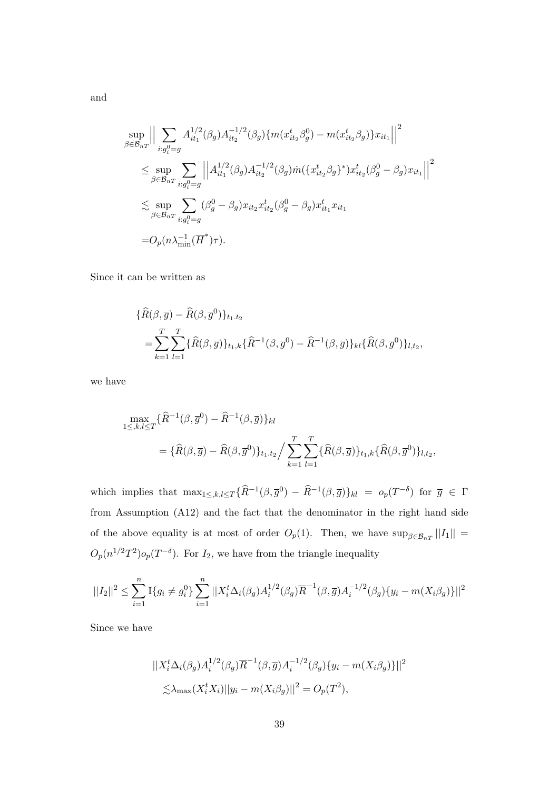$$
\sup_{\beta \in \mathcal{B}_{nT}} \Big\| \sum_{i:g_i^0 = g} A_{it_1}^{1/2}(\beta_g) A_{it_2}^{-1/2}(\beta_g) \{ m(x_{it_2}^t \beta_g^0) - m(x_{it_2}^t \beta_g) \} x_{it_1} \Big\|^2
$$
  
\n
$$
\leq \sup_{\beta \in \mathcal{B}_{nT}} \sum_{i:g_i^0 = g} \Big\| A_{it_1}^{1/2}(\beta_g) A_{it_2}^{-1/2}(\beta_g) m(\{ x_{it_2}^t \beta_g \}^*) x_{it_2}^t(\beta_g^0 - \beta_g) x_{it_1} \Big\|^2
$$
  
\n
$$
\lesssim \sup_{\beta \in \mathcal{B}_{nT}} \sum_{i:g_i^0 = g} (\beta_g^0 - \beta_g) x_{it_2} x_{it_2}^t(\beta_g^0 - \beta_g) x_{it_1}^t x_{it_1}
$$
  
\n
$$
= O_p(n \lambda_{\min}^{-1} (\overline{H}^*) \tau).
$$

Since it can be written as

$$
\begin{aligned} \{\widehat{R}(\beta,\overline{g}) - \widehat{R}(\beta,\overline{g}^0)\}_{t_1,t_2} \\ &= \sum_{k=1}^T \sum_{l=1}^T \{\widehat{R}(\beta,\overline{g})\}_{t_1,k} \{\widehat{R}^{-1}(\beta,\overline{g}^0) - \widehat{R}^{-1}(\beta,\overline{g})\}_{kl} \{\widehat{R}(\beta,\overline{g}^0)\}_{l,t_2}, \end{aligned}
$$

we have

$$
\max_{1 \leq k,l \leq T} \{\widehat{R}^{-1}(\beta,\overline{g}^0) - \widehat{R}^{-1}(\beta,\overline{g})\}_{kl}
$$
\n
$$
= \{\widehat{R}(\beta,\overline{g}) - \widehat{R}(\beta,\overline{g}^0)\}_{t_1,t_2} / \sum_{k=1}^T \sum_{l=1}^T \{\widehat{R}(\beta,\overline{g})\}_{t_1,k} \{\widehat{R}(\beta,\overline{g}^0)\}_{l,t_2},
$$

which implies that  $\max_{1 \leq k,l \leq T} {\{\widehat{R}^{-1}(\beta,\overline{g}^0) - \widehat{R}^{-1}(\beta,\overline{g})\}}_{kl} = o_p(T^{-\delta})$  for  $\overline{g} \in \Gamma$ from Assumption (A12) and the fact that the denominator in the right hand side of the above equality is at most of order  $O_p(1)$ . Then, we have  $\sup_{\beta \in \mathcal{B}_{nT}} ||I_1|| =$  $O_p(n^{1/2}T^2)$  $o_p(T^{-\delta})$ . For  $I_2$ , we have from the triangle inequality

$$
||I_2||^2 \leq \sum_{i=1}^n \mathbb{I}\{g_i \neq g_i^0\} \sum_{i=1}^n ||X_i^t \Delta_i(\beta_g) A_i^{1/2}(\beta_g) \overline{R}^{-1}(\beta, \overline{g}) A_i^{-1/2}(\beta_g) \{y_i - m(X_i \beta_g)\}||^2
$$

Since we have

$$
||X_i^t \Delta_i(\beta_g) A_i^{1/2}(\beta_g) \overline{R}^{-1}(\beta, \overline{g}) A_i^{-1/2}(\beta_g) \{y_i - m(X_i \beta_g)\}||^2
$$
  

$$
\lesssim \lambda_{\max}(X_i^t X_i) ||y_i - m(X_i \beta_g)||^2 = O_p(T^2),
$$

and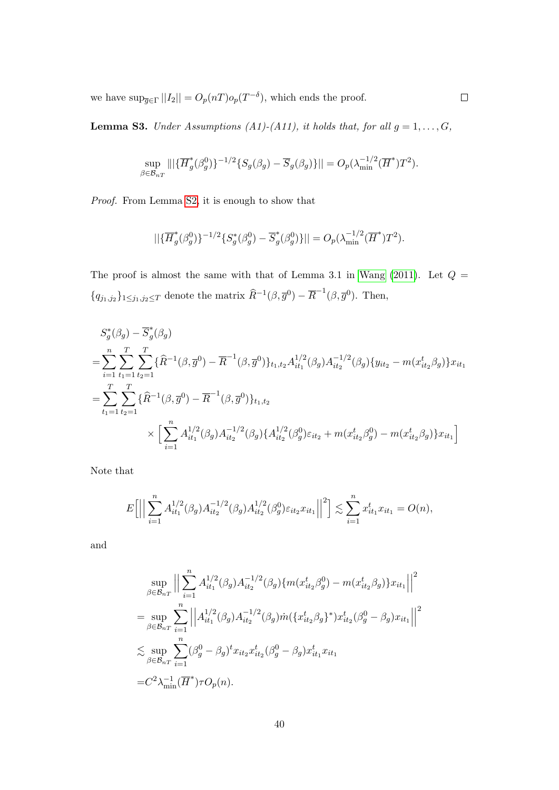we have  $\sup_{\overline{g}\in\Gamma}||I_2|| = O_p(nT) o_p(T^{-\delta}),$  which ends the proof.

<span id="page-39-0"></span>**Lemma S3.** Under Assumptions (A1)-(A11), it holds that, for all  $g = 1, ..., G$ ,

$$
\sup_{\beta \in \mathcal{B}_{nT}} |||\{\overline{H}_g^*(\beta_g^0)\}^{-1/2} \{S_g(\beta_g) - \overline{S}_g(\beta_g)\}|| = O_p(\lambda_{\min}^{-1/2}(\overline{H}^*)T^2).
$$

Proof. From Lemma [S2,](#page-36-0) it is enough to show that

$$
||\{\overline{H}_g^*(\beta_g^0)\}^{-1/2}\{S_g^*(\beta_g^0) - \overline{S}_g^*(\beta_g^0)\}|| = O_p(\lambda_{\min}^{-1/2}(\overline{H}^*)T^2).
$$

The proof is almost the same with that of Lemma 3.1 in Wang  $(2011)$ . Let  $Q =$  ${q_{j_1,j_2}}_{1\leq j_1,j_2\leq T}$  denote the matrix  $\widehat{R}^{-1}(\beta,\overline{g}^0)-\overline{R}^{-1}(\beta,\overline{g}^0)$ . Then,

$$
S_g^*(\beta_g) - \overline{S}_g^*(\beta_g)
$$
  
= 
$$
\sum_{i=1}^n \sum_{t_1=1}^T \sum_{t_2=1}^T \{\widehat{R}^{-1}(\beta, \overline{g}^0) - \overline{R}^{-1}(\beta, \overline{g}^0)\}_{t_1, t_2} A_{it_1}^{1/2}(\beta_g) A_{it_2}^{-1/2}(\beta_g) \{y_{it_2} - m(x_{it_2}^t \beta_g)\}_{x_{it_1}}
$$
  
= 
$$
\sum_{t_1=1}^T \sum_{t_2=1}^T \{\widehat{R}^{-1}(\beta, \overline{g}^0) - \overline{R}^{-1}(\beta, \overline{g}^0)\}_{t_1, t_2}
$$
  

$$
\times \left[\sum_{i=1}^n A_{it_1}^{1/2}(\beta_g) A_{it_2}^{-1/2}(\beta_g) \{A_{it_2}^{1/2}(\beta_g^0)\epsilon_{it_2} + m(x_{it_2}^t \beta_g^0) - m(x_{it_2}^t \beta_g)\}_{x_{it_1}}\right]
$$

Note that

$$
E\left[\Big|\Big|\sum_{i=1}^n A_{it_1}^{1/2}(\beta_g)A_{it_2}^{-1/2}(\beta_g)A_{it_2}^{1/2}(\beta_g^0)\varepsilon_{it_2}x_{it_1}\Big|\Big|^2\right] \lesssim \sum_{i=1}^n x_{it_1}^t x_{it_1} = O(n),
$$

and

$$
\sup_{\beta \in \mathcal{B}_{nT}} \Big| \Big| \sum_{i=1}^{n} A_{it_1}^{1/2}(\beta_g) A_{it_2}^{-1/2}(\beta_g) \{ m(x_{it_2}^t \beta_g^0) - m(x_{it_2}^t \beta_g) \} x_{it_1} \Big| \Big|^2
$$
  
\n
$$
= \sup_{\beta \in \mathcal{B}_{nT}} \sum_{i=1}^{n} \Big| \Big| A_{it_1}^{1/2}(\beta_g) A_{it_2}^{-1/2}(\beta_g) \dot{m} \{ x_{it_2}^t \beta_g \}^* \} x_{it_2}^t(\beta_g^0 - \beta_g) x_{it_1} \Big| \Big|^2
$$
  
\n
$$
\lesssim \sup_{\beta \in \mathcal{B}_{nT}} \sum_{i=1}^{n} (\beta_g^0 - \beta_g)^t x_{it_2} x_{it_2}^t(\beta_g^0 - \beta_g) x_{it_1}^t x_{it_1}
$$
  
\n
$$
= C^2 \lambda_{\min}^{-1} (\overline{H}^*) \tau O_p(n).
$$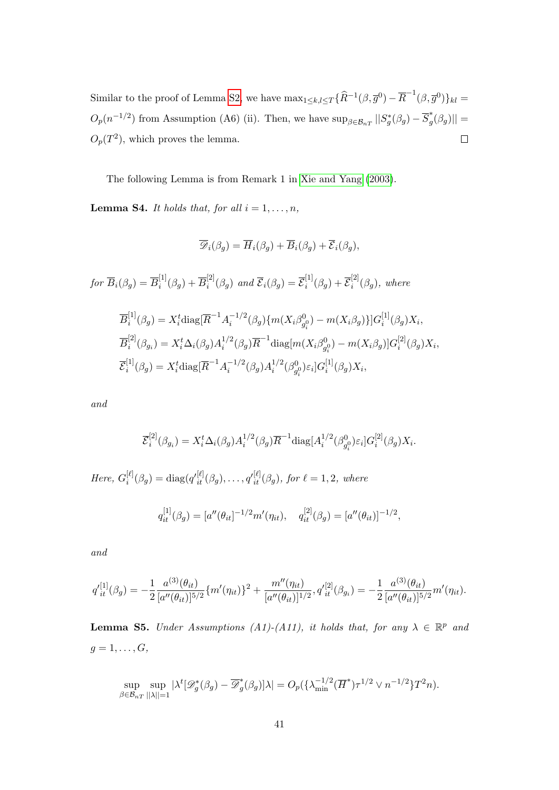Similar to the proof of Lemma [S2,](#page-36-0) we have  $\max_{1 \leq k,l \leq T} {\{\widehat{R}^{-1}(\beta,\overline{g}^0) - \overline{R}^{-1}(\beta,\overline{g}^0)\}_{kl}} =$  $O_p(n^{-1/2})$  from Assumption (A6) (ii). Then, we have  $\sup_{\beta \in \mathcal{B}_{nT}} ||S_g^*(\beta_g) - \overline{S}_g^*$  $\lvert \mathop{g}^*(\beta_g)\rvert \rvert = 1$  $O_p(T^2)$ , which proves the lemma.  $\Box$ 

The following Lemma is from Remark 1 in [Xie and Yang \(2003\)](#page-23-7).

<span id="page-40-0"></span>**Lemma S4.** It holds that, for all  $i = 1, \ldots, n$ ,

$$
\overline{\mathscr{D}}_i(\beta_g) = \overline{H}_i(\beta_g) + \overline{B}_i(\beta_g) + \overline{\mathcal{E}}_i(\beta_g),
$$

for  $\overline{B}_i(\beta_g) = \overline{B}^{[1]}_i$  $\bar{B}_{i}^{[1]}(\beta_{g}) + \overline{B}_{i}^{[2]}$  $\overline{\mathcal{E}}_i^{[2]}(\beta_g)$  and  $\overline{\mathcal{E}}_i(\beta_g) = \overline{\mathcal{E}}_i^{[1]}$  $\overline{\mathcal{E}}_i^{[1]}(\beta_g)+\overline{\mathcal{E}}_i^{[2]}$  $e_i^{(2)}(\beta_g)$ , where

$$
\overline{B}_{i}^{[1]}(\beta_{g}) = X_{i}^{t} \text{diag}[\overline{R}^{-1} A_{i}^{-1/2}(\beta_{g}) \{m(X_{i}\beta_{g_{i}}^{0}) - m(X_{i}\beta_{g})\}] G_{i}^{[1]}(\beta_{g}) X_{i},
$$
\n
$$
\overline{B}_{i}^{[2]}(\beta_{g_{i}}) = X_{i}^{t} \Delta_{i}(\beta_{g}) A_{i}^{1/2}(\beta_{g}) \overline{R}^{-1} \text{diag}[m(X_{i}\beta_{g_{i}}^{0}) - m(X_{i}\beta_{g})] G_{i}^{[2]}(\beta_{g}) X_{i},
$$
\n
$$
\overline{\mathcal{E}}_{i}^{[1]}(\beta_{g}) = X_{i}^{t} \text{diag}[\overline{R}^{-1} A_{i}^{-1/2}(\beta_{g}) A_{i}^{1/2}(\beta_{g_{i}}^{0}) \varepsilon_{i}] G_{i}^{[1]}(\beta_{g}) X_{i},
$$

and

$$
\overline{\mathcal{E}}_i^{[2]}(\beta_{g_i}) = X_i^t \Delta_i(\beta_g) A_i^{1/2}(\beta_g) \overline{R}^{-1} \text{diag}[A_i^{1/2}(\beta_{g_i^0}^0) \varepsilon_i] G_i^{[2]}(\beta_g) X_i.
$$

Here,  $G_i^{[\ell]}$  $i^{[\ell]}_i(\beta_g) = \text{diag}(q'^{[\ell]}_{it}(\beta_g), \dots, q'^{[\ell]}_{it}(\beta_g), \text{ for } \ell = 1, 2, \text{ where})$ 

$$
q_{it}^{[1]}(\beta_g) = [a''(\theta_{it})^{-1/2}m'(\eta_{it}), \quad q_{it}^{[2]}(\beta_g) = [a''(\theta_{it})]^{-1/2},
$$

and

$$
q'^{[1]}_{it}(\beta_g) = -\frac{1}{2} \frac{a^{(3)}(\theta_{it})}{[a''(\theta_{it})]^{5/2}} \{m'(\eta_{it})\}^2 + \frac{m''(\eta_{it})}{[a''(\theta_{it})]^{1/2}}, q'^{[2]}_{it}(\beta_{gi}) = -\frac{1}{2} \frac{a^{(3)}(\theta_{it})}{[a''(\theta_{it})]^{5/2}} m'(\eta_{it}).
$$

<span id="page-40-1"></span>**Lemma S5.** Under Assumptions (A1)-(A11), it holds that, for any  $\lambda \in \mathbb{R}^p$  and  $g=1,\ldots,G,$ 

$$
\sup_{\beta \in \mathcal{B}_{nT}} \sup_{||\lambda||=1} |\lambda^t [\mathscr{D}_g^*(\beta_g) - \overline{\mathscr{D}}_g^*(\beta_g)]\lambda| = O_p(\{\lambda_{\min}^{-1/2} (\overline{H}^*) \tau^{1/2} \vee n^{-1/2} \} T^2 n).
$$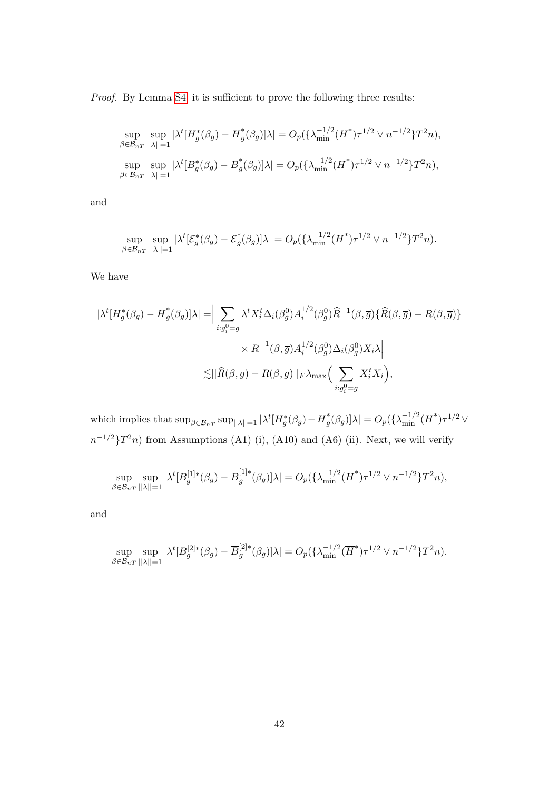Proof. By Lemma [S4,](#page-40-0) it is sufficient to prove the following three results:

$$
\sup_{\beta \in \mathcal{B}_{nT}} \sup_{||\lambda||=1} |\lambda^t [H_g^*(\beta_g) - \overline{H}_g^*(\beta_g)]\lambda| = O_p(\{\lambda_{\min}^{-1/2} (\overline{H}^*) \tau^{1/2} \vee n^{-1/2} \} T^2 n),
$$
  
\n
$$
\sup_{\beta \in \mathcal{B}_{nT}} \sup_{||\lambda||=1} |\lambda^t [B_g^*(\beta_g) - \overline{B}_g^*(\beta_g)]\lambda| = O_p(\{\lambda_{\min}^{-1/2} (\overline{H}^*) \tau^{1/2} \vee n^{-1/2} \} T^2 n),
$$

and

$$
\sup_{\beta \in \mathcal{B}_{nT}} \sup_{||\lambda||=1} |\lambda^t [\mathcal{E}_g^*(\beta_g) - \overline{\mathcal{E}}_g^*(\beta_g)]\lambda| = O_p(\{\lambda_{\min}^{-1/2} (\overline{H}^*) \tau^{1/2} \vee n^{-1/2} \} T^2 n).
$$

We have

$$
|\lambda^{t}[H_{g}^{*}(\beta_{g}) - \overline{H}_{g}^{*}(\beta_{g})]\lambda| = \Big| \sum_{i:g_{i}^{0} = g} \lambda^{t} X_{i}^{t} \Delta_{i}(\beta_{g}^{0}) A_{i}^{1/2}(\beta_{g}^{0}) \widehat{R}^{-1}(\beta, \overline{g}) \{ \widehat{R}(\beta, \overline{g}) - \overline{R}(\beta, \overline{g}) \} \times \overline{R}^{-1}(\beta, \overline{g}) A_{i}^{1/2}(\beta_{g}^{0}) \Delta_{i}(\beta_{g}^{0}) X_{i} \lambda \Big|
$$
  

$$
\lesssim \Big| \Big| \widehat{R}(\beta, \overline{g}) - \overline{R}(\beta, \overline{g}) \Big| \Big|_{F} \lambda_{\max} \Big( \sum_{i:g_{i}^{0} = g} X_{i}^{t} X_{i} \Big),
$$

which implies that  $\sup_{\beta \in \mathcal{B}_{nT}} \sup_{||\lambda||=1} |\lambda^t [H_g^*(\beta_g) - \overline{H}_g^*$  $\int_g^*(\beta_g)|\lambda| = O_p(\{\lambda_{\min}^{-1/2}(\overline{H}^*)\tau^{1/2} \vee$  $n^{-1/2}$  $T^2n$  from Assumptions (A1) (i), (A10) and (A6) (ii). Next, we will verify

$$
\sup_{\beta \in \mathcal{B}_{nT}} \sup_{||\lambda||=1} |\lambda^t[B_g^{[1]*}(\beta_g) - \overline{B}_g^{[1]*}(\beta_g)]\lambda| = O_p(\{\lambda_{\min}^{-1/2}(\overline{H}^*)\tau^{1/2} \vee n^{-1/2}\}T^2n),
$$

and

$$
\sup_{\beta \in \mathcal{B}_{nT}} \sup_{||\lambda||=1} |\lambda^t [B_g^{[2]*}(\beta_g) - \overline{B}_g^{[2]*}(\beta_g)]\lambda| = O_p(\{\lambda_{\min}^{-1/2} (\overline{H}^*) \tau^{1/2} \vee n^{-1/2} \} T^2 n).
$$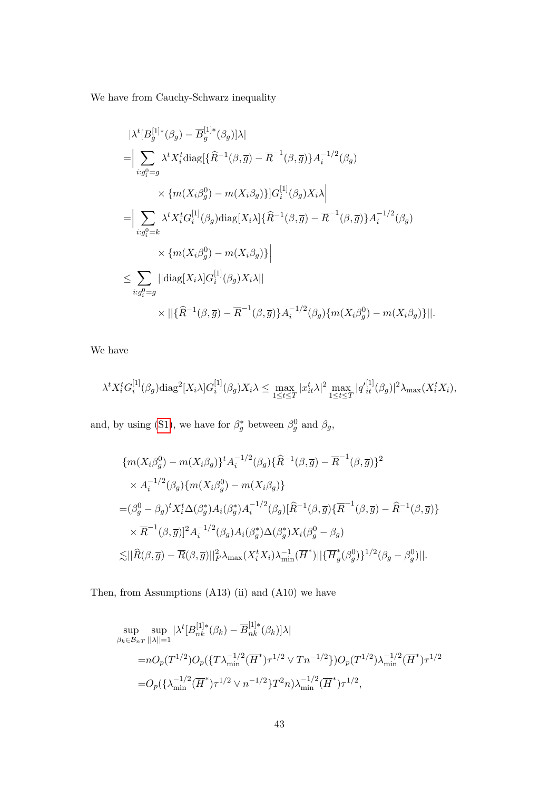We have from Cauchy-Schwarz inequality

$$
\begin{split}\n&|\lambda^{t}[B_g^{[1]*}(\beta_g) - \overline{B}_g^{[1]*}(\beta_g)|\lambda| \\
&= \Big| \sum_{i:g_i^0 = g} \lambda^{t} X_i^t \text{diag}[\{\widehat{R}^{-1}(\beta, \overline{g}) - \overline{R}^{-1}(\beta, \overline{g})\} A_i^{-1/2}(\beta_g) \\
&\times \{m(X_i \beta_g^0) - m(X_i \beta_g)\} G_i^{[1]}(\beta_g) X_i \lambda \Big| \\
&= \Big| \sum_{i:g_i^0 = k} \lambda^{t} X_i^t G_i^{[1]}(\beta_g) \text{diag}[X_i \lambda] \{\widehat{R}^{-1}(\beta, \overline{g}) - \overline{R}^{-1}(\beta, \overline{g})\} A_i^{-1/2}(\beta_g) \\
&\times \{m(X_i \beta_g^0) - m(X_i \beta_g)\} \Big| \\
&\leq \sum_{i:g_i^0 = g} ||\text{diag}[X_i \lambda] G_i^{[1]}(\beta_g) X_i \lambda|| \\
&\times ||\{\widehat{R}^{-1}(\beta, \overline{g}) - \overline{R}^{-1}(\beta, \overline{g})\} A_i^{-1/2}(\beta_g) \{m(X_i \beta_g^0) - m(X_i \beta_g)\}||.\n\end{split}
$$

We have

$$
\lambda^t X_i^t G_i^{[1]}(\beta_g) \text{diag}^2[X_i \lambda] G_i^{[1]}(\beta_g) X_i \lambda \le \max_{1 \le t \le T} |x_{it}^t \lambda|^2 \max_{1 \le t \le T} |q_{it}^{'[1]}(\beta_g)|^2 \lambda_{\max}(X_i^t X_i),
$$

and, by using [\(S1\)](#page-30-0), we have for  $\beta_g^*$  between  $\beta_g^0$  and  $\beta_g$ ,

$$
\{m(X_i\beta_g^0) - m(X_i\beta_g)\}^t A_i^{-1/2}(\beta_g)\{\widehat{R}^{-1}(\beta,\overline{g}) - \overline{R}^{-1}(\beta,\overline{g})\}^2
$$
  
 
$$
\times A_i^{-1/2}(\beta_g)\{m(X_i\beta_g^0) - m(X_i\beta_g)\}
$$
  
=  $(\beta_g^0 - \beta_g)^t X_i^t \Delta(\beta_g^*) A_i(\beta_g^*) A_i^{-1/2}(\beta_g)[\widehat{R}^{-1}(\beta,\overline{g})\{\overline{R}^{-1}(\beta,\overline{g}) - \widehat{R}^{-1}(\beta,\overline{g})\}$   

$$
\times \overline{R}^{-1}(\beta,\overline{g})]^2 A_i^{-1/2}(\beta_g) A_i(\beta_g^*) \Delta(\beta_g^*) X_i(\beta_g^0 - \beta_g)
$$
  

$$
\lesssim ||\widehat{R}(\beta,\overline{g}) - \overline{R}(\beta,\overline{g})||_F^2 \lambda_{\max}(X_i^t X_i) \lambda_{\min}^{-1}(\overline{H}^*) ||\{\overline{H}_g^*(\beta_g^0)\}^{1/2}(\beta_g - \beta_g^0) ||.
$$

Then, from Assumptions (A13) (ii) and (A10) we have

$$
\sup_{\beta_k \in \mathcal{B}_{nT}} \sup_{||\lambda||=1} |\lambda^t [B_{nk}^{[1]*}(\beta_k) - \overline{B}_{nk}^{[1]*}(\beta_k)]\lambda|
$$
  
= $nO_p(T^{1/2})O_p(\{T\lambda_{\min}^{-1/2}(\overline{H}^*)\tau^{1/2} \vee Tn^{-1/2}\})O_p(T^{1/2})\lambda_{\min}^{-1/2}(\overline{H}^*)\tau^{1/2}$   
= $O_p(\{\lambda_{\min}^{-1/2}(\overline{H}^*)\tau^{1/2} \vee n^{-1/2}\}T^2n)\lambda_{\min}^{-1/2}(\overline{H}^*)\tau^{1/2},$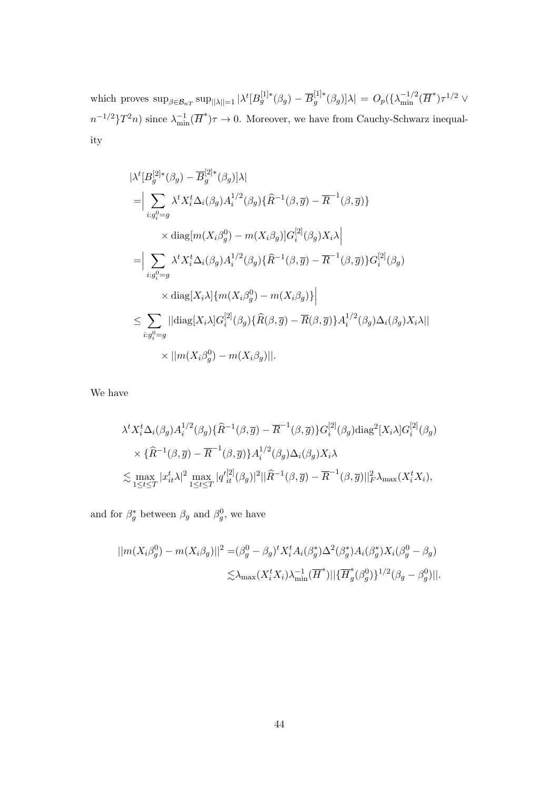which proves  $\sup_{\beta \in \mathcal{B}_{nT}} \sup_{\|\lambda\|=1} |\lambda^t[B_g^{[1]*}(\beta_g) - \overline{B}_g^{[1]*}$  $[g_g^{[1]*}(\beta_g)]\lambda\vert \,=\,O_p(\{\lambda_{\min}^{-1/2}(\overline H^*)\tau^{1/2} \vee \overline \Psi^* \} )$  $n^{-1/2}\}T^2n)$  since  $\lambda_{\min}^{-1}(\overline{H}^*)\tau \to 0$ . Moreover, we have from Cauchy-Schwarz inequality

$$
\begin{split}\n&\|\lambda^{t}[B_g^{[2]*}(\beta_g) - \overline{B}_g^{[2]*}(\beta_g)]\lambda| \\
&= \Big|\sum_{i:g_i^0 = g} \lambda^{t} X_i^t \Delta_i(\beta_g) A_i^{1/2}(\beta_g) \{\widehat{R}^{-1}(\beta, \overline{g}) - \overline{R}^{-1}(\beta, \overline{g})\} \\
&\times \text{diag}[m(X_i \beta_g^0) - m(X_i \beta_g)] G_i^{[2]}(\beta_g) X_i \lambda| \\
&= \Big|\sum_{i:g_i^0 = g} \lambda^{t} X_i^t \Delta_i(\beta_g) A_i^{1/2}(\beta_g) \{\widehat{R}^{-1}(\beta, \overline{g}) - \overline{R}^{-1}(\beta, \overline{g})\} G_i^{[2]}(\beta_g) \\
&\times \text{diag}[X_i \lambda] \{m(X_i \beta_g^0) - m(X_i \beta_g)\}\Big|\n\end{split}
$$
\n
$$
\leq \sum_{i:g_i^0 = g} ||\text{diag}[X_i \lambda] G_i^{[2]}(\beta_g) \{\widehat{R}(\beta, \overline{g}) - \overline{R}(\beta, \overline{g})\} A_i^{1/2}(\beta_g) \Delta_i(\beta_g) X_i \lambda||
$$
\n
$$
\times ||m(X_i \beta_g^0) - m(X_i \beta_g)||.
$$

We have

$$
\lambda^t X_i^t \Delta_i(\beta_g) A_i^{1/2}(\beta_g) \{\widehat{R}^{-1}(\beta, \overline{g}) - \overline{R}^{-1}(\beta, \overline{g})\} G_i^{[2]}(\beta_g) \text{diag}^2[X_i \lambda] G_i^{[2]}(\beta_g)
$$
  

$$
\times \{\widehat{R}^{-1}(\beta, \overline{g}) - \overline{R}^{-1}(\beta, \overline{g})\} A_i^{1/2}(\beta_g) \Delta_i(\beta_g) X_i \lambda
$$
  

$$
\lesssim \max_{1 \le t \le T} |x_{it}^t \lambda|^2 \max_{1 \le t \le T} |q_{it}^{'[2]}(\beta_g)|^2 ||\widehat{R}^{-1}(\beta, \overline{g}) - \overline{R}^{-1}(\beta, \overline{g})||_F^2 \lambda_{\text{max}}(X_i^t X_i),
$$

and for  $\beta_g^*$  between  $\beta_g$  and  $\beta_g^0$ , we have

$$
||m(Xi\betag0) - m(Xi\betag)||2 = (\betag0 - \betag)t Xit Ai(\betag*)\Delta2(\betag*)Ai(\betag0)Xi(\betag0 - \betag)\n
$$
\lesssim \lambda_{\max}(XitXi)\lambda_{\min}^{-1}(\overline{H}^*)||{\{\overline{H}_g^*(\beta_g^0)\}}^{1/2}(\beta_g - \betag0)||.
$$
$$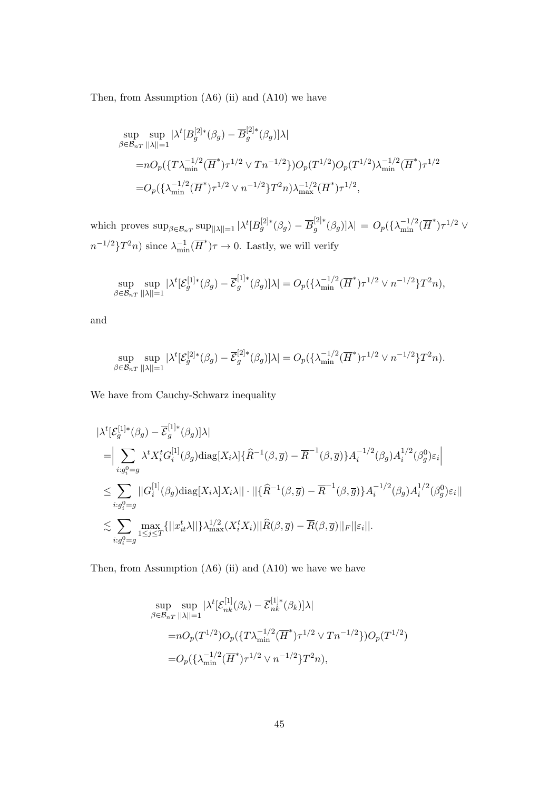Then, from Assumption (A6) (ii) and (A10) we have

$$
\sup_{\beta \in \mathcal{B}_{nT}} \sup_{||\lambda||=1} |\lambda^t [B_g^{[2]*}(\beta_g) - \overline{B}_g^{[2]*}(\beta_g)]\lambda|
$$
  
\n
$$
= nO_p(\{T\lambda_{\min}^{-1/2} (\overline{H}^*) \tau^{1/2} \vee Tn^{-1/2}\}) O_p(T^{1/2}) O_p(T^{1/2}) \lambda_{\min}^{-1/2} (\overline{H}^*) \tau^{1/2}
$$
  
\n
$$
= O_p(\{\lambda_{\min}^{-1/2} (\overline{H}^*) \tau^{1/2} \vee n^{-1/2}\} T^2 n) \lambda_{\max}^{-1/2} (\overline{H}^*) \tau^{1/2},
$$

which proves  $\sup_{\beta \in \mathcal{B}_{nT}} \sup_{\|\lambda\|=1} |\lambda^t [B_g^{[2]*}(\beta_g) - \overline{B}_g^{[2]*}$  $\int_{g}^{[2]*}(\beta_g)|\lambda| \,=\, O_p(\{\lambda_\mathrm{min}^{-1/2}(\overline{H}^*)\tau^{1/2} \vee \lambda\})$  $n^{-1/2}\}T^2n)$  since  $\lambda_{\min}^{-1}(\overline{H}^*)\tau \to 0$ . Lastly, we will verify

$$
\sup_{\beta \in \mathcal{B}_{nT}} \sup_{||\lambda||=1} |\lambda^t [\mathcal{E}_g^{[1]*}(\beta_g) - \overline{\mathcal{E}}_g^{[1]*}(\beta_g)]\lambda| = O_p(\{\lambda_{\min}^{-1/2} (\overline{H}^*) \tau^{1/2} \vee n^{-1/2} \} T^2 n),
$$

and

$$
\sup_{\beta \in \mathcal{B}_{nT}} \sup_{||\lambda||=1} |\lambda^t [\mathcal{E}_g^{[2]*}(\beta_g) - \overline{\mathcal{E}}_g^{[2]*}(\beta_g)]\lambda| = O_p(\{\lambda_{\min}^{-1/2} (\overline{H}^*) \tau^{1/2} \vee n^{-1/2} \} T^2 n).
$$

We have from Cauchy-Schwarz inequality

$$
\begin{split}\n&\|\lambda^{t}[\mathcal{E}_{g}^{[1]*}(\beta_{g}) - \overline{\mathcal{E}}_{g}^{[1]*}(\beta_{g})]\lambda| \\
&= \Big|\sum_{i:g_{i}^{0}=g} \lambda^{t} X_{i}^{t} G_{i}^{[1]}(\beta_{g}) \text{diag}[X_{i}\lambda] \{\widehat{R}^{-1}(\beta,\overline{g}) - \overline{R}^{-1}(\beta,\overline{g})\} A_{i}^{-1/2}(\beta_{g}) A_{i}^{1/2}(\beta_{g}^{0}) \varepsilon_{i}\Big| \\
&\leq \sum_{i:g_{i}^{0}=g} ||G_{i}^{[1]}(\beta_{g}) \text{diag}[X_{i}\lambda] X_{i}\lambda|| \cdot ||\{\widehat{R}^{-1}(\beta,\overline{g}) - \overline{R}^{-1}(\beta,\overline{g})\} A_{i}^{-1/2}(\beta_{g}) A_{i}^{1/2}(\beta_{g}^{0}) \varepsilon_{i}|| \\
&\lesssim \sum_{i:g_{i}^{0}=g} \max_{1 \leq j \leq T} \{||x_{it}^{t}\lambda||\} \lambda_{\max}^{1/2} (X_{i}^{t} X_{i})||\widehat{R}(\beta,\overline{g}) - \overline{R}(\beta,\overline{g})||_{F}||\varepsilon_{i}||.\n\end{split}
$$

Then, from Assumption  $(A6)$  (ii) and  $(A10)$  we have we have

$$
\sup_{\beta \in \mathcal{B}_{nT}} \sup_{||\lambda||=1} |\lambda^t [\mathcal{E}_{nk}^{[1]}(\beta_k) - \overline{\mathcal{E}}_{nk}^{[1]*}(\beta_k)] \lambda|
$$
  
\n
$$
= nO_p(T^{1/2})O_p(\{T\lambda_{\min}^{-1/2}(\overline{H}^*)\tau^{1/2} \vee Tn^{-1/2}\})O_p(T^{1/2})
$$
  
\n
$$
= O_p(\{\lambda_{\min}^{-1/2}(\overline{H}^*)\tau^{1/2} \vee n^{-1/2}\}T^2n),
$$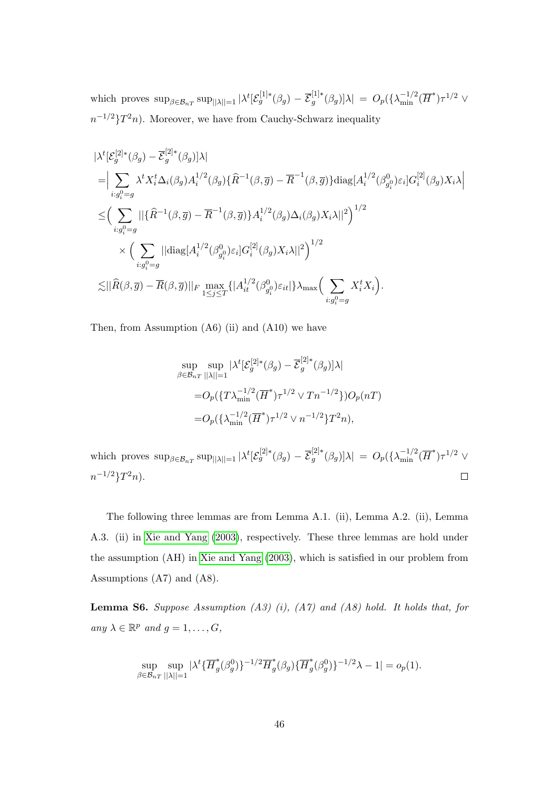which proves  $\sup_{\beta \in \mathcal{B}_{nT}} \sup_{||\lambda||=1} |\lambda^t [\mathcal{E}_g^{[1]*}(\beta_g) - \overline{\mathcal{E}}_g^{[1]*}]\|$  $[g_g^{[1]*}(\beta_g)]\lambda$  =  $O_p(\{\lambda_{\min}^{-1/2}(\overline{H}^*)\tau^{1/2} \ \forall$  $n^{-1/2}$ } $T^2n$ . Moreover, we have from Cauchy-Schwarz inequality

$$
\begin{split}\n&\|\lambda^{t}[\mathcal{E}_{g}^{[2]*}(\beta_{g})-\overline{\mathcal{E}}_{g}^{[2]*}(\beta_{g})]\lambda| \\
&=\Big|\sum_{i:g_{i}^{0}=g}\lambda^{t}X_{i}^{t}\Delta_{i}(\beta_{g})A_{i}^{1/2}(\beta_{g})\{\widehat{R}^{-1}(\beta,\overline{g})-\overline{R}^{-1}(\beta,\overline{g})\}\mathrm{diag}[A_{i}^{1/2}(\beta_{g_{i}^{0}}^{0})\varepsilon_{i}]G_{i}^{[2]}(\beta_{g})X_{i}\lambda\Big| \\
&\leq&\Big(\sum_{i:g_{i}^{0}=g}\|\{\widehat{R}^{-1}(\beta,\overline{g})-\overline{R}^{-1}(\beta,\overline{g})\}A_{i}^{1/2}(\beta_{g})\Delta_{i}(\beta_{g})X_{i}\lambda\|^2\Big)^{1/2} \\
&\times&\Big(\sum_{i:g_{i}^{0}=g}\|\mathrm{diag}[A_{i}^{1/2}(\beta_{g_{i}^{0}}^{0})\varepsilon_{i}]G_{i}^{[2]}(\beta_{g})X_{i}\lambda\|^2\Big)^{1/2} \\
&\lesssim&\|\widehat{R}(\beta,\overline{g})-\overline{R}(\beta,\overline{g})\|\|_{F}\max_{1\leq j\leq T}\{|A_{it}^{1/2}(\beta_{g_{i}^{0}}^{0})\varepsilon_{it}|\}\lambda_{\max}\Big(\sum_{i:g_{i}^{0}=g}X_{i}^{t}X_{i}\Big).\n\end{split}
$$

Then, from Assumption (A6) (ii) and (A10) we have

$$
\sup_{\beta \in \mathcal{B}_{nT}} \sup_{||\lambda||=1} |\lambda^t [\mathcal{E}_g^{[2]*}(\beta_g) - \overline{\mathcal{E}}_g^{[2]*}(\beta_g)]\lambda|
$$
  
=  $O_p(\{T\lambda_{\min}^{-1/2} (\overline{H}^*)\tau^{1/2} \vee Tn^{-1/2}\}) O_p(nT)$   
=  $O_p(\{\lambda_{\min}^{-1/2} (\overline{H}^*)\tau^{1/2} \vee n^{-1/2}\}T^2n),$ 

which proves  $\sup_{\beta \in \mathcal{B}_{nT}} \sup_{||\lambda||=1} |\lambda^t [\mathcal{E}_g^{[2]*}(\beta_g) - \overline{\mathcal{E}}_g^{[2]}]$  $\int_{g}^{[2]*}(\beta_g)|\lambda| \ = \ O_p(\{\lambda_{\min}^{-1/2}(\overline{H}^*) \tau^{1/2} \ \lor \$  $n^{-1/2}\}T^2n)$ .  $\Box$ 

The following three lemmas are from Lemma A.1. (ii), Lemma A.2. (ii), Lemma A.3. (ii) in [Xie and Yang \(2003\)](#page-23-7), respectively. These three lemmas are hold under the assumption (AH) in [Xie and Yang \(2003\)](#page-23-7), which is satisfied in our problem from Assumptions (A7) and (A8).

<span id="page-45-0"></span>**Lemma S6.** Suppose Assumption  $(A3)$   $(i)$ ,  $(A7)$  and  $(A8)$  hold. It holds that, for any  $\lambda \in \mathbb{R}^p$  and  $g = 1, \ldots, G$ ,

$$
\sup_{\beta \in \mathcal{B}_{nT}} \sup_{||\lambda||=1} |\lambda^t \{\overline{H}^*_g(\beta^0_g)\}^{-1/2} \overline{H}^*_g(\beta_g) \{\overline{H}^*_g(\beta^0_g)\}^{-1/2} \lambda -1| = o_p(1).
$$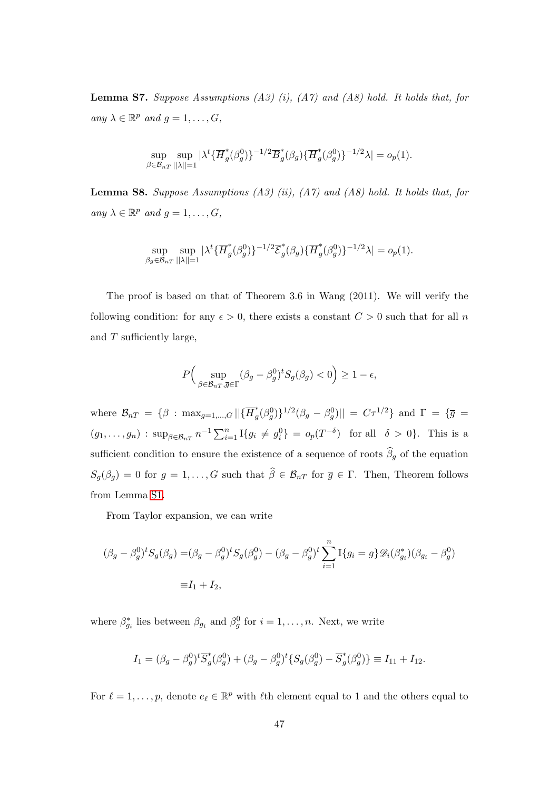<span id="page-46-1"></span>**Lemma S7.** Suppose Assumptions  $(A3)$  (i),  $(A7)$  and  $(A8)$  hold. It holds that, for any  $\lambda \in \mathbb{R}^p$  and  $g = 1, \ldots, G$ ,

$$
\sup_{\beta \in \mathcal{B}_{nT}} \sup_{||\lambda||=1} |\lambda^t \{\overline{H}_g^*(\beta_g^0)\}^{-1/2} \overline{B}_g^*(\beta_g) \{\overline{H}_g^*(\beta_g^0)\}^{-1/2} \lambda| = o_p(1).
$$

<span id="page-46-0"></span>**Lemma S8.** Suppose Assumptions  $(A3)$  (ii),  $(A7)$  and  $(A8)$  hold. It holds that, for any  $\lambda \in \mathbb{R}^p$  and  $g = 1, \ldots, G$ ,

$$
\sup_{\beta_g \in \mathcal{B}_{nT}} \sup_{||\lambda||=1} |\lambda^t {\{\overline{H}_g^*(\beta_g^0)\}}^{-1/2} \overline{\mathcal{E}}_g^*(\beta_g) {\{\overline{H}_g^*(\beta_g^0)\}}^{-1/2} \lambda| = o_p(1).
$$

The proof is based on that of Theorem 3.6 in Wang (2011). We will verify the following condition: for any  $\epsilon > 0$ , there exists a constant  $C > 0$  such that for all n and T sufficiently large,

$$
P\Big(\sup_{\beta \in \mathcal{B}_{nT}, \overline{g} \in \Gamma} (\beta_g - \beta_g^0)^t S_g(\beta_g) < 0 \Big) \ge 1 - \epsilon,
$$

where  $\mathcal{B}_{nT} = \{\beta : \max_{g=1,\dots,G} || \{\overline{H}_g^*\}$  $\langle g^*(\beta_g^0)\rangle^{1/2}(\beta_g-\beta_g^0) \vert\vert\ =\ C\tau^{1/2}\}$  and  $\Gamma\ =\ \{\overline{g}\ =\ \overline{g}\ =\ \overline{g}\ =\ \overline{g}\ =\ \overline{g}\ =\ \overline{g}\ =\ \overline{g}\ =\ \overline{g}\ =\ \overline{g}\ =\ \overline{g}\ =\ \overline{g}\ =\ \overline{g}\ =\ \overline{g}\ =\ \overline{g}\ =\ \overline{g}\ =\ \overline{g}\ =\ \overline{g}\ =\ \overline{g}\ =\ \overline{g}\ =\ \overline{g}\ =\ \overline{g$  $(g_1,...,g_n)$ :  $\sup_{\beta \in \mathcal{B}_{nT}} n^{-1} \sum_{i=1}^n I\{g_i \neq g_i^0\} = o_p(T^{-\delta})$  for all  $\delta > 0$ . This is a sufficient condition to ensure the existence of a sequence of roots  $\widehat{\beta}_g$  of the equation  $S_g(\beta_g) = 0$  for  $g = 1, ..., G$  such that  $\hat{\beta} \in \mathcal{B}_{nT}$  for  $\overline{g} \in \Gamma$ . Then, Theorem follows from Lemma [S1.](#page-26-0)

From Taylor expansion, we can write

$$
(\beta_g - \beta_g^0)^t S_g(\beta_g) = (\beta_g - \beta_g^0)^t S_g(\beta_g^0) - (\beta_g - \beta_g^0)^t \sum_{i=1}^n I\{g_i = g\} \mathcal{D}_i(\beta_{g_i}^*) (\beta_{g_i} - \beta_g^0)
$$
  
=  $I_1 + I_2$ ,

where  $\beta_{g_i}^*$  lies between  $\beta_{g_i}$  and  $\beta_g^0$  for  $i = 1, \ldots, n$ . Next, we write

$$
I_1 = (\beta_g - \beta_g^0)^t \overline{S}_g^*(\beta_g^0) + (\beta_g - \beta_g^0)^t \{ S_g(\beta_g^0) - \overline{S}_g^*(\beta_g^0) \} \equiv I_{11} + I_{12}.
$$

For  $\ell = 1, \ldots, p$ , denote  $e_{\ell} \in \mathbb{R}^p$  with  $\ell$ th element equal to 1 and the others equal to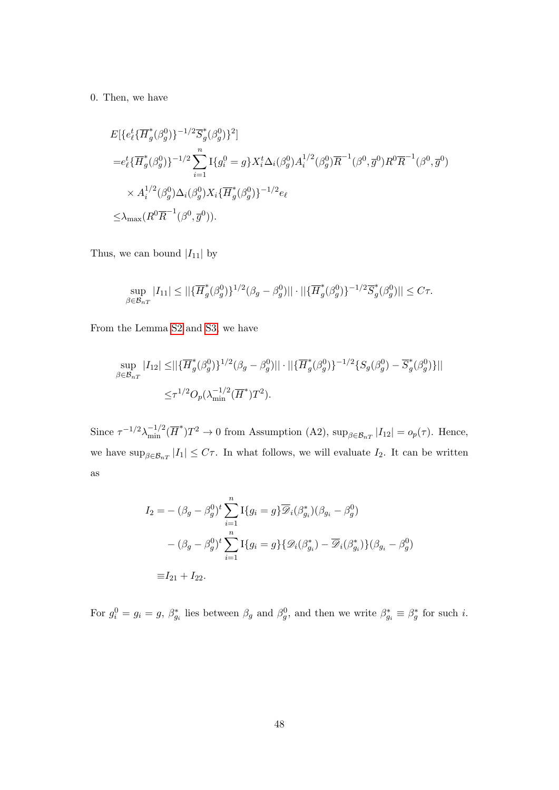0. Then, we have

$$
E\{\{e_{\ell}^{t}\{\overline{H}_{g}^{*}(\beta_{g}^{0})\}^{-1/2}\overline{S}_{g}^{*}(\beta_{g}^{0})\}^{2}\}\n= e_{\ell}^{t}\{\overline{H}_{g}^{*}(\beta_{g}^{0})\}^{-1/2}\sum_{i=1}^{n}I\{g_{i}^{0}=g\}X_{i}^{t}\Delta_{i}(\beta_{g}^{0})A_{i}^{1/2}(\beta_{g}^{0})\overline{R}^{-1}(\beta^{0},\overline{g}^{0})R^{0}\overline{R}^{-1}(\beta^{0},\overline{g}^{0})\n\n\times A_{i}^{1/2}(\beta_{g}^{0})\Delta_{i}(\beta_{g}^{0})X_{i}\{\overline{H}_{g}^{*}(\beta_{g}^{0})\}^{-1/2}e_{\ell}\n\n\times\Delta_{\max}(R^{0}\overline{R}^{-1}(\beta^{0},\overline{g}^{0})).
$$

Thus, we can bound  $\left|I_{11}\right|$  by

$$
\sup_{\beta \in \mathcal{B}_{nT}} |I_{11}| \le ||\{\overline{H}_g^*(\beta_g^0)\}^{1/2}(\beta_g - \beta_g^0)|| \cdot ||\{\overline{H}_g^*(\beta_g^0)\}^{-1/2} \overline{S}_g^*(\beta_g^0)|| \le C\tau.
$$

From the Lemma [S2](#page-36-0) and [S3,](#page-39-0) we have

$$
\sup_{\beta \in \mathcal{B}_{nT}} |I_{12}| \leq ||{\{\overline{H}_g^*(\beta_g^0)\}}^{1/2}(\beta_g - \beta_g^0)|| \cdot ||{\{\overline{H}_g^*(\beta_g^0)\}}^{-1/2}{\{S_g(\beta_g^0) - \overline{S}_g^*(\beta_g^0)\}}||
$$
  

$$
\leq \tau^{1/2} O_p(\lambda_{\min}^{-1/2} (\overline{H}^*) T^2).
$$

Since  $\tau^{-1/2}\lambda_{\min}^{-1/2}(\overline{H}^*)T^2 \to 0$  from Assumption (A2),  $\sup_{\beta \in \mathcal{B}_{nT}}|I_{12}| = o_p(\tau)$ . Hence, we have  $\sup_{\beta \in \mathcal{B}_{nT}} |I_1| \leq C\tau$ . In what follows, we will evaluate  $I_2$ . It can be written as

$$
I_2 = -(\beta_g - \beta_g^0)^t \sum_{i=1}^n I\{g_i = g\} \overline{\mathscr{D}}_i(\beta_{g_i}^*) (\beta_{g_i} - \beta_g^0)
$$

$$
-(\beta_g - \beta_g^0)^t \sum_{i=1}^n I\{g_i = g\} \{\mathscr{D}_i(\beta_{g_i}^*) - \overline{\mathscr{D}}_i(\beta_{g_i}^*)\} (\beta_{g_i} - \beta_g^0)
$$

$$
\equiv I_{21} + I_{22}.
$$

For  $g_i^0 = g_i = g, \ \beta_{g_i}^*$  lies between  $\beta_g$  and  $\beta_g^0$ , and then we write  $\beta_{g_i}^* \equiv \beta_g^*$  for such *i*.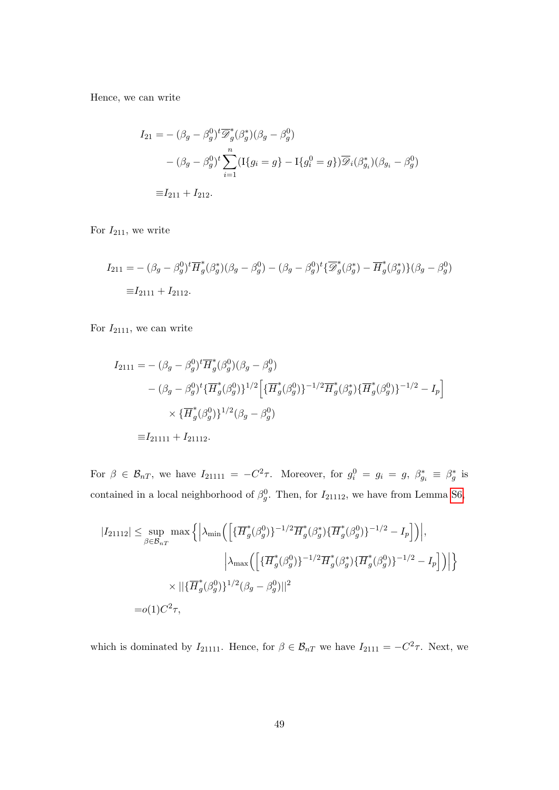Hence, we can write

$$
I_{21} = -(\beta_g - \beta_g^0)^t \overline{\mathscr{D}}_g^*(\beta_g^*)(\beta_g - \beta_g^0)
$$
  
 
$$
-(\beta_g - \beta_g^0)^t \sum_{i=1}^n (\text{I}\{g_i = g\} - \text{I}\{g_i^0 = g\}) \overline{\mathscr{D}}_i(\beta_{g_i}^*)(\beta_{g_i} - \beta_g^0)
$$
  

$$
\equiv I_{211} + I_{212}.
$$

For  $I_{211}$ , we write

$$
I_{211} = -(\beta_g - \beta_g^0)^t \overline{H}_g^*(\beta_g^*)(\beta_g - \beta_g^0) - (\beta_g - \beta_g^0)^t \{\overline{\mathscr{D}}_g^*(\beta_g^*) - \overline{H}_g^*(\beta_g^*)\} (\beta_g - \beta_g^0)
$$
  

$$
\equiv I_{2111} + I_{2112}.
$$

For  $I_{2111}$ , we can write

$$
I_{2111} = -(\beta_g - \beta_g^0)^t \overline{H}_g^*(\beta_g^0)(\beta_g - \beta_g^0)
$$
  
 
$$
- (\beta_g - \beta_g^0)^t \{\overline{H}_g^*(\beta_g^0)\}^{1/2} \Big[ \{\overline{H}_g^*(\beta_g^0)\}^{-1/2} \overline{H}_g^*(\beta_g^*) \{\overline{H}_g^*(\beta_g^0)\}^{-1/2} - I_p \Big]
$$
  
 
$$
\times \{\overline{H}_g^*(\beta_g^0)\}^{1/2} (\beta_g - \beta_g^0)
$$
  
 
$$
\equiv I_{21111} + I_{21112}.
$$

For  $\beta \in \mathcal{B}_{nT}$ , we have  $I_{21111} = -C^2\tau$ . Moreover, for  $g_i^0 = g_i = g$ ,  $\beta_{g_i}^* \equiv \beta_g^*$  is contained in a local neighborhood of  $\beta_g^0$ . Then, for  $I_{21112}$ , we have from Lemma [S6,](#page-45-0)

$$
|I_{21112}| \le \sup_{\beta \in \mathcal{B}_{nT}} \max \left\{ \left| \lambda_{\min} \left( \left[ \{\overline{H}_g^*(\beta_g^0)\}^{-1/2} \overline{H}_g^*(\beta_g^*) \{\overline{H}_g^*(\beta_g^0)\}^{-1/2} - I_p \right] \right) \right|, \right\}
$$

$$
\left| \lambda_{\max} \left( \left[ \{\overline{H}_g^*(\beta_g^0)\}^{-1/2} \overline{H}_g^*(\beta_g^*) \{\overline{H}_g^*(\beta_g^0)\}^{-1/2} - I_p \right] \right) \right| \right\}
$$

$$
\times ||{\{\overline{H}_g^*(\beta_g^0)\}^{1/2} (\beta_g - \beta_g^0) ||^2}
$$

$$
= o(1)C^2 \tau,
$$

which is dominated by  $I_{21111}$ . Hence, for  $\beta \in \mathcal{B}_{nT}$  we have  $I_{2111} = -C^2 \tau$ . Next, we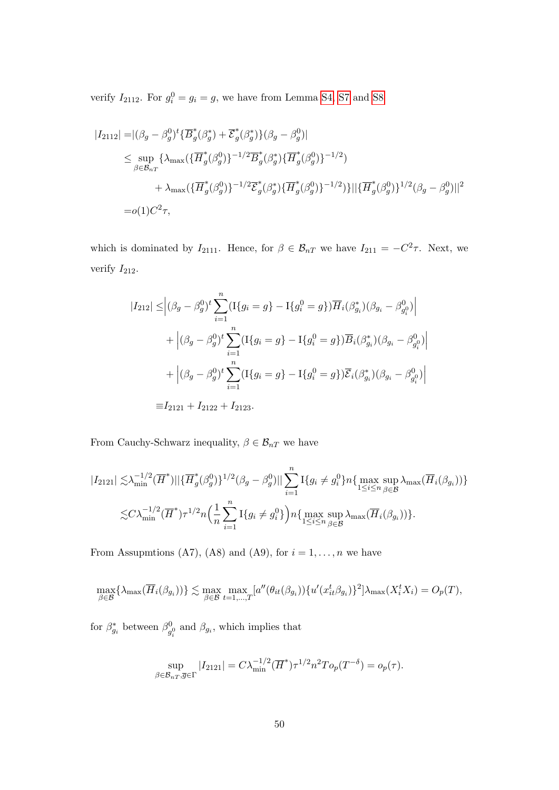verify  $I_{2112}$ . For  $g_i^0 = g_i = g$ , we have from Lemma [S4,](#page-40-0) [S7](#page-46-1) and [S8](#page-46-0)

$$
\begin{split} |I_{2112}| = & |(\beta_g - \beta_g^0)^t \{\overline{B}_g^*(\beta_g^*) + \overline{\mathcal{E}}_g^*(\beta_g^*)\} (\beta_g - \beta_g^0)| \\ & \leq \sup_{\beta \in \mathcal{B}_{nT}} \{\lambda_{\max}(\{\overline{H}_g^*(\beta_g^0)\}^{-1/2} \overline{B}_g^*(\beta_g^*) \{\overline{H}_g^*(\beta_g^0)\}^{-1/2}) \\ & \qquad \qquad + \lambda_{\max}(\{\overline{H}_g^*(\beta_g^0)\}^{-1/2} \overline{\mathcal{E}}_g^*(\beta_g^*) \{\overline{H}_g^*(\beta_g^0)\}^{-1/2})\} || \{\overline{H}_g^*(\beta_g^0)\}^{1/2} (\beta_g - \beta_g^0) ||^2 \\ = & o(1)C^2 \tau, \end{split}
$$

which is dominated by  $I_{2111}$ . Hence, for  $\beta \in \mathcal{B}_{nT}$  we have  $I_{211} = -C^2 \tau$ . Next, we verify  $I_{212}$ .

$$
|I_{212}| \leq |(\beta_g - \beta_g^0)^t \sum_{i=1}^n (I\{g_i = g\} - I\{g_i^0 = g\}) \overline{H}_i(\beta_{g_i}^*) (\beta_{g_i} - \beta_{g_i^0}^0)|
$$
  
+ 
$$
|(\beta_g - \beta_g^0)^t \sum_{i=1}^n (I\{g_i = g\} - I\{g_i^0 = g\}) \overline{B}_i(\beta_{g_i}^*) (\beta_{g_i} - \beta_{g_i^0}^0)|
$$
  
+ 
$$
|(\beta_g - \beta_g^0)^t \sum_{i=1}^n (I\{g_i = g\} - I\{g_i^0 = g\}) \overline{\mathcal{E}}_i(\beta_{g_i}^*) (\beta_{g_i} - \beta_{g_i^0}^0)|
$$
  
 
$$
\equiv I_{2121} + I_{2122} + I_{2123}.
$$

From Cauchy-Schwarz inequality,  $\beta \in \mathcal{B}_{nT}$  we have

$$
|I_{2121}| \lesssim \lambda_{\min}^{-1/2} (\overline{H}^*) || \{\overline{H}_g^*(\beta_g^0)\}^{1/2} (\beta_g - \beta_g^0) || \sum_{i=1}^n I\{g_i \neq g_i^0\} n \{\max_{1 \leq i \leq n} \sup_{\beta \in \mathcal{B}} \lambda_{\max} (\overline{H}_i(\beta_{g_i}))\}
$$
  

$$
\lesssim C \lambda_{\min}^{-1/2} (\overline{H}^*) \tau^{1/2} n \left(\frac{1}{n} \sum_{i=1}^n I\{g_i \neq g_i^0\}\right) n \{\max_{1 \leq i \leq n} \sup_{\beta \in \mathcal{B}} \lambda_{\max} (\overline{H}_i(\beta_{g_i}))\}.
$$

From Assupmtions (A7), (A8) and (A9), for  $i = 1, ..., n$  we have

$$
\max_{\beta \in \mathcal{B}} \{ \lambda_{\max}(\overline{H}_i(\beta_{g_i})) \} \lesssim \max_{\beta \in \mathcal{B}} \max_{t=1,\dots,T} [a''(\theta_{it}(\beta_{g_i})) \{ u'(x_{it}^t \beta_{g_i}) \}^2] \lambda_{\max}(X_i^t X_i) = O_p(T),
$$

for  $\beta_{g_i}^*$  between  $\beta_q^0$  $\int_{g_i^0}^{g_i}$  and  $\beta_{g_i}$ , which implies that

$$
\sup_{\beta \in \mathcal{B}_{nT}, \overline{g} \in \Gamma} |I_{2121}| = C\lambda_{\min}^{-1/2} (\overline{H}^*) \tau^{1/2} n^2 T o_p(T^{-\delta}) = o_p(\tau).
$$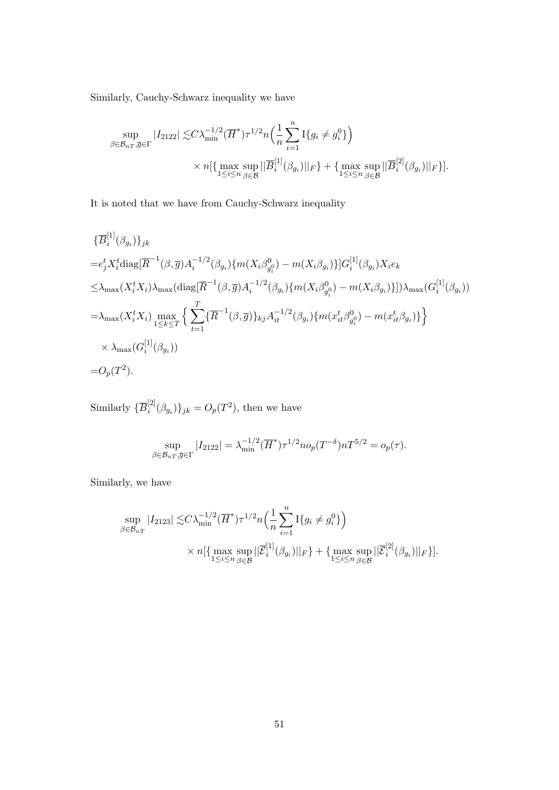Similarly, Cauchy-Schwarz inequality we have

$$
\sup_{\beta \in \mathcal{B}_{nT}, \overline{g} \in \Gamma} |I_{2122}| \lesssim C\lambda_{\min}^{-1/2} (\overline{H}^*) \tau^{1/2} n \Big( \frac{1}{n} \sum_{i=1}^n \mathcal{I} \{g_i \neq g_i^0\} \Big) \times n \big[ \{ \max_{1 \le i \le n} \sup_{\beta \in \mathcal{B}} ||\overline{B}_i^{[1]}(\beta_{g_i})||_F \} + \{ \max_{1 \le i \le n} \sup_{\beta \in \mathcal{B}} ||\overline{B}_i^{[2]}(\beta_{g_i})||_F \} \big].
$$

It is noted that we have from Cauchy-Schwarz inequality

$$
\{\overline{B}_{i}^{[1]}(\beta_{g_{i}})\}_{jk}
$$
\n
$$
=e_{j}^{t}X_{i}^{t}\text{diag}[\overline{R}^{-1}(\beta,\overline{g})A_{i}^{-1/2}(\beta_{g_{i}})\{m(X_{i}\beta_{g_{i}}^{0})-m(X_{i}\beta_{g_{i}})\}]G_{i}^{[1]}(\beta_{g_{i}})X_{i}e_{k}
$$
\n
$$
\leq\lambda_{\max}(X_{i}^{t}X_{i})\lambda_{\max}(\text{diag}[\overline{R}^{-1}(\beta,\overline{g})A_{i}^{-1/2}(\beta_{g_{i}})\{m(X_{i}\beta_{g_{i}}^{0})-m(X_{i}\beta_{g_{i}})\}])\lambda_{\max}(G_{i}^{[1]}(\beta_{g_{i}}))
$$
\n
$$
=\lambda_{\max}(X_{i}^{t}X_{i})\max_{1\leq k\leq T}\Big\{\sum_{t=1}^{T}\{\overline{R}^{-1}(\beta,\overline{g})\}_{kj}A_{it}^{-1/2}(\beta_{g_{i}})\{m(x_{it}^{t}\beta_{g_{i}}^{0})-m(x_{it}^{t}\beta_{g_{i}})\}\Big\}
$$
\n
$$
\times\lambda_{\max}(G_{i}^{[1]}(\beta_{g_{i}}))
$$
\n
$$
=O_{p}(T^{2}).
$$

Similarly  $\{ \overline{B}_i^{[2]} \}$  $\{G_i^{[2]}(\beta_{g_i})\}_{jk} = O_p(T^2)$ , then we have

$$
\sup_{\beta \in \mathcal{B}_{nT}, \overline{g} \in \Gamma} |I_{2122}| = \lambda_{\min}^{-1/2} (\overline{H}^*) \tau^{1/2} n o_p(T^{-\delta}) n T^{5/2} = o_p(\tau).
$$

Similarly, we have

$$
\sup_{\beta \in \mathcal{B}_{nT}} |I_{2123}| \lesssim C\lambda_{\min}^{-1/2} (\overline{H}^*) \tau^{1/2} n \Big(\frac{1}{n} \sum_{i=1}^n \mathcal{I}\{g_i \neq g_i^0\}\Big) \times n \big[\{\max_{1 \le i \le n} \sup_{\beta \in \mathcal{B}} ||\overline{\mathcal{E}}_i^{[1]}(\beta_{g_i})||_F\} + \{\max_{1 \le i \le n} \sup_{\beta \in \mathcal{B}} ||\overline{\mathcal{E}}_i^{[2]}(\beta_{g_i})||_F\}\big].
$$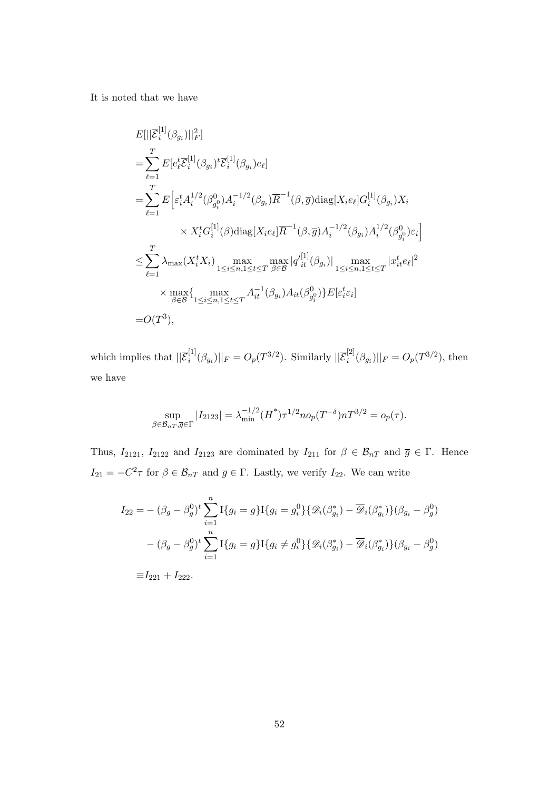It is noted that we have

$$
E[||\overline{\mathcal{E}}_{i}^{[1]}(\beta_{g_{i}})||_{F}^{2}]
$$
\n
$$
= \sum_{\ell=1}^{T} E[e_{\ell}^{t}\overline{\mathcal{E}}_{i}^{[1]}(\beta_{g_{i}})^{t}\overline{\mathcal{E}}_{i}^{[1]}(\beta_{g_{i}})e_{\ell}]
$$
\n
$$
= \sum_{\ell=1}^{T} E\Big[\varepsilon_{i}^{t}A_{i}^{1/2}(\beta_{g_{i}}^{0})A_{i}^{-1/2}(\beta_{g_{i}})\overline{R}^{-1}(\beta,\overline{g})\text{diag}[X_{i}e_{\ell}]\overline{G}_{i}^{[1]}(\beta_{g_{i}})X_{i}
$$
\n
$$
\times X_{i}^{t}G_{i}^{[1]}(\beta)\text{diag}[X_{i}e_{\ell}]\overline{R}^{-1}(\beta,\overline{g})A_{i}^{-1/2}(\beta_{g_{i}})A_{i}^{1/2}(\beta_{g_{i}}^{0})\varepsilon_{i}\Big]
$$
\n
$$
\leq \sum_{\ell=1}^{T} \lambda_{\max}(X_{i}^{t}X_{i}) \max_{1 \leq i \leq n, 1 \leq t \leq T} \max_{\beta \in \mathcal{B}} |q'_{it}^{[1]}(\beta_{g_{i}})| \max_{1 \leq i \leq n, 1 \leq t \leq T} |x_{it}^{t}e_{\ell}|^{2}
$$
\n
$$
\times \max_{\beta \in \mathcal{B}} \{ \max_{1 \leq i \leq n, 1 \leq t \leq T} A_{it}^{-1}(\beta_{g_{i}})A_{it}(\beta_{g_{i}}^{0})\} E[\varepsilon_{i}^{t}\varepsilon_{i}]
$$
\n
$$
= O(T^{3}),
$$

which implies that  $\|\overline{\mathcal{E}}_i^{[1]}$  $\hat{g}_{i}^{[1]}(\beta_{g_{i}})||_{F} = O_{p}(T^{3/2})$ . Similarly  $||\overline{\mathcal{E}}_{i}^{[2]}||$  $\int_{i}^{[2]}(\beta_{g_i})||_F = O_p(T^{3/2}), \text{ then}$ we have

$$
\sup_{\beta \in \mathcal{B}_{nT}, \overline{g} \in \Gamma} |I_{2123}| = \lambda_{\min}^{-1/2} (\overline{H}^*) \tau^{1/2} n o_p(T^{-\delta}) n T^{3/2} = o_p(\tau).
$$

Thus,  $I_{2121}$ ,  $I_{2122}$  and  $I_{2123}$  are dominated by  $I_{211}$  for  $\beta \in \mathcal{B}_{nT}$  and  $\overline{g} \in \Gamma$ . Hence  $I_{21} = -C^2\tau$  for  $\beta \in \mathcal{B}_{nT}$  and  $\overline{g} \in \Gamma$ . Lastly, we verify  $I_{22}$ . We can write

$$
I_{22} = -(\beta_g - \beta_g^0)^t \sum_{i=1}^n I\{g_i = g\} I\{g_i = g_i^0\} \{\mathcal{D}_i(\beta_{g_i}^*) - \overline{\mathcal{D}}_i(\beta_{g_i}^*)\} (\beta_{g_i} - \beta_g^0)
$$

$$
-(\beta_g - \beta_g^0)^t \sum_{i=1}^n I\{g_i = g\} I\{g_i \neq g_i^0\} \{\mathcal{D}_i(\beta_{g_i}^*) - \overline{\mathcal{D}}_i(\beta_{g_i}^*)\} (\beta_{g_i} - \beta_g^0)
$$

 $\equiv I_{221} + I_{222}.$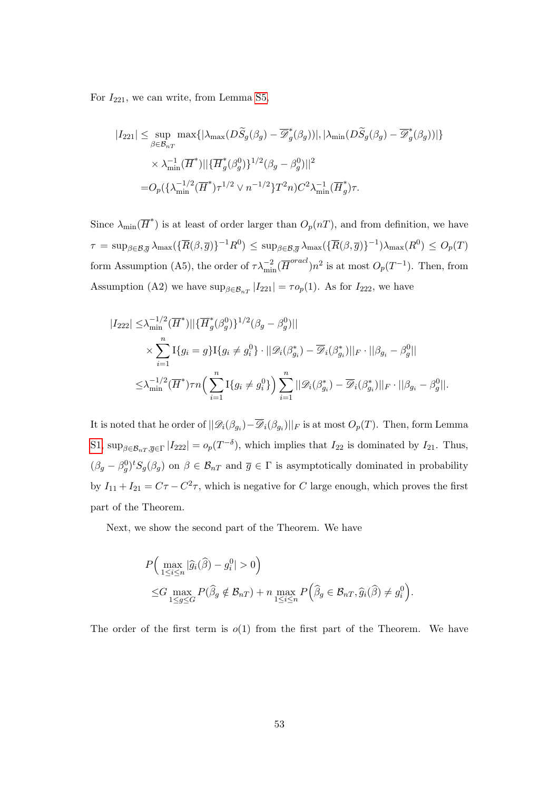For  $I_{221}$ , we can write, from Lemma [S5,](#page-40-1)

$$
\begin{split} |I_{221}| \leq \sup_{\beta \in \mathcal{B}_{nT}} \max \{|\lambda_{\max}(D\widetilde{S}_g(\beta_g) - \overline{\mathscr{D}}_g^*(\beta_g))|, |\lambda_{\min}(D\widetilde{S}_g(\beta_g) - \overline{\mathscr{D}}_g^*(\beta_g))|\} \\ &\times \lambda_{\min}^{-1}(\overline{H}^*)||\{\overline{H}_g^*(\beta_g^0)\}^{1/2}(\beta_g - \beta_g^0)||^2 \\ = & O_p(\{\lambda_{\min}^{-1/2}(\overline{H}^*)\tau^{1/2} \vee n^{-1/2}\}T^2n)C^2\lambda_{\min}^{-1}(\overline{H}_g^*)\tau. \end{split}
$$

Since  $\lambda_{\min}(\overline{H}^*)$  is at least of order larger than  $O_p(nT)$ , and from definition, we have  $\tau = \sup_{\beta \in \mathcal{B}, \overline{g}} \lambda_{\max}(\{\overline{R}(\beta, \overline{g})\}^{-1}R^0) \leq \sup_{\beta \in \mathcal{B}, \overline{g}} \lambda_{\max}(\{\overline{R}(\beta, \overline{g})\}^{-1}) \lambda_{\max}(R^0) \leq O_p(T)$ form Assumption (A5), the order of  $\tau \lambda_{\min}^{-2} (\overline{H}^{oracl}) n^2$  is at most  $O_p(T^{-1})$ . Then, from Assumption (A2) we have  $\sup_{\beta \in \mathcal{B}_{nT}} |I_{221}| = \tau o_p(1)$ . As for  $I_{222}$ , we have

$$
|I_{222}| \leq \lambda_{\min}^{-1/2} (\overline{H}^*) ||{\overline{H}_g^*(\beta_g^0)}^{1/2} (\beta_g - \beta_g^0) ||
$$
  

$$
\times \sum_{i=1}^n \mathcal{I}\{g_i = g\} \mathcal{I}\{g_i \neq g_i^0\} \cdot ||\mathcal{D}_i(\beta_{g_i}^*) - \overline{\mathcal{D}}_i(\beta_{g_i}^*)||_F \cdot ||\beta_{g_i} - \beta_g^0||
$$
  

$$
\leq \lambda_{\min}^{-1/2} (\overline{H}^*) \tau n \Big( \sum_{i=1}^n \mathcal{I}\{g_i \neq g_i^0\} \Big) \sum_{i=1}^n ||\mathcal{D}_i(\beta_{g_i}^*) - \overline{\mathcal{D}}_i(\beta_{g_i}^*)||_F \cdot ||\beta_{g_i} - \beta_g^0||.
$$

It is noted that he order of  $||\mathcal{D}_i(\beta_{g_i}) - \mathcal{D}_i(\beta_{g_i})||_F$  is at most  $O_p(T)$ . Then, form Lemma [S1,](#page-26-0)  $\sup_{\beta \in \mathcal{B}_{nT}, \overline{g} \in \Gamma} |I_{222}| = o_p(T^{-\delta}),$  which implies that  $I_{22}$  is dominated by  $I_{21}$ . Thus,  $(\beta_g - \beta_g^0)^t S_g(\beta_g)$  on  $\beta \in \mathcal{B}_{nT}$  and  $\overline{g} \in \Gamma$  is asymptotically dominated in probability by  $I_{11} + I_{21} = C\tau - C^2\tau$ , which is negative for C large enough, which proves the first part of the Theorem.

Next, we show the second part of the Theorem. We have

$$
P\Big(\max_{1\leq i\leq n}|\widehat{g}_i(\widehat{\beta}) - g_i^0| > 0\Big)
$$
  

$$
\leq G \max_{1\leq g\leq G} P(\widehat{\beta}_g \notin \mathcal{B}_{nT}) + n \max_{1\leq i\leq n} P\Big(\widehat{\beta}_g \in \mathcal{B}_{nT}, \widehat{g}_i(\widehat{\beta}) \neq g_i^0\Big).
$$

The order of the first term is  $o(1)$  from the first part of the Theorem. We have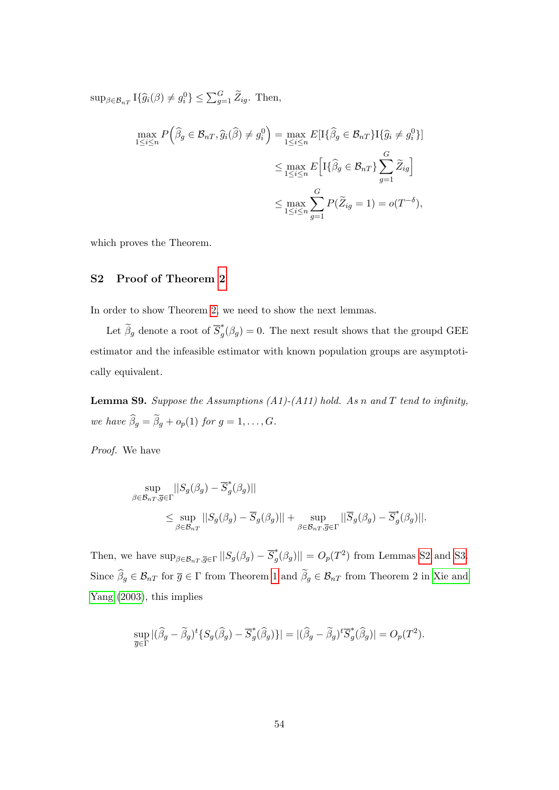$\sup_{\beta \in \mathcal{B}_{nT}} \mathcal{I}\{\widehat{g}_i(\beta) \neq g_i^0\} \leq \sum_{g=1}^G \widetilde{Z}_{ig}.$  Then,

$$
\max_{1 \le i \le n} P\left(\widehat{\beta}_g \in \mathcal{B}_{nT}, \widehat{g}_i(\widehat{\beta}) \ne g_i^0\right) = \max_{1 \le i \le n} E[I\{\widehat{\beta}_g \in \mathcal{B}_{nT}\} I\{\widehat{g}_i \ne g_i^0\}]
$$

$$
\le \max_{1 \le i \le n} E\left[I\{\widehat{\beta}_g \in \mathcal{B}_{nT}\}\sum_{g=1}^G \widetilde{Z}_{ig}\right]
$$

$$
\le \max_{1 \le i \le n} \sum_{g=1}^G P(\widetilde{Z}_{ig} = 1) = o(T^{-\delta}),
$$

which proves the Theorem.

## S2 Proof of Theorem [2](#page-12-1)

In order to show Theorem [2,](#page-12-1) we need to show the next lemmas.

Let  $\widetilde{\beta}_g$  denote a root of  $\overline{S}_g^*$  $\int_{g}^{*}(\beta_g) = 0$ . The next result shows that the groupd GEE estimator and the infeasible estimator with known population groups are asymptotically equivalent.

<span id="page-53-0"></span>**Lemma S9.** Suppose the Assumptions (A1)-(A11) hold. As n and T tend to infinity, we have  $\widehat{\beta}_g = \widetilde{\beta}_g + o_p(1)$  for  $g = 1, \ldots, G$ .

Proof. We have

$$
\sup_{\beta \in \mathcal{B}_{nT}, \overline{g} \in \Gamma} ||S_g(\beta_g) - \overline{S}_g^*(\beta_g)||
$$
\n
$$
\leq \sup_{\beta \in \mathcal{B}_{nT}} ||S_g(\beta_g) - \overline{S}_g(\beta_g)|| + \sup_{\beta \in \mathcal{B}_{nT}, \overline{g} \in \Gamma} ||\overline{S}_g(\beta_g) - \overline{S}_g^*(\beta_g)||.
$$

Then, we have  $\sup_{\beta \in \mathcal{B}_{nT}, \overline{g} \in \Gamma} ||S_g(\beta_g) - \overline{S}_g^*$  $\mathcal{L}_g^*(\beta_g)$ || =  $O_p(T^2)$  from Lemmas [S2](#page-36-0) and [S3.](#page-39-0) Since  $\widehat{\beta}_g \in \mathcal{B}_{nT}$  for  $\overline{g} \in \Gamma$  from Theorem [1](#page-11-0) and  $\widetilde{\beta}_g \in \mathcal{B}_{nT}$  from Theorem 2 in [Xie and](#page-23-7) [Yang \(2003\)](#page-23-7), this implies

$$
\sup_{\overline{g}\in\Gamma} |(\widehat{\beta}_g - \widetilde{\beta}_g)^t \{ S_g(\widehat{\beta}_g) - \overline{S}_g^*(\widehat{\beta}_g) \} | = |(\widehat{\beta}_g - \widetilde{\beta}_g)^t \overline{S}_g^*(\widehat{\beta}_g) | = O_p(T^2).
$$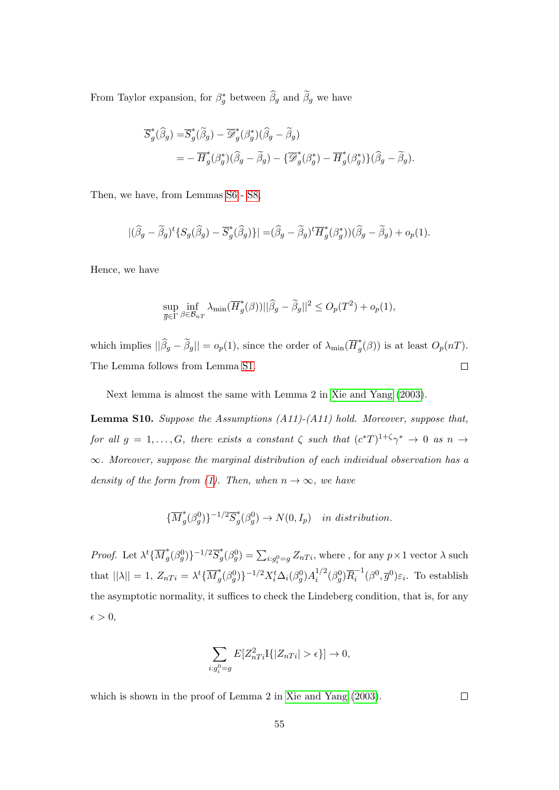From Taylor expansion, for  $\beta_g^*$  between  $\widehat{\beta}_g$  and  $\widetilde{\beta}_g$  we have

$$
\overline{S}_{g}^{*}(\widehat{\beta}_{g}) = \overline{S}_{g}^{*}(\widetilde{\beta}_{g}) - \overline{\mathcal{D}}_{g}^{*}(\beta_{g}^{*})(\widehat{\beta}_{g} - \widetilde{\beta}_{g})
$$
  
= 
$$
-\overline{H}_{g}^{*}(\beta_{g}^{*})(\widehat{\beta}_{g} - \widetilde{\beta}_{g}) - {\overline{\mathcal{D}}}_{g}^{*}(\beta_{g}^{*}) - \overline{H}_{g}^{*}(\beta_{g}^{*})\}(\widehat{\beta}_{g} - \widetilde{\beta}_{g}).
$$

Then, we have, from Lemmas [S6](#page-45-0)- [S8,](#page-46-0)

$$
|(\widehat{\beta}_g - \widetilde{\beta}_g)^t \{ S_g(\widehat{\beta}_g) - \overline{S}_g^*(\widehat{\beta}_g) \} | = (\widehat{\beta}_g - \widetilde{\beta}_g)^t \overline{H}_g^*(\beta_g^*) (\widehat{\beta}_g - \widetilde{\beta}_g) + o_p(1).
$$

Hence, we have

$$
\sup_{\overline{g}\in\Gamma}\inf_{\beta\in\mathcal{B}_{nT}}\lambda_{\min}(\overline{H}^*_g(\beta))||\widehat{\beta}_g-\widetilde{\beta}_g||^2\leq O_p(T^2)+o_p(1),
$$

which implies  $||\hat{\beta}_g - \tilde{\beta}_g|| = o_p(1)$ , since the order of  $\lambda_{\min}(\overline{H}_g^*)$  $\int_{g}^{*}(\beta)$  is at least  $O_p(nT)$ . The Lemma follows from Lemma [S1.](#page-26-0)  $\Box$ 

Next lemma is almost the same with Lemma 2 in [Xie and Yang \(2003\)](#page-23-7).

<span id="page-54-0"></span>Lemma S10. Suppose the Assumptions (A11)-(A11) hold. Moreover, suppose that, for all  $g = 1, ..., G$ , there exists a constant  $\zeta$  such that  $(c^*T)^{1+\zeta}\gamma^* \to 0$  as  $n \to \infty$  $\infty$ . Moreover, suppose the marginal distribution of each individual observation has a density of the form from [\(1\)](#page-4-0). Then, when  $n \to \infty$ , we have

$$
\{\overline{M}_g^*(\beta_g^0)\}^{-1/2}\overline{S}_g^*(\beta_g^0) \to N(0,I_p) \quad in \ distribution.
$$

*Proof.* Let  $\lambda^t \{ \overline{M}_a^*$  $_{g}^{*}(\beta_{g}^{0})\}$ <sup>-1/2</sup> $\overline{S}_{g}^{*}$  $g^*(\beta_g^0) = \sum_{i:g_i^0 = g} Z_{nTi},$  where , for any  $p \times 1$  vector  $\lambda$  such that  $||\lambda|| = 1$ ,  $Z_{nTi} = \lambda^t \{\overline{M}_q^*\}$  $\big\{ \big[\beta_g^0(\beta_g^0)\big\}^{-1/2} X_i^t \Delta_i(\beta_g^0) A_i^{1/2}$  $i^{1/2}(\beta_g^0)\overline{R}_i^{-1}$  $\overline{g}^{i-1}(\beta^0, \overline{g}^0)\varepsilon_i$ . To establish the asymptotic normality, it suffices to check the Lindeberg condition, that is, for any  $\epsilon > 0,$ 

$$
\sum_{i:g_i^0=g} E[Z_{nTi}^2 I\{|Z_{nTi}| > \epsilon\}] \to 0,
$$

which is shown in the proof of Lemma 2 in [Xie and Yang \(2003\)](#page-23-7).

 $\Box$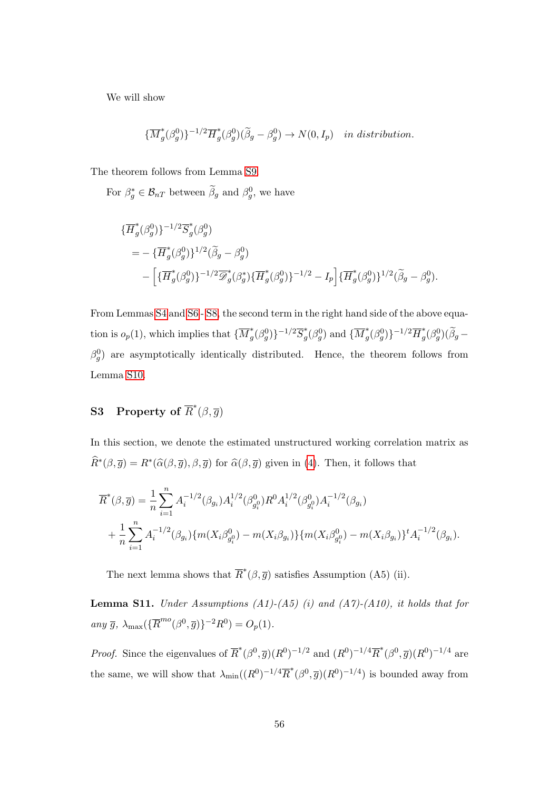We will show

$$
\{\overline{M}_g^*(\beta_g^0)\}^{-1/2}\overline{H}_g^*(\beta_g^0)(\widetilde{\beta}_g - \beta_g^0) \to N(0, I_p) \quad in \ distribution.
$$

The theorem follows from Lemma [S9.](#page-53-0)

For  $\beta_g^* \in \mathcal{B}_{nT}$  between  $\tilde{\beta}_g$  and  $\beta_g^0$ , we have

$$
\begin{split} &\{\overline{H}_g^*(\beta_g^0)\}^{-1/2}\overline{S}_g^*(\beta_g^0) \\ &=-\{\overline{H}_g^*(\beta_g^0)\}^{1/2}(\widetilde{\beta}_g-\beta_g^0) \\ &-\Big[\{\overline{H}_g^*(\beta_g^0)\}^{-1/2}\overline{\mathscr{D}}_g^*(\beta_g^*)\{\overline{H}_g^*(\beta_g^0)\}^{-1/2}-I_p\Big]\{\overline{H}_g^*(\beta_g^0)\}^{1/2}(\widetilde{\beta}_g-\beta_g^0). \end{split}
$$

From Lemmas [S4](#page-40-0) and [S6](#page-45-0)- [S8,](#page-46-0) the second term in the right hand side of the above equation is  $o_p(1)$ , which implies that  $\{\overline{M}_q^*\}$  $_{g}^{*}(\beta_{g}^{0})\}$ <sup>-1/2</sup> $\overline{S}_{g}^{*}$  $\overline{g}^*(\beta_g^0)$  and  $\{\overline{M}_g^*\}$  $\frac{1}{g}(\beta_g^0)\}^{-1/2}\overline{H}_g^*$  $\int_{g}^{*}(\beta_g^0)(\widetilde{\beta}_g \beta_g^0$ ) are asymptotically identically distributed. Hence, the theorem follows from Lemma [S10.](#page-54-0)

# S3 Property of  $\overline{R}^*(\beta, \overline{g})$

In this section, we denote the estimated unstructured working correlation matrix as  $\widehat{R}^*(\beta, \overline{g}) = R^*(\widehat{\alpha}(\beta, \overline{g}), \beta, \overline{g})$  for  $\widehat{\alpha}(\beta, \overline{g})$  given in [\(4\)](#page-6-0). Then, it follows that

$$
\overline{R}^*(\beta, \overline{g}) = \frac{1}{n} \sum_{i=1}^n A_i^{-1/2}(\beta_{g_i}) A_i^{1/2}(\beta_{g_i^0}^0) R^0 A_i^{1/2}(\beta_{g_i^0}^0) A_i^{-1/2}(\beta_{g_i})
$$
  
+ 
$$
\frac{1}{n} \sum_{i=1}^n A_i^{-1/2}(\beta_{g_i}) \{m(X_i \beta_{g_i^0}^0) - m(X_i \beta_{g_i})\} \{m(X_i \beta_{g_i^0}^0) - m(X_i \beta_{g_i})\}^t A_i^{-1/2}(\beta_{g_i}).
$$

The next lemma shows that  $\overline{R}^*(\beta, \overline{g})$  satisfies Assumption (A5) (ii).

**Lemma S11.** Under Assumptions (A1)-(A5) (i) and (A7)-(A10), it holds that for any  $\bar{g}$ ,  $\lambda_{\max}(\{\overline{R}^{mo}(\beta^0, \overline{g})\}^{-2}R^0) = O_p(1)$ .

*Proof.* Since the eigenvalues of  $\overline{R}^*(\beta^0, \overline{g})(R^0)^{-1/2}$  and  $(R^0)^{-1/4}\overline{R}^*(\beta^0, \overline{g})(R^0)^{-1/4}$  are the same, we will show that  $\lambda_{\min}((R^0)^{-1/4}\overline{R}^*(\beta^0,\overline{g})(R^0)^{-1/4})$  is bounded away from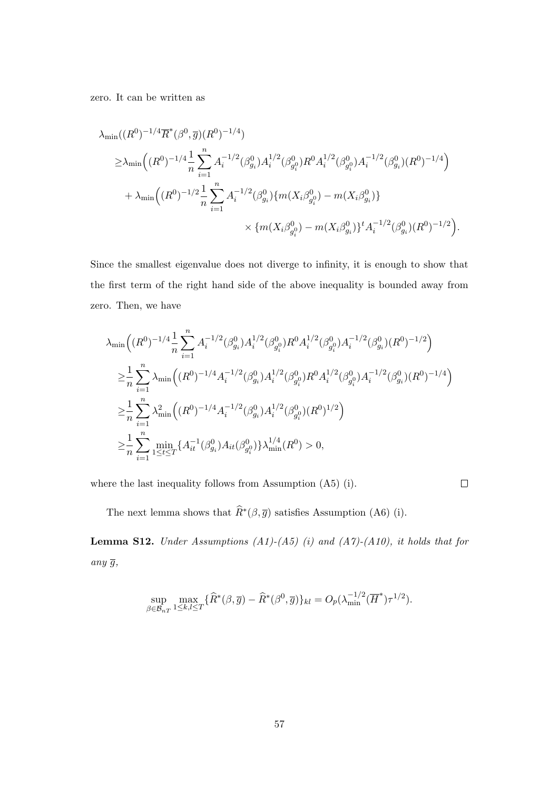zero. It can be written as

$$
\lambda_{\min}((R^{0})^{-1/4}\overline{R}^{*}(\beta^{0},\overline{g})(R^{0})^{-1/4})
$$
\n
$$
\geq \lambda_{\min}((R^{0})^{-1/4}\frac{1}{n}\sum_{i=1}^{n}A_{i}^{-1/2}(\beta_{g_{i}}^{0})A_{i}^{1/2}(\beta_{g_{i}}^{0})R^{0}A_{i}^{1/2}(\beta_{g_{i}}^{0})A_{i}^{-1/2}(\beta_{g_{i}}^{0})(R^{0})^{-1/4})
$$
\n
$$
+ \lambda_{\min}((R^{0})^{-1/2}\frac{1}{n}\sum_{i=1}^{n}A_{i}^{-1/2}(\beta_{g_{i}}^{0})\{m(X_{i}\beta_{g_{i}}^{0}) - m(X_{i}\beta_{g_{i}}^{0})\}
$$
\n
$$
\times \{m(X_{i}\beta_{g_{i}}^{0}) - m(X_{i}\beta_{g_{i}}^{0})\}^{t}A_{i}^{-1/2}(\beta_{g_{i}}^{0})(R^{0})^{-1/2}\right).
$$

Since the smallest eigenvalue does not diverge to infinity, it is enough to show that the first term of the right hand side of the above inequality is bounded away from zero. Then, we have

$$
\lambda_{\min}\Big((R^0)^{-1/4}\frac{1}{n}\sum_{i=1}^n A_i^{-1/2}(\beta_{g_i}^0)A_i^{1/2}(\beta_{g_i}^0)R^0A_i^{1/2}(\beta_{g_i}^0)A_i^{-1/2}(\beta_{g_i}^0)(R^0)^{-1/2}\Big)
$$
  
\n
$$
\geq \frac{1}{n}\sum_{i=1}^n \lambda_{\min}\Big((R^0)^{-1/4}A_i^{-1/2}(\beta_{g_i}^0)A_i^{1/2}(\beta_{g_i}^0)R^0A_i^{1/2}(\beta_{g_i}^0)A_i^{-1/2}(\beta_{g_i}^0)(R^0)^{-1/4}\Big)
$$
  
\n
$$
\geq \frac{1}{n}\sum_{i=1}^n \lambda_{\min}^2\Big((R^0)^{-1/4}A_i^{-1/2}(\beta_{g_i}^0)A_i^{1/2}(\beta_{g_i}^0)(R^0)^{1/2}\Big)
$$
  
\n
$$
\geq \frac{1}{n}\sum_{i=1}^n \min_{1 \leq t \leq T} \{A_{it}^{-1}(\beta_{g_i}^0)A_{it}(\beta_{g_i}^0)\}\lambda_{\min}^{1/4}(R^0) > 0,
$$

where the last inequality follows from Assumption (A5) (i).

 $\Box$ 

The next lemma shows that  $\widehat{R}^*(\beta, \overline{g})$  satisfies Assumption (A6) (i).

<span id="page-56-0"></span>**Lemma S12.** Under Assumptions  $(A1)-(A5)$  (i) and  $(A7)-(A10)$ , it holds that for any  $\overline{g}$ ,

$$
\sup_{\beta \in \mathcal{B}_{nT}} \max_{1 \leq k,l \leq T} \{ \widehat{R}^*(\beta, \overline{g}) - \widehat{R}^*(\beta^0, \overline{g}) \}_{kl} = O_p(\lambda_{\min}^{-1/2} (\overline{H}^*) \tau^{1/2}).
$$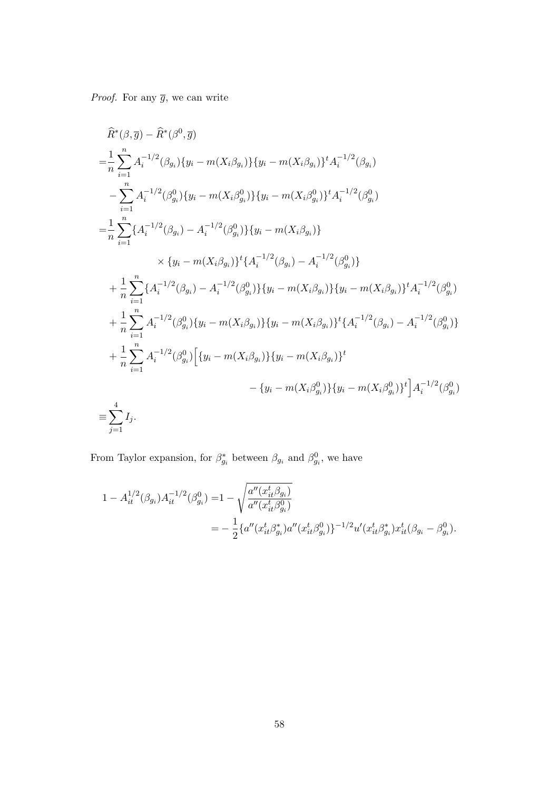*Proof.* For any  $\overline{g}$ , we can write

$$
\hat{R}^{*}(\beta, \overline{g}) - \hat{R}^{*}(\beta^{0}, \overline{g})
$$
\n
$$
= \frac{1}{n} \sum_{i=1}^{n} A_{i}^{-1/2}(\beta_{g_{i}}) \{y_{i} - m(X_{i}\beta_{g_{i}})\} \{y_{i} - m(X_{i}\beta_{g_{i}})\}^{t} A_{i}^{-1/2}(\beta_{g_{i}})
$$
\n
$$
- \sum_{i=1}^{n} A_{i}^{-1/2}(\beta_{g_{i}}^{0}) \{y_{i} - m(X_{i}\beta_{g_{i}}^{0})\} \{y_{i} - m(X_{i}\beta_{g_{i}}^{0})\}^{t} A_{i}^{-1/2}(\beta_{g_{i}}^{0})
$$
\n
$$
= \frac{1}{n} \sum_{i=1}^{n} \{A_{i}^{-1/2}(\beta_{g_{i}}) - A_{i}^{-1/2}(\beta_{g_{i}}^{0})\} \{y_{i} - m(X_{i}\beta_{g_{i}})\}
$$
\n
$$
\times \{y_{i} - m(X_{i}\beta_{g_{i}})\}^{t} \{A_{i}^{-1/2}(\beta_{g_{i}}) - A_{i}^{-1/2}(\beta_{g_{i}}^{0})\}
$$
\n
$$
+ \frac{1}{n} \sum_{i=1}^{n} \{A_{i}^{-1/2}(\beta_{g_{i}}) - A_{i}^{-1/2}(\beta_{g_{i}}^{0})\} \{y_{i} - m(X_{i}\beta_{g_{i}})\} \{y_{i} - m(X_{i}\beta_{g_{i}})\}^{t} A_{i}^{-1/2}(\beta_{g_{i}}^{0})
$$
\n
$$
+ \frac{1}{n} \sum_{i=1}^{n} A_{i}^{-1/2}(\beta_{g_{i}}^{0}) \{y_{i} - m(X_{i}\beta_{g_{i}})\} \{y_{i} - m(X_{i}\beta_{g_{i}})\}^{t} \{A_{i}^{-1/2}(\beta_{g_{i}}) - A_{i}^{-1/2}(\beta_{g_{i}}^{0})\}
$$
\n
$$
+ \frac{1}{n} \sum_{i=1}^{n} A_{i}^{-1/2}(\beta_{g_{i}}^{0}) \{y_{i} - m(X_{i}\beta_{g_{i}})\} \{y_{i} - m(X_{i}\beta_{g_{i}})\}^{
$$

From Taylor expansion, for  $\beta_{g_i}^*$  between  $\beta_{g_i}$  and  $\beta_{g_i}^0$ , we have

$$
1 - A_{it}^{1/2}(\beta_{g_i}) A_{it}^{-1/2}(\beta_{g_i}^0) = 1 - \sqrt{\frac{a''(x_{it}^t \beta_{g_i})}{a''(x_{it}^t \beta_{g_i}^0)}}
$$
  
= 
$$
- \frac{1}{2} \{a''(x_{it}^t \beta_{g_i}^*) a''(x_{it}^t \beta_{g_i}^0)\}^{-1/2} u'(x_{it}^t \beta_{g_i}^*) x_{it}^t(\beta_{g_i} - \beta_{g_i}^0).
$$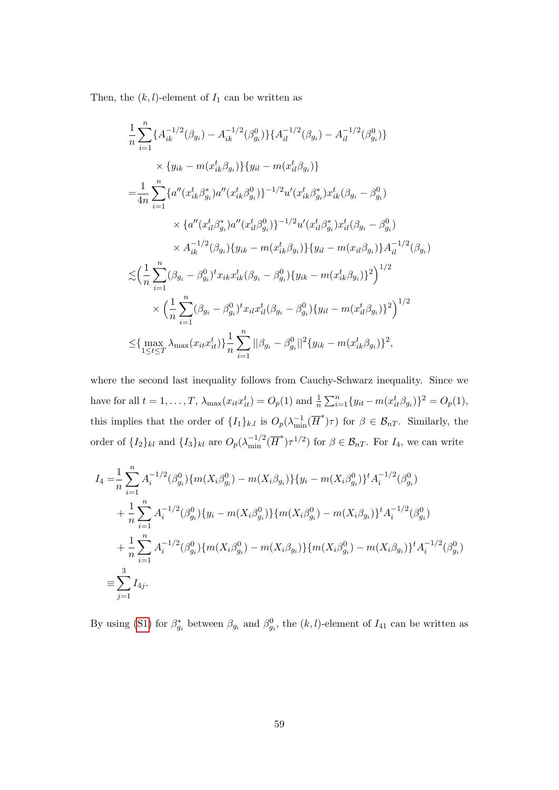Then, the  $(k, l)$ -element of  $I_1$  can be written as

$$
\frac{1}{n} \sum_{i=1}^{n} \{A_{ik}^{-1/2}(\beta_{g_i}) - A_{ik}^{-1/2}(\beta_{g_i}^0)\}\{A_{il}^{-1/2}(\beta_{g_i}) - A_{il}^{-1/2}(\beta_{g_i}^0)\}\
$$
\n
$$
\times \{y_{ik} - m(x_{ik}^t \beta_{g_i})\}\{y_{il} - m(x_{il}^t \beta_{g_i})\}
$$
\n
$$
= \frac{1}{4n} \sum_{i=1}^{n} \{a''(x_{ik}^t \beta_{g_i}^*)a''(x_{ik}^t \beta_{g_i}^0)\}^{-1/2}u'(x_{ik}^t \beta_{g_i}^*)x_{ik}^t(\beta_{g_i} - \beta_{g_i}^0)
$$
\n
$$
\times \{a''(x_{il}^t \beta_{g_i}^*)a''(x_{il}^t \beta_{g_i}^0)\}^{-1/2}u'(x_{il}^t \beta_{g_i}^*)x_{il}^t(\beta_{g_i} - \beta_{g_i}^0)
$$
\n
$$
\times A_{ik}^{-1/2}(\beta_{g_i})\{y_{ik} - m(x_{ik}^t \beta_{g_i})\}\{y_{il} - m(x_{il}^t \beta_{g_i})\}A_{il}^{-1/2}(\beta_{g_i})
$$
\n
$$
\lesssim \left(\frac{1}{n} \sum_{i=1}^{n} (\beta_{g_i} - \beta_{g_i}^0)^t x_{ik} x_{ik}^t(\beta_{g_i} - \beta_{g_i}^0)\{y_{ik} - m(x_{ik}^t \beta_{g_i})\}^2\right)^{1/2}
$$
\n
$$
\times \left(\frac{1}{n} \sum_{i=1}^{n} (\beta_{g_i} - \beta_{g_i}^0)^t x_{il} x_{il}^t(\beta_{g_i} - \beta_{g_i}^0)\{y_{il} - m(x_{il}^t \beta_{g_i})\}^2\right)^{1/2}
$$
\n
$$
\leq \{\max_{1 \leq t \leq T} \lambda_{\max}(x_{it} x_{it}^t)\} \frac{1}{n} \sum_{i=1}^{n} ||\beta_{g_i} - \beta_{g_i}^0||^2\{y_{ik} - m(x_{ik}^t \beta_{g_i})\}^2,
$$

where the second last inequality follows from Cauchy-Schwarz inequality. Since we have for all  $t = 1, ..., T$ ,  $\lambda_{\max}(x_{it}x_{it}^t) = O_p(1)$  and  $\frac{1}{n}\sum_{i=1}^n \{y_{it} - m(x_{it}^t \beta_{g_i})\}^2 = O_p(1)$ , this implies that the order of  $\{I_1\}_{k,l}$  is  $O_p(\lambda_{\min}^{-1}(\overline{H}^*)\tau)$  for  $\beta \in \mathcal{B}_{nT}$ . Similarly, the order of  $\{I_2\}_{kl}$  and  $\{I_3\}_{kl}$  are  $O_p(\lambda_{\min}^{-1/2}(\overline{H}^*)\tau^{1/2})$  for  $\beta \in \mathcal{B}_{nT}$ . For  $I_4$ , we can write

$$
I_{4} = \frac{1}{n} \sum_{i=1}^{n} A_{i}^{-1/2}(\beta_{g_{i}}^{0}) \{m(X_{i}\beta_{g_{i}}^{0}) - m(X_{i}\beta_{g_{i}})\}\{y_{i} - m(X_{i}\beta_{g_{i}}^{0})\}^{t} A_{i}^{-1/2}(\beta_{g_{i}}^{0})
$$
  
+ 
$$
\frac{1}{n} \sum_{i=1}^{n} A_{i}^{-1/2}(\beta_{g_{i}}^{0}) \{y_{i} - m(X_{i}\beta_{g_{i}}^{0})\}\{m(X_{i}\beta_{g_{i}}^{0}) - m(X_{i}\beta_{g_{i}})\}^{t} A_{i}^{-1/2}(\beta_{g_{i}}^{0})
$$
  
+ 
$$
\frac{1}{n} \sum_{i=1}^{n} A_{i}^{-1/2}(\beta_{g_{i}}^{0}) \{m(X_{i}\beta_{g_{i}}^{0}) - m(X_{i}\beta_{g_{i}})\}\{m(X_{i}\beta_{g_{i}}^{0}) - m(X_{i}\beta_{g_{i}})\}^{t} A_{i}^{-1/2}(\beta_{g_{i}}^{0})
$$
  
= 
$$
\sum_{j=1}^{3} I_{4j}.
$$

By using [\(S1\)](#page-30-0) for  $\beta_{g_i}^*$  between  $\beta_{g_i}$  and  $\beta_{g_i}^0$ , the  $(k, l)$ -element of  $I_{41}$  can be written as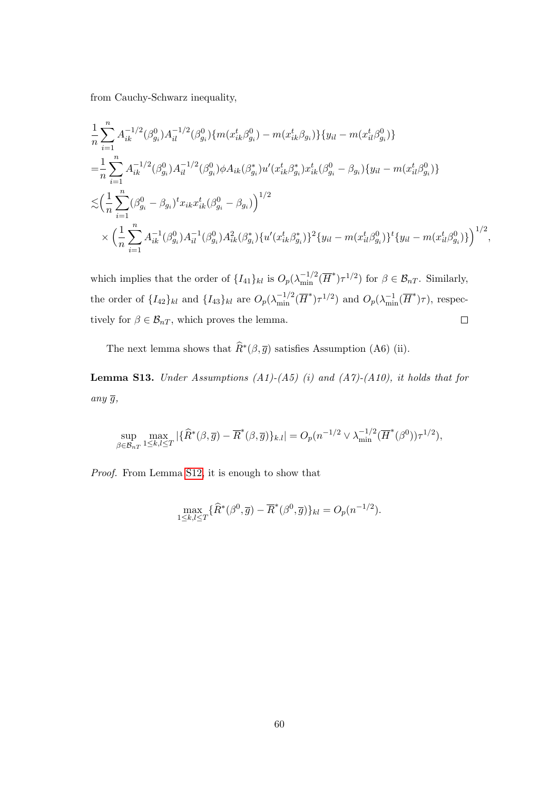from Cauchy-Schwarz inequality,

$$
\begin{split}\n&\frac{1}{n}\sum_{i=1}^{n} A_{ik}^{-1/2}(\beta_{g_i}^0) A_{il}^{-1/2}(\beta_{g_i}^0) \{m(x_{ik}^t \beta_{g_i}^0) - m(x_{ik}^t \beta_{g_i})\} \{y_{il} - m(x_{il}^t \beta_{g_i}^0)\} \\
&= \frac{1}{n}\sum_{i=1}^{n} A_{ik}^{-1/2}(\beta_{g_i}^0) A_{il}^{-1/2}(\beta_{g_i}^0) \phi A_{ik}(\beta_{g_i}^*) u'(x_{ik}^t \beta_{g_i}^*) x_{ik}^t(\beta_{g_i}^0 - \beta_{g_i}) \{y_{il} - m(x_{il}^t \beta_{g_i}^0)\} \\
&\leq \left(\frac{1}{n}\sum_{i=1}^{n} (\beta_{g_i}^0 - \beta_{g_i})^t x_{ik} x_{ik}^t(\beta_{g_i}^0 - \beta_{g_i})\right)^{1/2} \\
&\times \left(\frac{1}{n}\sum_{i=1}^{n} A_{ik}^{-1}(\beta_{g_i}^0) A_{il}^{-1}(\beta_{g_i}^0) A_{ik}^2(\beta_{g_i}^*) \{u'(x_{ik}^t \beta_{g_i}^*)\}^2 \{y_{il} - m(x_{il}^t \beta_{g_i}^0)\}^t \{y_{il} - m(x_{il}^t \beta_{g_i}^0)\}\right)^{1/2},\n\end{split}
$$

which implies that the order of  $\{I_{41}\}_{kl}$  is  $O_p(\lambda_{\min}^{-1/2}(\overline{H}^*)\tau^{1/2})$  for  $\beta \in \mathcal{B}_{nT}$ . Similarly, the order of  $\{I_{42}\}_{kl}$  and  $\{I_{43}\}_{kl}$  are  $O_p(\lambda_{\min}^{-1/2}(\overline{H}^*)\tau^{1/2})$  and  $O_p(\lambda_{\min}^{-1}(\overline{H}^*)\tau)$ , respectively for  $\beta \in \mathcal{B}_{nT}$ , which proves the lemma.  $\Box$ 

The next lemma shows that  $\widehat{R}^*(\beta, \overline{g})$  satisfies Assumption (A6) (ii).

**Lemma S13.** Under Assumptions (A1)-(A5) (i) and (A7)-(A10), it holds that for any  $\overline{g}$ ,

$$
\sup_{\beta \in \mathcal{B}_{nT}} \max_{1 \leq k,l \leq T} |\{\widehat{R}^*(\beta,\overline{g}) - \overline{R}^*(\beta,\overline{g})\}_{k.l}| = O_p(n^{-1/2} \vee \lambda_{\min}^{-1/2}(\overline{H}^*(\beta^0))\tau^{1/2}),
$$

Proof. From Lemma [S12,](#page-56-0) it is enough to show that

$$
\max_{1 \leq k,l \leq T} \{ \widehat{R}^*(\beta^0, \overline{g}) - \overline{R}^*(\beta^0, \overline{g}) \}_{kl} = O_p(n^{-1/2}).
$$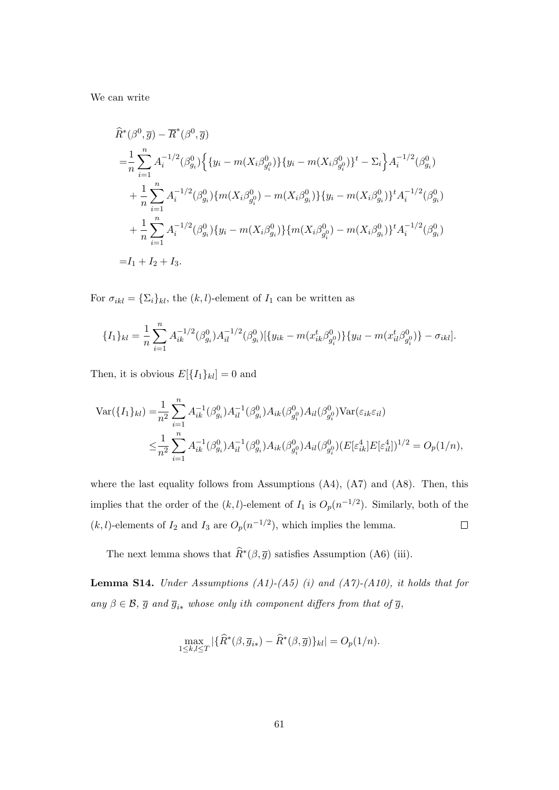We can write

$$
\hat{R}^{*}(\beta^{0},\overline{g}) - \overline{R}^{*}(\beta^{0},\overline{g})
$$
\n
$$
= \frac{1}{n} \sum_{i=1}^{n} A_{i}^{-1/2}(\beta_{g_{i}}^{0}) \Big\{ \{y_{i} - m(X_{i}\beta_{g_{i}}^{0})\} \{y_{i} - m(X_{i}\beta_{g_{i}}^{0})\}^{t} - \Sigma_{i} \Big\} A_{i}^{-1/2}(\beta_{g_{i}}^{0})
$$
\n
$$
+ \frac{1}{n} \sum_{i=1}^{n} A_{i}^{-1/2}(\beta_{g_{i}}^{0}) \{m(X_{i}\beta_{g_{i}}^{0}) - m(X_{i}\beta_{g_{i}}^{0})\} \{y_{i} - m(X_{i}\beta_{g_{i}}^{0})\}^{t} A_{i}^{-1/2}(\beta_{g_{i}}^{0})
$$
\n
$$
+ \frac{1}{n} \sum_{i=1}^{n} A_{i}^{-1/2}(\beta_{g_{i}}^{0}) \{y_{i} - m(X_{i}\beta_{g_{i}}^{0})\} \{m(X_{i}\beta_{g_{i}}^{0}) - m(X_{i}\beta_{g_{i}}^{0})\}^{t} A_{i}^{-1/2}(\beta_{g_{i}}^{0})
$$
\n
$$
= I_{1} + I_{2} + I_{3}.
$$

For  $\sigma_{ikl} = {\sum_i}_{kl}$ , the  $(k, l)$ -element of  $I_1$  can be written as

$$
\{I_1\}_{kl} = \frac{1}{n} \sum_{i=1}^n A_{ik}^{-1/2} (\beta_{g_i}^0) A_{il}^{-1/2} (\beta_{g_i}^0) [\{y_{ik} - m(x_{ik}^t \beta_{g_i}^0)\} \{y_{il} - m(x_{il}^t \beta_{g_i}^0)\} - \sigma_{ikl}].
$$

Then, it is obvious  $E[{I_1}_{kl}] = 0$  and

$$
\begin{split} \text{Var}(\{I_1\}_{kl}) &= \!\frac{1}{n^2} \sum_{i=1}^n A_{ik}^{-1} (\beta_{g_i}^0) A_{il}^{-1} (\beta_{g_i}^0) A_{ik} (\beta_{g_i}^0) A_{il} (\beta_{g_i}^0) \text{Var}(\varepsilon_{ik}\varepsilon_{il}) \\ &\leq \!\frac{1}{n^2} \sum_{i=1}^n A_{ik}^{-1} (\beta_{g_i}^0) A_{il}^{-1} (\beta_{g_i}^0) A_{ik} (\beta_{g_i}^0) A_{il} (\beta_{g_i}^0) (E[\varepsilon_{ik}^4] E[\varepsilon_{il}^4])^{1/2} = O_p(1/n), \end{split}
$$

where the last equality follows from Assumptions  $(A4)$ ,  $(A7)$  and  $(A8)$ . Then, this implies that the order of the  $(k, l)$ -element of  $I_1$  is  $O_p(n^{-1/2})$ . Similarly, both of the  $(k, l)$ -elements of  $I_2$  and  $I_3$  are  $O_p(n^{-1/2})$ , which implies the lemma.  $\Box$ 

The next lemma shows that  $\widehat{R}^*(\beta, \overline{g})$  satisfies Assumption (A6) (iii).

**Lemma S14.** Under Assumptions  $(A1)-(A5)$  (i) and  $(A7)-(A10)$ , it holds that for any  $\beta \in \mathcal{B}$ ,  $\overline{g}$  and  $\overline{g}_{i*}$  whose only ith component differs from that of  $\overline{g}$ ,

$$
\max_{1 \leq k,l \leq T} |\{\widehat{R}^*(\beta,\overline{g}_{i*}) - \widehat{R}^*(\beta,\overline{g})\}_{kl}| = O_p(1/n).
$$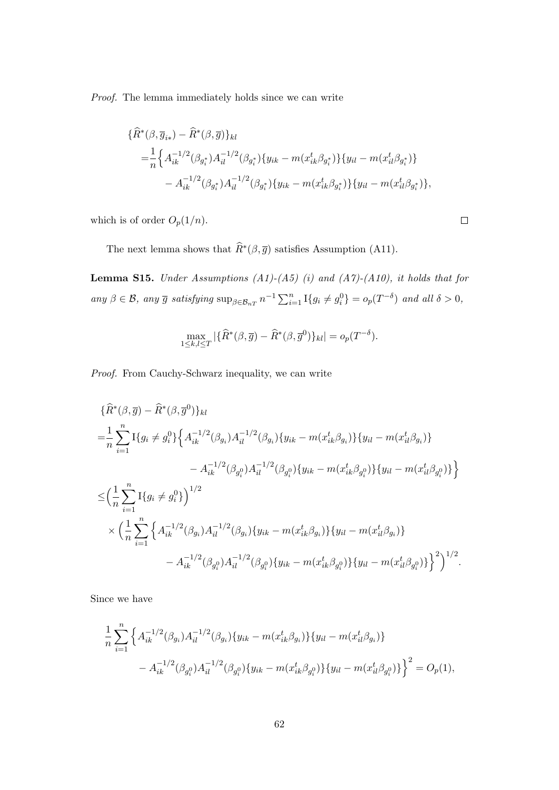Proof. The lemma immediately holds since we can write

$$
\begin{aligned} \{\widehat{R}^*(\beta,\overline{g}_{i*})-\widehat{R}^*(\beta,\overline{g})\}_{kl} \\ &= \frac{1}{n} \Big\{A_{ik}^{-1/2}(\beta_{g_i^*})A_{il}^{-1/2}(\beta_{g_i^*})\{y_{ik}-m(x_{ik}^t\beta_{g_i^*})\}\{y_{il}-m(x_{il}^t\beta_{g_i^*})\} \\ &-A_{ik}^{-1/2}(\beta_{g_i^*})A_{il}^{-1/2}(\beta_{g_i^*})\{y_{ik}-m(x_{ik}^t\beta_{g_i^*})\}\{y_{il}-m(x_{il}^t\beta_{g_i^*})\}, \end{aligned}
$$

 $\Box$ 

which is of order  $O_p(1/n)$ .

The next lemma shows that  $\widehat{R}^*(\beta, \overline{g})$  satisfies Assumption (A11).

**Lemma S15.** Under Assumptions  $(A1)-(A5)$  (i) and  $(A7)-(A10)$ , it holds that for any  $\beta \in \mathcal{B}$ , any  $\overline{g}$  satisfying  $\sup_{\beta \in \mathcal{B}_{nT}} n^{-1} \sum_{i=1}^n \mathbb{I}\{g_i \neq g_i^0\} = o_p(T^{-\delta})$  and all  $\delta > 0$ ,

$$
\max_{1 \leq k,l \leq T} |\{\widehat{R}^*(\beta,\overline{g}) - \widehat{R}^*(\beta,\overline{g}^0)\}_{kl}| = o_p(T^{-\delta}).
$$

Proof. From Cauchy-Schwarz inequality, we can write

$$
\{\widehat{R}^*(\beta,\overline{g}) - \widehat{R}^*(\beta,\overline{g}^0)\}_{kl}
$$
\n
$$
= \frac{1}{n} \sum_{i=1}^n \text{I}\{g_i \neq g_i^0\} \Big\{ A_{ik}^{-1/2}(\beta_{g_i}) A_{il}^{-1/2}(\beta_{g_i}) \{y_{ik} - m(x_{ik}^t \beta_{g_i})\} \{y_{il} - m(x_{il}^t \beta_{g_i})\}
$$
\n
$$
- A_{ik}^{-1/2}(\beta_{g_i^0}) A_{il}^{-1/2}(\beta_{g_i^0}) \{y_{ik} - m(x_{ik}^t \beta_{g_i^0})\} \{y_{il} - m(x_{il}^t \beta_{g_i^0})\} \Big\}
$$
\n
$$
\leq \Big(\frac{1}{n} \sum_{i=1}^n \text{I}\{g_i \neq g_i^0\}\Big)^{1/2}
$$
\n
$$
\times \Big(\frac{1}{n} \sum_{i=1}^n \Big\{A_{ik}^{-1/2}(\beta_{g_i}) A_{il}^{-1/2}(\beta_{g_i}) \{y_{ik} - m(x_{ik}^t \beta_{g_i})\} \{y_{il} - m(x_{il}^t \beta_{g_i})\}
$$
\n
$$
- A_{ik}^{-1/2}(\beta_{g_i^0}) A_{il}^{-1/2}(\beta_{g_i^0}) \{y_{ik} - m(x_{ik}^t \beta_{g_i^0})\} \{y_{il} - m(x_{il}^t \beta_{g_i^0})\}\Big\}^2\Big)^{1/2}.
$$

Since we have

$$
\frac{1}{n} \sum_{i=1}^{n} \left\{ A_{ik}^{-1/2}(\beta_{g_i}) A_{il}^{-1/2}(\beta_{g_i}) \{ y_{ik} - m(x_{ik}^t \beta_{g_i}) \} \{ y_{il} - m(x_{il}^t \beta_{g_i}) \} - A_{ik}^{-1/2}(\beta_{g_i^0}) A_{il}^{-1/2}(\beta_{g_i^0}) \{ y_{ik} - m(x_{ik}^t \beta_{g_i^0}) \} \{ y_{il} - m(x_{il}^t \beta_{g_i^0}) \} \right\}^2 = O_p(1),
$$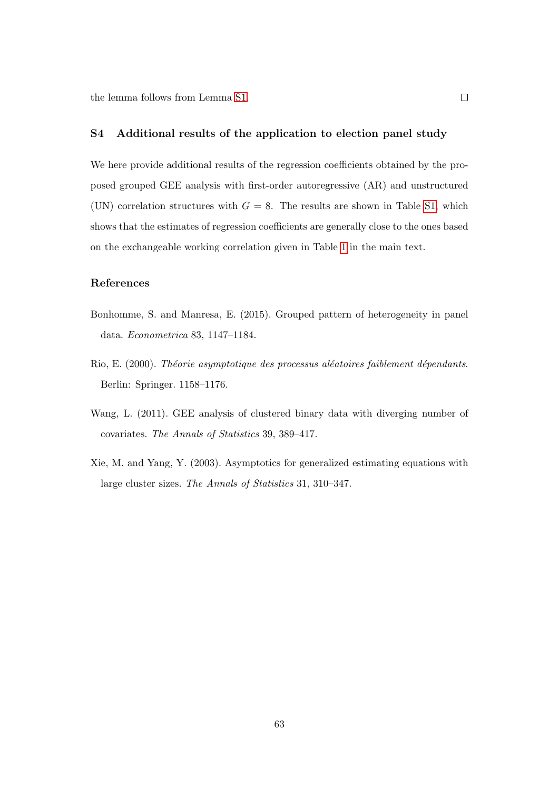the lemma follows from Lemma [S1.](#page-26-0)

## S4 Additional results of the application to election panel study

We here provide additional results of the regression coefficients obtained by the proposed grouped GEE analysis with first-order autoregressive (AR) and unstructured (UN) correlation structures with  $G = 8$ . The results are shown in Table [S1,](#page-16-0) which shows that the estimates of regression coefficients are generally close to the ones based on the exchangeable working correlation given in Table [1](#page-16-0) in the main text.

### References

- Bonhomme, S. and Manresa, E. (2015). Grouped pattern of heterogeneity in panel data. Econometrica 83, 1147–1184.
- Rio, E. (2000). Théorie asymptotique des processus aléatoires faiblement dépendants. Berlin: Springer. 1158–1176.
- Wang, L. (2011). GEE analysis of clustered binary data with diverging number of covariates. The Annals of Statistics 39, 389–417.
- Xie, M. and Yang, Y. (2003). Asymptotics for generalized estimating equations with large cluster sizes. The Annals of Statistics 31, 310–347.